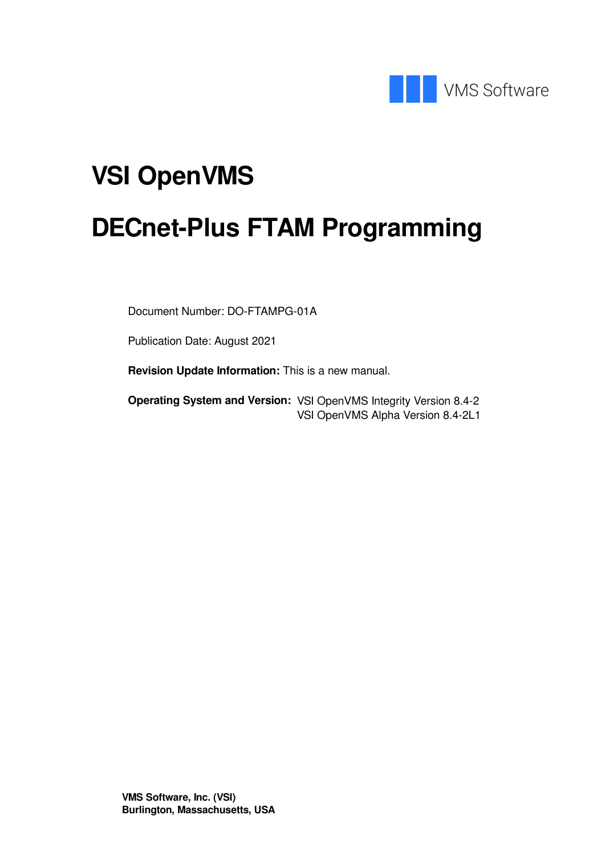

## **VSI OpenVMS**

## **DECnet-Plus FTAM Programming**

Document Number: DO-FTAMPG-01A

Publication Date: August 2021

**Revision Update Information:** This is a new manual.

**Operating System and Version:** VSI OpenVMS Integrity Version 8.4-2 VSI OpenVMS Alpha Version 8.4-2L1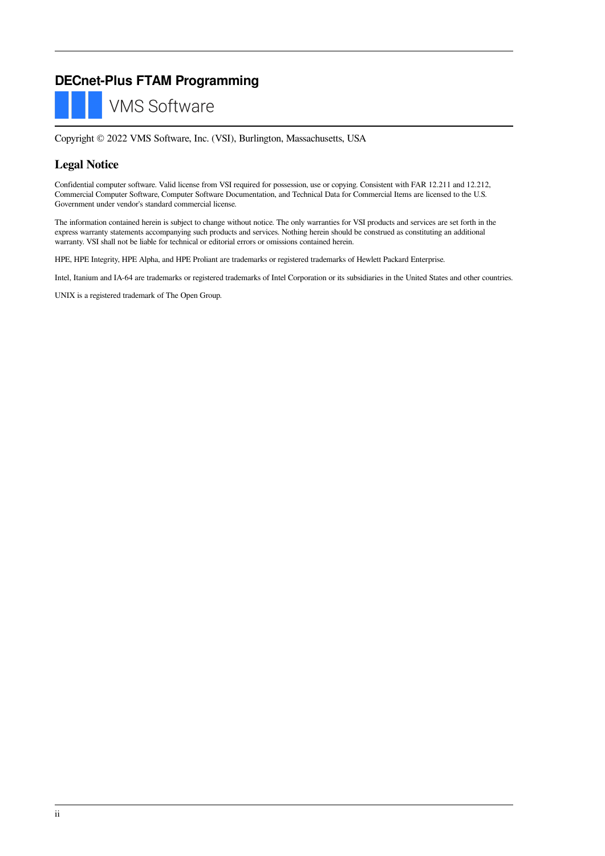### **DECnet-Plus FTAM Programming**



Copyright © 2022 VMS Software, Inc. (VSI), Burlington, Massachusetts, USA

#### **Legal Notice**

Confidential computer software. Valid license from VSI required for possession, use or copying. Consistent with FAR 12.211 and 12.212, Commercial Computer Software, Computer Software Documentation, and Technical Data for Commercial Items are licensed to the U.S. Government under vendor's standard commercial license.

The information contained herein is subject to change without notice. The only warranties for VSI products and services are set forth in the express warranty statements accompanying such products and services. Nothing herein should be construed as constituting an additional warranty. VSI shall not be liable for technical or editorial errors or omissions contained herein.

HPE, HPE Integrity, HPE Alpha, and HPE Proliant are trademarks or registered trademarks of Hewlett Packard Enterprise.

Intel, Itanium and IA-64 are trademarks or registered trademarks of Intel Corporation or its subsidiaries in the United States and other countries.

UNIX is a registered trademark of The Open Group.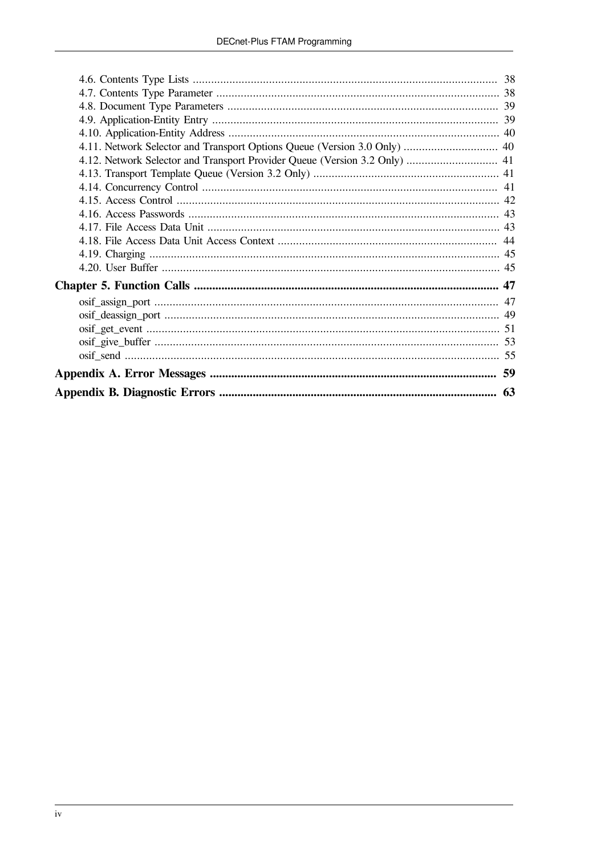| 4.11. Network Selector and Transport Options Queue (Version 3.0 Only)  40 |  |
|---------------------------------------------------------------------------|--|
|                                                                           |  |
|                                                                           |  |
|                                                                           |  |
|                                                                           |  |
|                                                                           |  |
|                                                                           |  |
|                                                                           |  |
|                                                                           |  |
|                                                                           |  |
|                                                                           |  |
|                                                                           |  |
|                                                                           |  |
|                                                                           |  |
|                                                                           |  |
|                                                                           |  |
|                                                                           |  |
|                                                                           |  |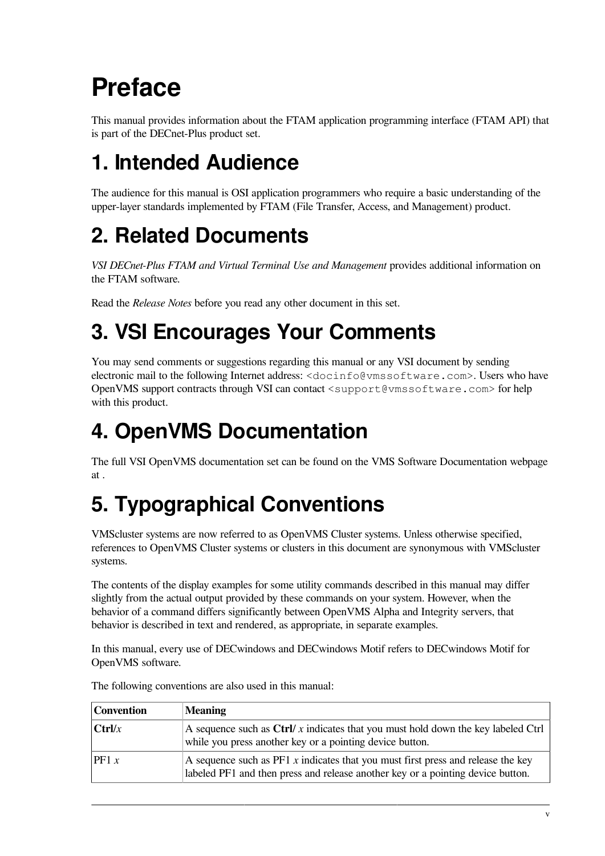## <span id="page-4-0"></span>**Preface**

This manual provides information about the FTAM application programming interface (FTAM API) that is part of the DECnet-Plus product set.

## <span id="page-4-1"></span>**1. Intended Audience**

The audience for this manual is OSI application programmers who require a basic understanding of the upper-layer standards implemented by FTAM (File Transfer, Access, and Management) product.

## <span id="page-4-2"></span>**2. Related Documents**

*VSI DECnet-Plus FTAM and Virtual Terminal Use and Management* provides additional information on the FTAM software.

Read the *Release Notes* before you read any other document in this set.

## <span id="page-4-3"></span>**3. VSI Encourages Your Comments**

You may send comments or suggestions regarding this manual or any VSI document by sending electronic mail to the following Internet address: <docinfo@vmssoftware.com>. Users who have OpenVMS support contracts through VSI can contact <support@vmssoftware.com> for help with this product.

## <span id="page-4-4"></span>**4. OpenVMS Documentation**

The full VSI OpenVMS documentation set can be found on the VMS Software Documentation webpage at

## <span id="page-4-5"></span>**5. Typographical Conventions**

VMScluster systems are now referred to as OpenVMS Cluster systems. Unless otherwise specified, references to OpenVMS Cluster systems or clusters in this document are synonymous with VMScluster systems.

The contents of the display examples for some utility commands described in this manual may differ slightly from the actual output provided by these commands on your system. However, when the behavior of a command differs significantly between OpenVMS Alpha and Integrity servers, that behavior is described in text and rendered, as appropriate, in separate examples.

In this manual, every use of DECwindows and DECwindows Motif refers to DECwindows Motif for OpenVMS software.

| Convention | <b>Meaning</b>                                                                                                                                                        |
|------------|-----------------------------------------------------------------------------------------------------------------------------------------------------------------------|
| $ $ Ctrl/x | A sequence such as $\frac{C \cdot r}{x}$ indicates that you must hold down the key labeled $C \cdot r$<br>while you press another key or a pointing device button.    |
| PF1 x      | A sequence such as $PFI x$ indicates that you must first press and release the key<br>labeled PF1 and then press and release another key or a pointing device button. |

The following conventions are also used in this manual: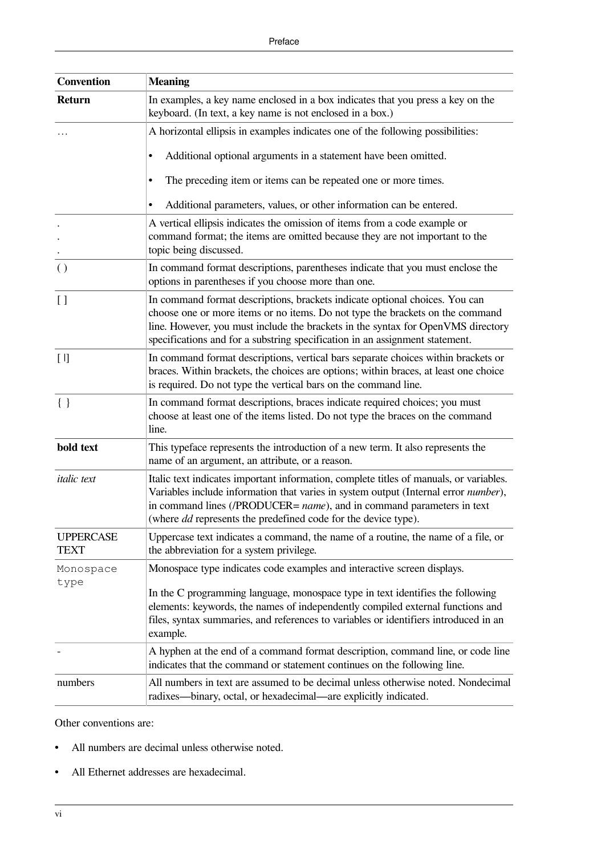| <b>Convention</b>               | <b>Meaning</b>                                                                                                                                                                                                                                                                                                                   |
|---------------------------------|----------------------------------------------------------------------------------------------------------------------------------------------------------------------------------------------------------------------------------------------------------------------------------------------------------------------------------|
| <b>Return</b>                   | In examples, a key name enclosed in a box indicates that you press a key on the<br>keyboard. (In text, a key name is not enclosed in a box.)                                                                                                                                                                                     |
|                                 | A horizontal ellipsis in examples indicates one of the following possibilities:                                                                                                                                                                                                                                                  |
|                                 | Additional optional arguments in a statement have been omitted.<br>$\bullet$                                                                                                                                                                                                                                                     |
|                                 | The preceding item or items can be repeated one or more times.<br>٠                                                                                                                                                                                                                                                              |
|                                 | Additional parameters, values, or other information can be entered.                                                                                                                                                                                                                                                              |
|                                 | A vertical ellipsis indicates the omission of items from a code example or<br>command format; the items are omitted because they are not important to the<br>topic being discussed.                                                                                                                                              |
| $\left( \right)$                | In command format descriptions, parentheses indicate that you must enclose the<br>options in parentheses if you choose more than one.                                                                                                                                                                                            |
| [ ]                             | In command format descriptions, brackets indicate optional choices. You can<br>choose one or more items or no items. Do not type the brackets on the command<br>line. However, you must include the brackets in the syntax for OpenVMS directory<br>specifications and for a substring specification in an assignment statement. |
| $[ \ ]$                         | In command format descriptions, vertical bars separate choices within brackets or<br>braces. Within brackets, the choices are options; within braces, at least one choice<br>is required. Do not type the vertical bars on the command line.                                                                                     |
| $\{\ \}$                        | In command format descriptions, braces indicate required choices; you must<br>choose at least one of the items listed. Do not type the braces on the command<br>line.                                                                                                                                                            |
| bold text                       | This typeface represents the introduction of a new term. It also represents the<br>name of an argument, an attribute, or a reason.                                                                                                                                                                                               |
| <i>italic</i> text              | Italic text indicates important information, complete titles of manuals, or variables.<br>Variables include information that varies in system output (Internal error number),<br>in command lines (/PRODUCER= name), and in command parameters in text<br>(where <i>dd</i> represents the predefined code for the device type).  |
| <b>UPPERCASE</b><br><b>TEXT</b> | Uppercase text indicates a command, the name of a routine, the name of a file, or<br>the abbreviation for a system privilege.                                                                                                                                                                                                    |
| Monospace                       | Monospace type indicates code examples and interactive screen displays.                                                                                                                                                                                                                                                          |
| type                            | In the C programming language, monospace type in text identifies the following<br>elements: keywords, the names of independently compiled external functions and<br>files, syntax summaries, and references to variables or identifiers introduced in an<br>example.                                                             |
|                                 | A hyphen at the end of a command format description, command line, or code line<br>indicates that the command or statement continues on the following line.                                                                                                                                                                      |
| numbers                         | All numbers in text are assumed to be decimal unless otherwise noted. Nondecimal<br>radixes—binary, octal, or hexadecimal—are explicitly indicated.                                                                                                                                                                              |

Other conventions are:

- All numbers are decimal unless otherwise noted.
- All Ethernet addresses are hexadecimal.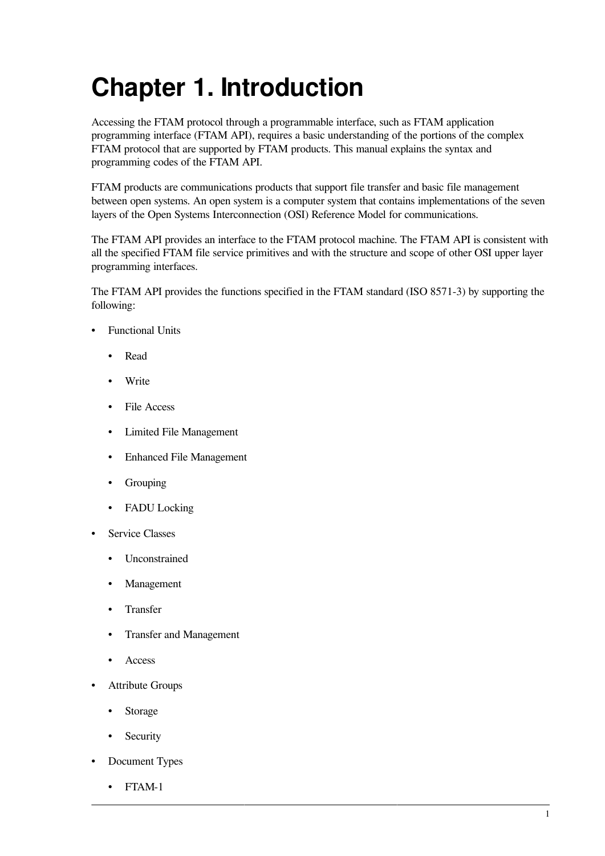## <span id="page-6-0"></span>**Chapter 1. Introduction**

Accessing the FTAM protocol through a programmable interface, such as FTAM application programming interface (FTAM API), requires a basic understanding of the portions of the complex FTAM protocol that are supported by FTAM products. This manual explains the syntax and programming codes of the FTAM API.

FTAM products are communications products that support file transfer and basic file management between open systems. An open system is a computer system that contains implementations of the seven layers of the Open Systems Interconnection (OSI) Reference Model for communications.

The FTAM API provides an interface to the FTAM protocol machine. The FTAM API is consistent with all the specified FTAM file service primitives and with the structure and scope of other OSI upper layer programming interfaces.

The FTAM API provides the functions specified in the FTAM standard (ISO 8571-3) by supporting the following:

- Functional Units
	- Read
	- Write
	- File Access
	- Limited File Management
	- Enhanced File Management
	- Grouping
	- FADU Locking
- Service Classes
	- Unconstrained
	- Management
	- Transfer
	- Transfer and Management
	- Access
- Attribute Groups
	- Storage
	- Security
- Document Types
	- FTAM-1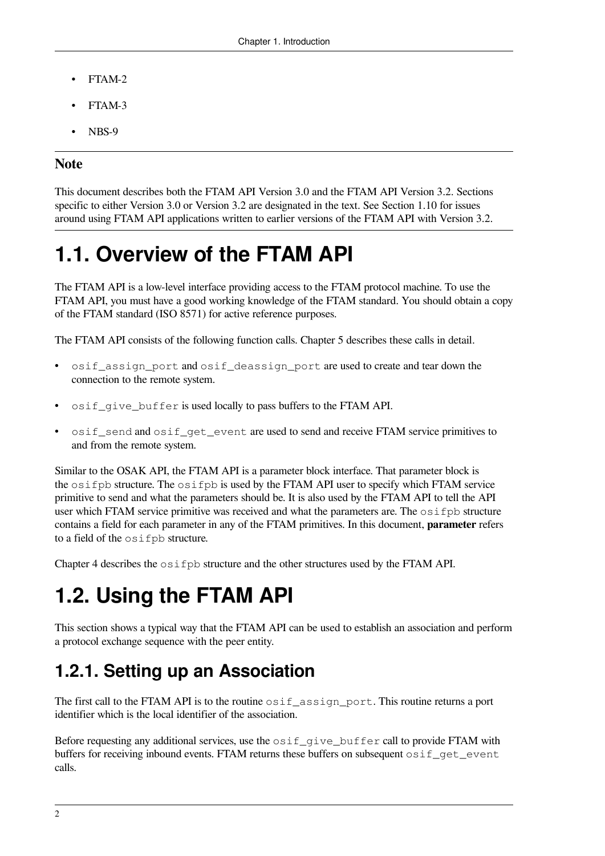- FTAM-2
- FTAM-3
- NBS-9

### **Note**

This document describes both the FTAM API Version 3.0 and the FTAM API Version 3.2. Sections specific to either Version 3.0 or Version 3.2 are designated in the text. See [Section](#page-14-1) 1.10 for issues around using FTAM API applications written to earlier versions of the FTAM API with Version 3.2.

### <span id="page-7-0"></span>**1.1. Overview of the FTAM API**

The FTAM API is a low-level interface providing access to the FTAM protocol machine. To use the FTAM API, you must have a good working knowledge of the FTAM standard. You should obtain a copy of the FTAM standard (ISO 8571) for active reference purposes.

The FTAM API consists of the following function calls. [Chapter](#page-52-0) 5 describes these calls in detail.

- osif\_assign\_port and osif\_deassign\_port are used to create and tear down the connection to the remote system.
- osif\_give\_buffer is used locally to pass buffers to the FTAM API.
- osif\_send and osif\_get\_event are used to send and receive FTAM service primitives to and from the remote system.

Similar to the OSAK API, the FTAM API is a parameter block interface. That parameter block is the osifpb structure. The osifpb is used by the FTAM API user to specify which FTAM service primitive to send and what the parameters should be. It is also used by the FTAM API to tell the API user which FTAM service primitive was received and what the parameters are. The  $\circ$ sifpb structure contains a field for each parameter in any of the FTAM primitives. In this document, **parameter** refers to a field of the osifpb structure.

<span id="page-7-1"></span>[Chapter](#page-38-0) 4 describes the  $\circ$ s i f pb structure and the other structures used by the FTAM API.

## **1.2. Using the FTAM API**

This section shows a typical way that the FTAM API can be used to establish an association and perform a protocol exchange sequence with the peer entity.

### <span id="page-7-2"></span>**1.2.1. Setting up an Association**

The first call to the FTAM API is to the routine  $\sigma$ sif<sub>\_assign\_port</sub>. This routine returns a port identifier which is the local identifier of the association.

Before requesting any additional services, use the  $\circ$ sif give buffer call to provide FTAM with buffers for receiving inbound events. FTAM returns these buffers on subsequent  $\circ$ sif get event calls.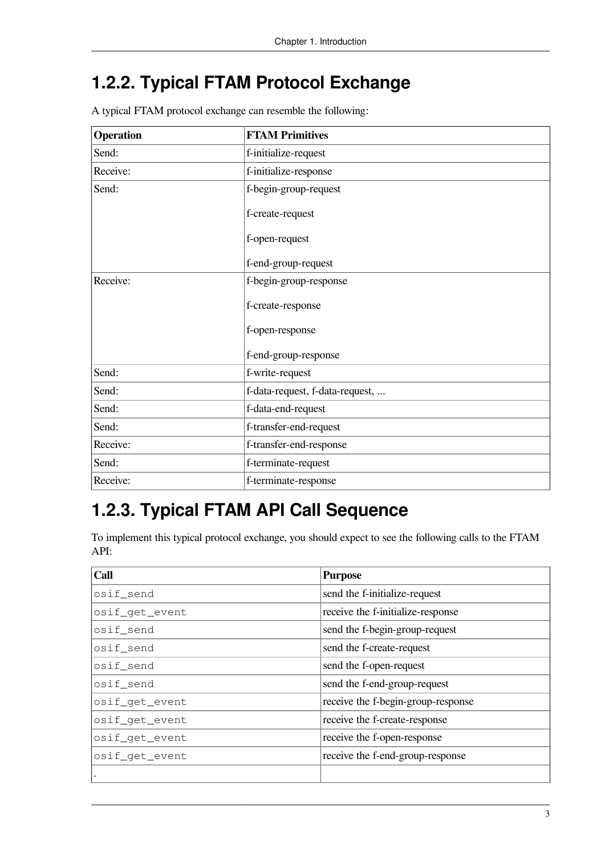### <span id="page-8-0"></span>**1.2.2. Typical FTAM Protocol Exchange**

A typical FTAM protocol exchange can resemble the following:

| <b>Operation</b> | <b>FTAM Primitives</b>          |
|------------------|---------------------------------|
| Send:            | f-initialize-request            |
| Receive:         | f-initialize-response           |
| Send:            | f-begin-group-request           |
|                  | f-create-request                |
|                  | f-open-request                  |
|                  | f-end-group-request             |
| Receive:         | f-begin-group-response          |
|                  | f-create-response               |
|                  | f-open-response                 |
|                  | f-end-group-response            |
| Send:            | f-write-request                 |
| Send:            | f-data-request, f-data-request, |
| Send:            | f-data-end-request              |
| Send:            | f-transfer-end-request          |
| Receive:         | f-transfer-end-response         |
| Send:            | f-terminate-request             |
| Receive:         | f-terminate-response            |

### <span id="page-8-1"></span>**1.2.3. Typical FTAM API Call Sequence**

To implement this typical protocol exchange, you should expect to see the following calls to the FTAM API:

| Call           | <b>Purpose</b>                     |
|----------------|------------------------------------|
| osif_send      | send the f-initialize-request      |
| osif_get_event | receive the f-initialize-response  |
| osif_send      | send the f-begin-group-request     |
| osif_send      | send the f-create-request          |
| osif_send      | send the f-open-request            |
| osif_send      | send the f-end-group-request       |
| osif_get_event | receive the f-begin-group-response |
| osif_get_event | receive the f-create-response      |
| osif_qet_event | receive the f-open-response        |
| osif_qet_event | receive the f-end-group-response   |
|                |                                    |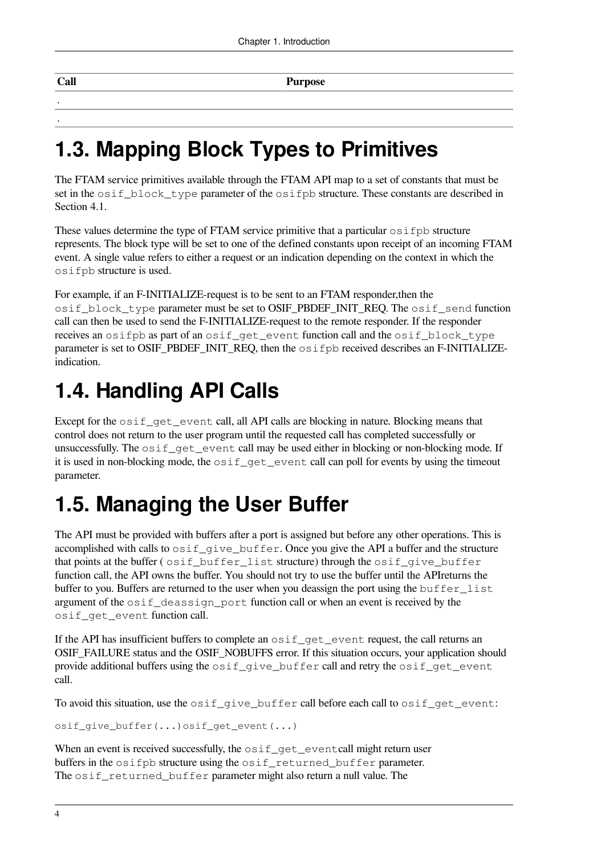| $ $ Call | Purpose |
|----------|---------|
|          |         |
|          |         |

### <span id="page-9-0"></span>**1.3. Mapping Block Types to Primitives**

The FTAM service primitives available through the FTAM API map to a set of constants that must be set in the osif\_block\_type parameter of the osifpb structure. These constants are described in [Section](#page-38-1) 4.1.

These values determine the type of FTAM service primitive that a particular  $\circ$  if  $\circ$  if  $\circ$  is structure represents. The block type will be set to one of the defined constants upon receipt of an incoming FTAM event. A single value refers to either a request or an indication depending on the context in which the osifpb structure is used.

For example, if an F-INITIALIZE-request is to be sent to an FTAM responder,then the osif block type parameter must be set to OSIF\_PBDEF\_INIT\_REQ. The osif\_send function call can then be used to send the F-INITIALIZE-request to the remote responder. If the responder receives an osifpb as part of an osif\_get\_event function call and the osif\_block\_type parameter is set to OSIF\_PBDEF\_INIT\_REQ, then the  $\circ$ sifpb received describes an F-INITIALIZEindication.

## <span id="page-9-1"></span>**1.4. Handling API Calls**

Except for the  $\circ$ sif qet event call, all API calls are blocking in nature. Blocking means that control does not return to the user program until the requested call has completed successfully or unsuccessfully. The osif\_get\_event call may be used either in blocking or non-blocking mode. If it is used in non-blocking mode, the  $\circ$ sif get event call can poll for events by using the timeout parameter.

## <span id="page-9-2"></span>**1.5. Managing the User Buffer**

The API must be provided with buffers after a port is assigned but before any other operations. This is accomplished with calls to  $\circ$ sif\_give\_buffer. Once you give the API a buffer and the structure that points at the buffer ( $\sigma$ sif buffer list structure) through the  $\sigma$ sif give buffer function call, the API owns the buffer. You should not try to use the buffer until the APIreturns the buffer to you. Buffers are returned to the user when you deassign the port using the buffer list argument of the osif\_deassign\_port function call or when an event is received by the osif\_get\_event function call.

If the API has insufficient buffers to complete an  $\circ$  sif\_get\_event request, the call returns an OSIF\_FAILURE status and the OSIF\_NOBUFFS error. If this situation occurs, your application should provide additional buffers using the osif\_give\_buffer call and retry the osif\_get\_event call.

To avoid this situation, use the osif\_give\_buffer call before each call to osif\_get\_event:

osif\_give\_buffer(...)osif\_get\_event(...)

When an event is received successfully, the  $\circ$ sif\_get\_eventcall might return user buffers in the osifpb structure using the osif\_returned\_buffer parameter. The osif\_returned\_buffer parameter might also return a null value. The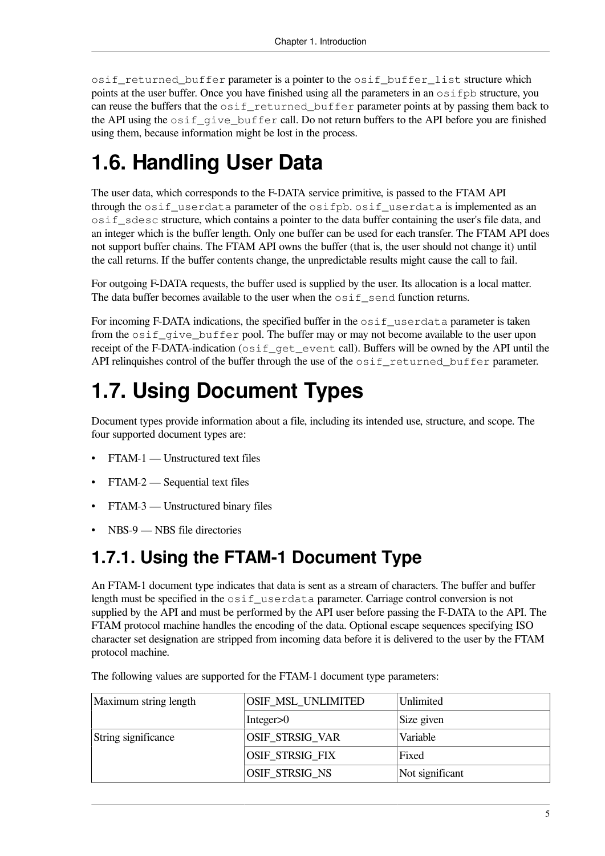osif\_returned\_buffer parameter is a pointer to the osif\_buffer\_list structure which points at the user buffer. Once you have finished using all the parameters in an osifpb structure, you can reuse the buffers that the osif returned buffer parameter points at by passing them back to the API using the  $\text{osif\_give\_buffer}$  call. Do not return buffers to the API before you are finished using them, because information might be lost in the process.

### <span id="page-10-0"></span>**1.6. Handling User Data**

The user data, which corresponds to the F-DATA service primitive, is passed to the FTAM API through the  $\text{osif}$  userdata parameter of the  $\text{osifpb.}$   $\text{osif}$  userdata is implemented as an osif\_sdesc structure, which contains a pointer to the data buffer containing the user's file data, and an integer which is the buffer length. Only one buffer can be used for each transfer. The FTAM API does not support buffer chains. The FTAM API owns the buffer (that is, the user should not change it) until the call returns. If the buffer contents change, the unpredictable results might cause the call to fail.

For outgoing F-DATA requests, the buffer used is supplied by the user. Its allocation is a local matter. The data buffer becomes available to the user when the  $\circ$ sif send function returns.

For incoming F-DATA indications, the specified buffer in the  $\circ$ sif\_userdata parameter is taken from the osif\_give\_buffer pool. The buffer may or may not become available to the user upon receipt of the F-DATA-indication ( $\circ$ s i f\_qet\_event call). Buffers will be owned by the API until the API relinquishes control of the buffer through the use of the osif\_returned\_buffer parameter.

## <span id="page-10-1"></span>**1.7. Using Document Types**

Document types provide information about a file, including its intended use, structure, and scope. The four supported document types are:

- FTAM-1 Unstructured text files
- FTAM-2 Sequential text files
- FTAM-3 Unstructured binary files
- NBS-9 NBS file directories

### <span id="page-10-2"></span>**1.7.1. Using the FTAM-1 Document Type**

An FTAM-1 document type indicates that data is sent as a stream of characters. The buffer and buffer length must be specified in the  $\sigma$ sif userdata parameter. Carriage control conversion is not supplied by the API and must be performed by the API user before passing the F-DATA to the API. The FTAM protocol machine handles the encoding of the data. Optional escape sequences specifying ISO character set designation are stripped from incoming data before it is delivered to the user by the FTAM protocol machine.

| Maximum string length | OSIF_MSL_UNLIMITED | Unlimited       |
|-----------------------|--------------------|-----------------|
|                       | Integer $>0$       | Size given      |
| String significance   | OSIF_STRSIG_VAR    | Variable        |
|                       | OSIF_STRSIG_FIX    | Fixed           |
|                       | OSIF_STRSIG_NS     | Not significant |

The following values are supported for the FTAM-1 document type parameters: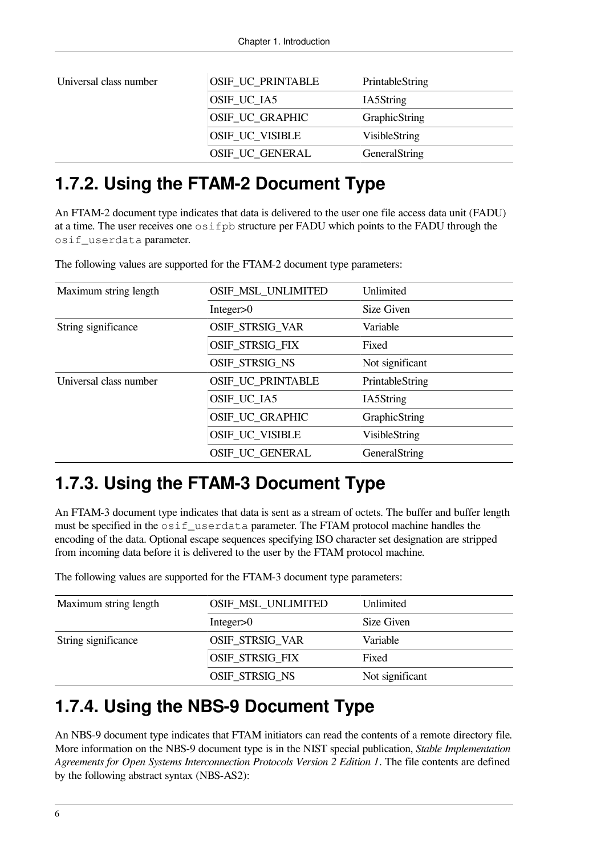| Universal class number | OSIF_UC_PRINTABLE | PrintableString |
|------------------------|-------------------|-----------------|
|                        | OSIF_UC_IA5       | IA5String       |
|                        | OSIF_UC_GRAPHIC   | GraphicString   |
|                        | OSIF_UC_VISIBLE   | VisibleString   |
|                        | OSIF_UC_GENERAL   | GeneralString   |

### <span id="page-11-0"></span>**1.7.2. Using the FTAM-2 Document Type**

An FTAM-2 document type indicates that data is delivered to the user one file access data unit (FADU) at a time. The user receives one osifpb structure per FADU which points to the FADU through the osif\_userdata parameter.

The following values are supported for the FTAM-2 document type parameters:

| Maximum string length  | <b>OSIF_MSL_UNLIMITED</b> | Unlimited       |
|------------------------|---------------------------|-----------------|
|                        |                           |                 |
|                        | Integer $>0$              | Size Given      |
| String significance    | OSIF_STRSIG_VAR           | Variable        |
|                        | OSIF_STRSIG_FIX           | Fixed           |
|                        | OSIF_STRSIG_NS            | Not significant |
| Universal class number | OSIF_UC_PRINTABLE         | PrintableString |
|                        | OSIF_UC_IA5               | IA5String       |
|                        | OSIF_UC_GRAPHIC           | GraphicString   |
|                        | OSIF_UC_VISIBLE           | VisibleString   |
|                        | <b>OSIF UC GENERAL</b>    | GeneralString   |

### <span id="page-11-1"></span>**1.7.3. Using the FTAM-3 Document Type**

An FTAM-3 document type indicates that data is sent as a stream of octets. The buffer and buffer length must be specified in the osif\_userdata parameter. The FTAM protocol machine handles the encoding of the data. Optional escape sequences specifying ISO character set designation are stripped from incoming data before it is delivered to the user by the FTAM protocol machine.

The following values are supported for the FTAM-3 document type parameters:

| Maximum string length | <b>OSIF_MSL_UNLIMITED</b> | Unlimited       |
|-----------------------|---------------------------|-----------------|
|                       | Integer $>0$              | Size Given      |
| String significance   | <b>OSIF STRSIG VAR</b>    | Variable        |
|                       | <b>OSIF STRSIG FIX</b>    | Fixed           |
|                       | <b>OSIF STRSIG NS</b>     | Not significant |

### <span id="page-11-2"></span>**1.7.4. Using the NBS-9 Document Type**

An NBS-9 document type indicates that FTAM initiators can read the contents of a remote directory file. More information on the NBS-9 document type is in the NIST special publication, *Stable Implementation Agreements for Open Systems Interconnection Protocols Version 2 Edition 1*. The file contents are defined by the following abstract syntax (NBS-AS2):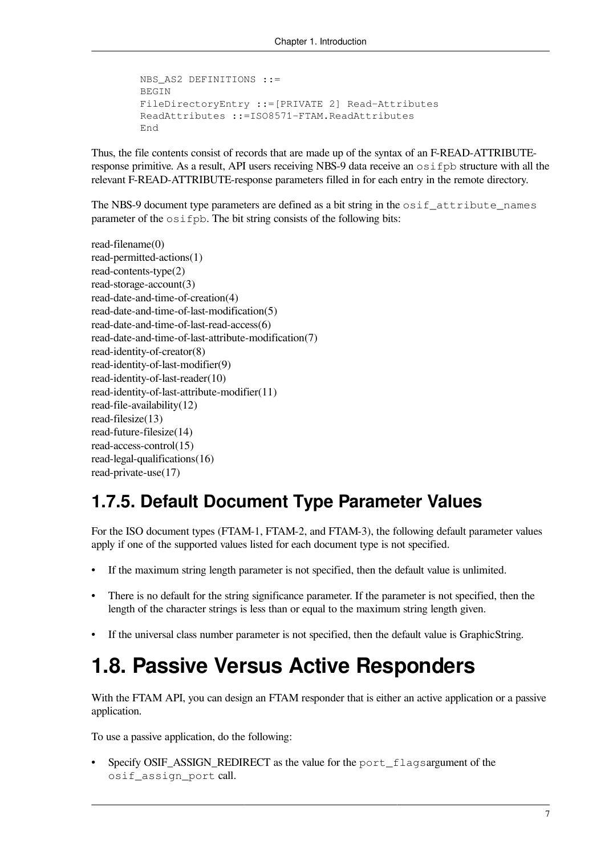```
 NBS_AS2 DEFINITIONS ::=
 BEGIN
 FileDirectoryEntry ::=[PRIVATE 2] Read-Attributes
 ReadAttributes ::=ISO8571-FTAM.ReadAttributes
 End
```
Thus, the file contents consist of records that are made up of the syntax of an F-READ-ATTRIBUTEresponse primitive. As a result, API users receiving NBS-9 data receive an osifpb structure with all the relevant F-READ-ATTRIBUTE-response parameters filled in for each entry in the remote directory.

The NBS-9 document type parameters are defined as a bit string in the  $\text{osif}\_ \text{attribute}\_ \text{names}$ parameter of the osifpb. The bit string consists of the following bits:

read-filename(0) read-permitted-actions(1) read-contents-type(2) read-storage-account(3) read-date-and-time-of-creation(4) read-date-and-time-of-last-modification(5) read-date-and-time-of-last-read-access(6) read-date-and-time-of-last-attribute-modification(7) read-identity-of-creator(8) read-identity-of-last-modifier(9) read-identity-of-last-reader(10) read-identity-of-last-attribute-modifier(11) read-file-availability(12) read-filesize(13) read-future-filesize(14) read-access-control(15) read-legal-qualifications(16) read-private-use(17)

### <span id="page-12-0"></span>**1.7.5. Default Document Type Parameter Values**

For the ISO document types (FTAM-1, FTAM-2, and FTAM-3), the following default parameter values apply if one of the supported values listed for each document type is not specified.

- If the maximum string length parameter is not specified, then the default value is unlimited.
- There is no default for the string significance parameter. If the parameter is not specified, then the length of the character strings is less than or equal to the maximum string length given.
- <span id="page-12-1"></span>• If the universal class number parameter is not specified, then the default value is GraphicString.

### **1.8. Passive Versus Active Responders**

With the FTAM API, you can design an FTAM responder that is either an active application or a passive application.

To use a passive application, do the following:

Specify OSIF\_ASSIGN\_REDIRECT as the value for the port flagsargument of the osif\_assign\_port call.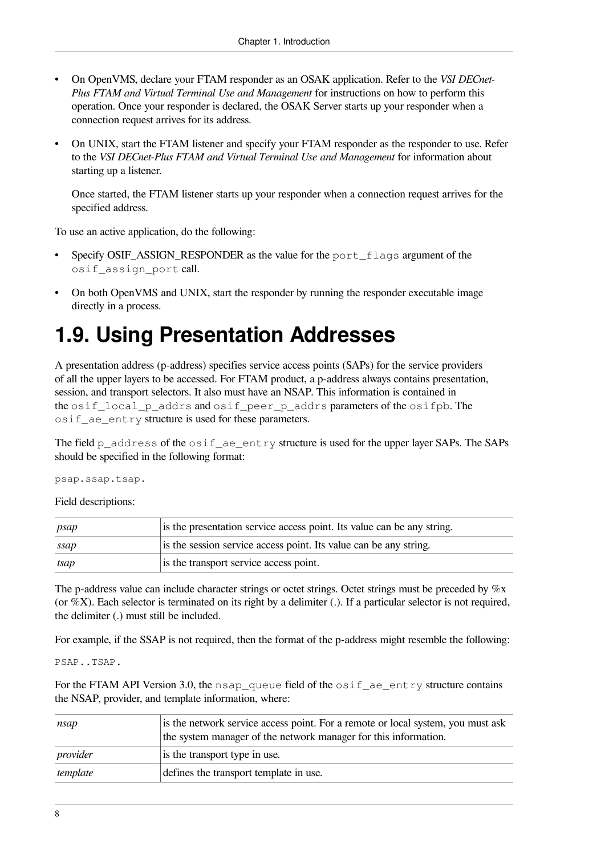- On OpenVMS, declare your FTAM responder as an OSAK application. Refer to the *VSI DECnet-Plus FTAM and Virtual Terminal Use and Management* for instructions on how to perform this operation. Once your responder is declared, the OSAK Server starts up your responder when a connection request arrives for its address.
- On UNIX, start the FTAM listener and specify your FTAM responder as the responder to use. Refer to the *VSI DECnet-Plus FTAM and Virtual Terminal Use and Management* for information about starting up a listener.

Once started, the FTAM listener starts up your responder when a connection request arrives for the specified address.

To use an active application, do the following:

- Specify OSIF\_ASSIGN\_RESPONDER as the value for the port\_flags argument of the osif assign port call.
- On both OpenVMS and UNIX, start the responder by running the responder executable image directly in a process.

### <span id="page-13-0"></span>**1.9. Using Presentation Addresses**

A presentation address (p-address) specifies service access points (SAPs) for the service providers of all the upper layers to be accessed. For FTAM product, a p-address always contains presentation, session, and transport selectors. It also must have an NSAP. This information is contained in the osif\_local\_p\_addrs and osif\_peer\_p\_addrs parameters of the osifpb. The osif\_ae\_entry structure is used for these parameters.

The field  $p_{address}$  of the  $osif_{ad}e_{entry}$  structure is used for the upper layer SAPs. The SAPs should be specified in the following format:

psap.ssap.tsap.

Field descriptions:

| psap  | is the presentation service access point. Its value can be any string. |
|-------|------------------------------------------------------------------------|
| ssap  | is the session service access point. Its value can be any string.      |
| itsap | is the transport service access point.                                 |

The p-address value can include character strings or octet strings. Octet strings must be preceded by  $\%x$ (or  $\%X$ ). Each selector is terminated on its right by a delimiter (.). If a particular selector is not required, the delimiter (.) must still be included.

For example, if the SSAP is not required, then the format of the p-address might resemble the following:

PSAP..TSAP.

For the FTAM API Version 3.0, the nsap queue field of the  $\circ$ sif ae entry structure contains the NSAP, provider, and template information, where:

| $ n\mathcal{S}ap $ | is the network service access point. For a remote or local system, you must ask<br>the system manager of the network manager for this information. |
|--------------------|----------------------------------------------------------------------------------------------------------------------------------------------------|
| provider           | is the transport type in use.                                                                                                                      |
| template           | defines the transport template in use.                                                                                                             |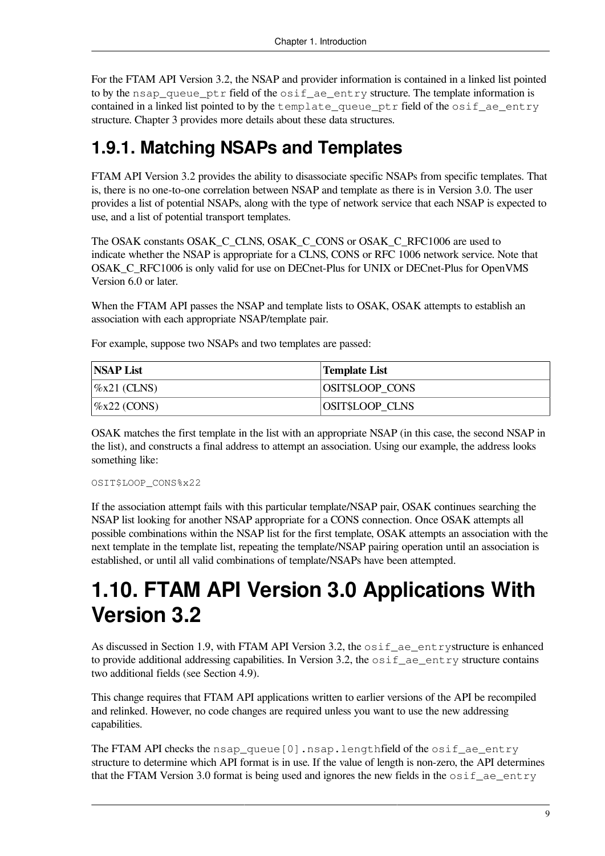For the FTAM API Version 3.2, the NSAP and provider information is contained in a linked list pointed to by the nsap\_queue\_ptr field of the  $\circ$ sif\_ae\_entry structure. The template information is contained in a linked list pointed to by the template queue ptr field of the osif ae entry structure. [Chapter](#page-20-0) 3 provides more details about these data structures.

### <span id="page-14-0"></span>**1.9.1. Matching NSAPs and Templates**

FTAM API Version 3.2 provides the ability to disassociate specific NSAPs from specific templates. That is, there is no one-to-one correlation between NSAP and template as there is in Version 3.0. The user provides a list of potential NSAPs, along with the type of network service that each NSAP is expected to use, and a list of potential transport templates.

The OSAK constants OSAK\_C\_CLNS, OSAK\_C\_CONS or OSAK\_C\_RFC1006 are used to indicate whether the NSAP is appropriate for a CLNS, CONS or RFC 1006 network service. Note that OSAK\_C\_RFC1006 is only valid for use on DECnet-Plus for UNIX or DECnet-Plus for OpenVMS Version 6.0 or later.

When the FTAM API passes the NSAP and template lists to OSAK, OSAK attempts to establish an association with each appropriate NSAP/template pair.

For example, suppose two NSAPs and two templates are passed:

| <b>NSAP List</b>               | Template List          |
|--------------------------------|------------------------|
| $\frac{1}{2}$ (CLNS)           | <b>OSIT\$LOOP CONS</b> |
| $\frac{\%x22}{\degree}$ (CONS) | <b>OSIT\$LOOP CLNS</b> |

OSAK matches the first template in the list with an appropriate NSAP (in this case, the second NSAP in the list), and constructs a final address to attempt an association. Using our example, the address looks something like:

#### OSIT\$LOOP\_CONS%x22

If the association attempt fails with this particular template/NSAP pair, OSAK continues searching the NSAP list looking for another NSAP appropriate for a CONS connection. Once OSAK attempts all possible combinations within the NSAP list for the first template, OSAK attempts an association with the next template in the template list, repeating the template/NSAP pairing operation until an association is established, or until all valid combinations of template/NSAPs have been attempted.

### <span id="page-14-1"></span>**1.10. FTAM API Version 3.0 Applications With Version 3.2**

As discussed in [Section](#page-13-0) 1.9, with FTAM API Version 3.2, the  $\circ$ sif\_ae\_entrystructure is enhanced to provide additional addressing capabilities. In Version 3.2, the  $\circ$ sif\_ae\_entry structure contains two additional fields (see [Section](#page-44-1) 4.9).

This change requires that FTAM API applications written to earlier versions of the API be recompiled and relinked. However, no code changes are required unless you want to use the new addressing capabilities.

The FTAM API checks the nsap\_queue [0].nsap.lengthfield of the osif\_ae\_entry structure to determine which API format is in use. If the value of length is non-zero, the API determines that the FTAM Version 3.0 format is being used and ignores the new fields in the  $\circ$ sif ae entry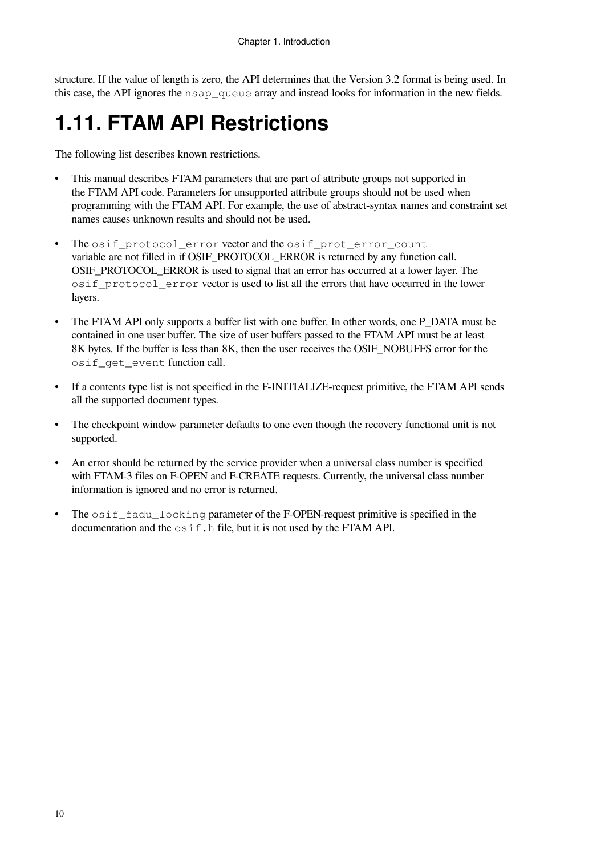structure. If the value of length is zero, the API determines that the Version 3.2 format is being used. In this case, the API ignores the nsap\_queue array and instead looks for information in the new fields.

## <span id="page-15-0"></span>**1.11. FTAM API Restrictions**

The following list describes known restrictions.

- This manual describes FTAM parameters that are part of attribute groups not supported in the FTAM API code. Parameters for unsupported attribute groups should not be used when programming with the FTAM API. For example, the use of abstract-syntax names and constraint set names causes unknown results and should not be used.
- The osif protocol error vector and the osif prot error count variable are not filled in if OSIF\_PROTOCOL\_ERROR is returned by any function call. OSIF\_PROTOCOL\_ERROR is used to signal that an error has occurred at a lower layer. The osif\_protocol\_error vector is used to list all the errors that have occurred in the lower layers.
- The FTAM API only supports a buffer list with one buffer. In other words, one P\_DATA must be contained in one user buffer. The size of user buffers passed to the FTAM API must be at least 8K bytes. If the buffer is less than 8K, then the user receives the OSIF\_NOBUFFS error for the osif get event function call.
- If a contents type list is not specified in the F-INITIALIZE-request primitive, the FTAM API sends all the supported document types.
- The checkpoint window parameter defaults to one even though the recovery functional unit is not supported.
- An error should be returned by the service provider when a universal class number is specified with FTAM-3 files on F-OPEN and F-CREATE requests. Currently, the universal class number information is ignored and no error is returned.
- The  $\circ$ sif fadu locking parameter of the F-OPEN-request primitive is specified in the documentation and the  $\circ$ sif.h file, but it is not used by the FTAM API.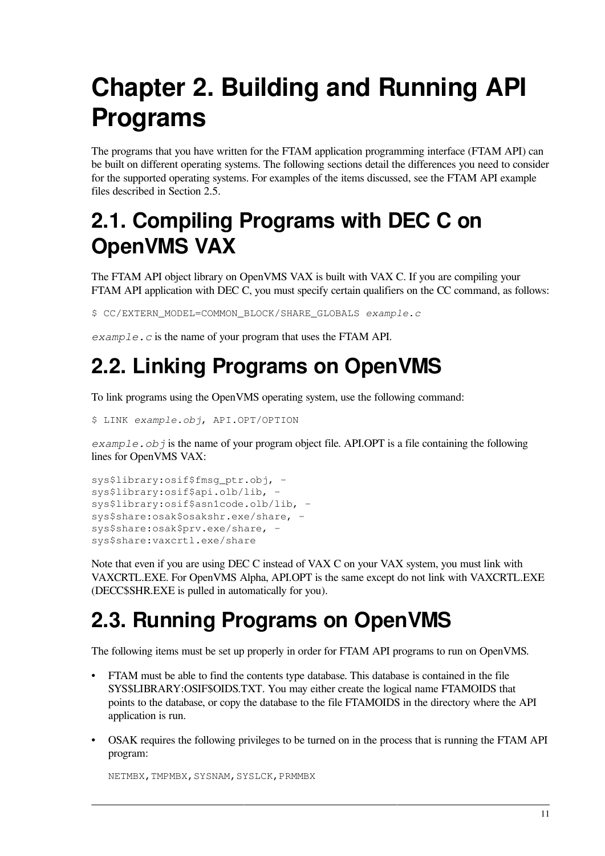## <span id="page-16-0"></span>**Chapter 2. Building and Running API Programs**

The programs that you have written for the FTAM application programming interface (FTAM API) can be built on different operating systems. The following sections detail the differences you need to consider for the supported operating systems. For examples of the items discussed, see the FTAM API example files described in [Section](#page-17-1) 2.5.

### <span id="page-16-1"></span>**2.1. Compiling Programs with DEC C on OpenVMS VAX**

The FTAM API object library on OpenVMS VAX is built with VAX C. If you are compiling your FTAM API application with DEC C, you must specify certain qualifiers on the CC command, as follows:

\$ CC/EXTERN\_MODEL=COMMON\_BLOCK/SHARE\_GLOBALS *example.c*

*example.c* is the name of your program that uses the FTAM API.

### <span id="page-16-2"></span>**2.2. Linking Programs on OpenVMS**

To link programs using the OpenVMS operating system, use the following command:

\$ LINK *example.obj*, API.OPT/OPTION

*example.obj* is the name of your program object file. API.OPT is a file containing the following lines for OpenVMS VAX:

```
sys$library:osif$fmsg_ptr.obj, -
sys$library:osif$api.olb/lib, -
sys$library:osif$asn1code.olb/lib, -
sys$share:osak$osakshr.exe/share, -
sys$share:osak$prv.exe/share, -
sys$share:vaxcrtl.exe/share
```
Note that even if you are using DEC C instead of VAX C on your VAX system, you must link with VAXCRTL.EXE. For OpenVMS Alpha, API.OPT is the same except do not link with VAXCRTL.EXE (DECC\$SHR.EXE is pulled in automatically for you).

### <span id="page-16-3"></span>**2.3. Running Programs on OpenVMS**

The following items must be set up properly in order for FTAM API programs to run on OpenVMS.

- FTAM must be able to find the contents type database. This database is contained in the file SYS\$LIBRARY:OSIF\$OIDS.TXT. You may either create the logical name FTAMOIDS that points to the database, or copy the database to the file FTAMOIDS in the directory where the API application is run.
- OSAK requires the following privileges to be turned on in the process that is running the FTAM API program:

NETMBX, TMPMBX, SYSNAM, SYSLCK, PRMMBX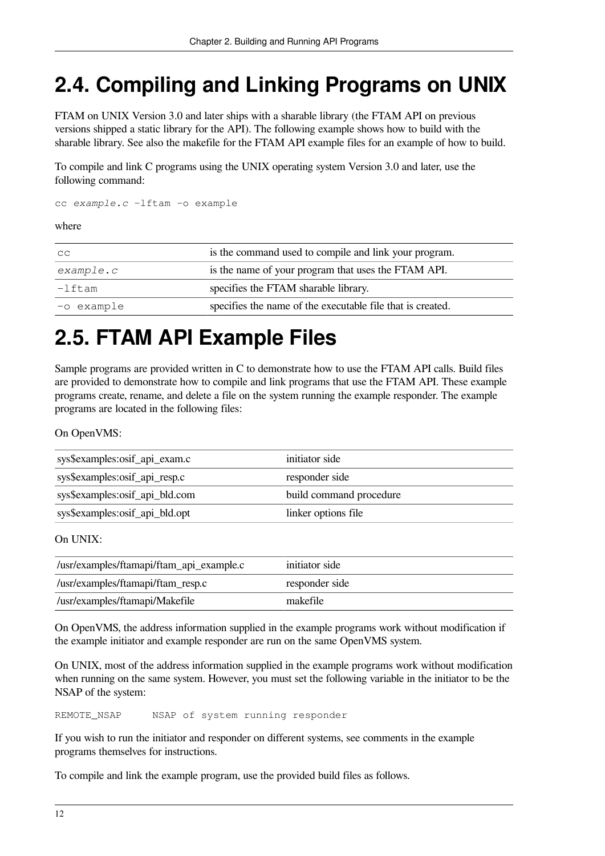### <span id="page-17-0"></span>**2.4. Compiling and Linking Programs on UNIX**

FTAM on UNIX Version 3.0 and later ships with a sharable library (the FTAM API on previous versions shipped a static library for the API). The following example shows how to build with the sharable library. See also the makefile for the FTAM API example files for an example of how to build.

To compile and link C programs using the UNIX operating system Version 3.0 and later, use the following command:

cc *example.c* -lftam -o example

#### where

| $\overline{\mathsf{C}}$ | is the command used to compile and link your program.      |  |  |
|-------------------------|------------------------------------------------------------|--|--|
| example.c               | is the name of your program that uses the FTAM API.        |  |  |
| $l-1$ ftam              | specifies the FTAM sharable library.                       |  |  |
| -o example              | specifies the name of the executable file that is created. |  |  |

### <span id="page-17-1"></span>**2.5. FTAM API Example Files**

Sample programs are provided written in C to demonstrate how to use the FTAM API calls. Build files are provided to demonstrate how to compile and link programs that use the FTAM API. These example programs create, rename, and delete a file on the system running the example responder. The example programs are located in the following files:

On OpenVMS:

| sys\$examples:osif_api_exam.c  | initiator side          |
|--------------------------------|-------------------------|
| sys\$examples:osif_api_resp.c  | responder side          |
| sys\$examples:osif_api_bld.com | build command procedure |
| sys\$examples:osif_api_bld.opt | linker options file     |

On UNIX:

| //usr/examples/ftamapi/ftam_api_example.c | initiator side |
|-------------------------------------------|----------------|
| //usr/examples/ftamapi/ftam_resp.c        | responder side |
| //usr/examples/ftamapi/Makefile           | makefile       |

On OpenVMS, the address information supplied in the example programs work without modification if the example initiator and example responder are run on the same OpenVMS system.

On UNIX, most of the address information supplied in the example programs work without modification when running on the same system. However, you must set the following variable in the initiator to be the NSAP of the system:

REMOTE\_NSAP NSAP of system running responder

If you wish to run the initiator and responder on different systems, see comments in the example programs themselves for instructions.

To compile and link the example program, use the provided build files as follows.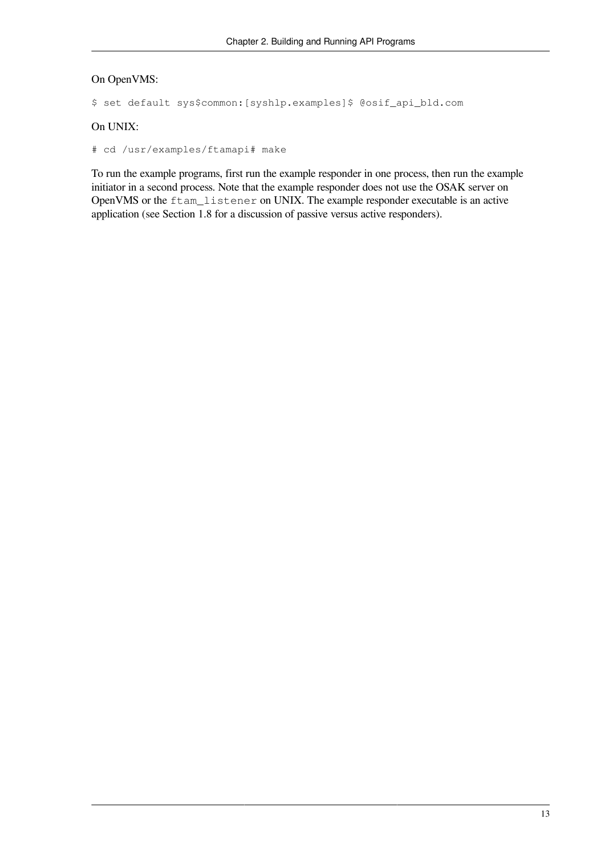#### On OpenVMS:

```
$ set default sys$common:[syshlp.examples]$ @osif_api_bld.com
```
#### On UNIX:

# cd /usr/examples/ftamapi# make

To run the example programs, first run the example responder in one process, then run the example initiator in a second process. Note that the example responder does not use the OSAK server on OpenVMS or the ftam\_listener on UNIX. The example responder executable is an active application (see [Section](#page-12-1) 1.8 for a discussion of passive versus active responders).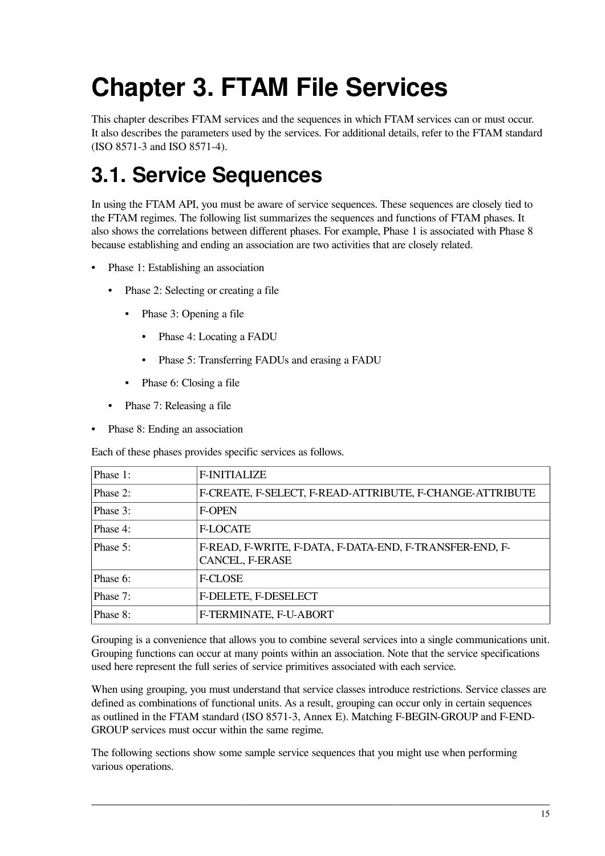# <span id="page-20-0"></span>**Chapter 3. FTAM File Services**

This chapter describes FTAM services and the sequences in which FTAM services can or must occur. It also describes the parameters used by the services. For additional details, refer to the FTAM standard (ISO 8571-3 and ISO 8571-4).

## <span id="page-20-1"></span>**3.1. Service Sequences**

In using the FTAM API, you must be aware of service sequences. These sequences are closely tied to the FTAM regimes. The following list summarizes the sequences and functions of FTAM phases. It also shows the correlations between different phases. For example, Phase 1 is associated with Phase 8 because establishing and ending an association are two activities that are closely related.

- Phase 1: Establishing an association
	- Phase 2: Selecting or creating a file
		- Phase 3: Opening a file
			- Phase 4: Locating a FADU
			- Phase 5: Transferring FADUs and erasing a FADU
		- Phase 6: Closing a file
	- Phase 7: Releasing a file
- Phase 8: Ending an association

Each of these phases provides specific services as follows.

| Phase 1: | <b>F-INITIALIZE</b>                                                        |
|----------|----------------------------------------------------------------------------|
| Phase 2: | F-CREATE, F-SELECT, F-READ-ATTRIBUTE, F-CHANGE-ATTRIBUTE                   |
| Phase 3: | <b>F-OPEN</b>                                                              |
| Phase 4: | <b>F-LOCATE</b>                                                            |
| Phase 5: | F-READ, F-WRITE, F-DATA, F-DATA-END, F-TRANSFER-END, F-<br>CANCEL, F-ERASE |
| Phase 6: | <b>F-CLOSE</b>                                                             |
| Phase 7: | F-DELETE, F-DESELECT                                                       |
| Phase 8: | F-TERMINATE, F-U-ABORT                                                     |

Grouping is a convenience that allows you to combine several services into a single communications unit. Grouping functions can occur at many points within an association. Note that the service specifications used here represent the full series of service primitives associated with each service.

When using grouping, you must understand that service classes introduce restrictions. Service classes are defined as combinations of functional units. As a result, grouping can occur only in certain sequences as outlined in the FTAM standard (ISO 8571-3, Annex E). Matching F-BEGIN-GROUP and F-END-GROUP services must occur within the same regime.

The following sections show some sample service sequences that you might use when performing various operations.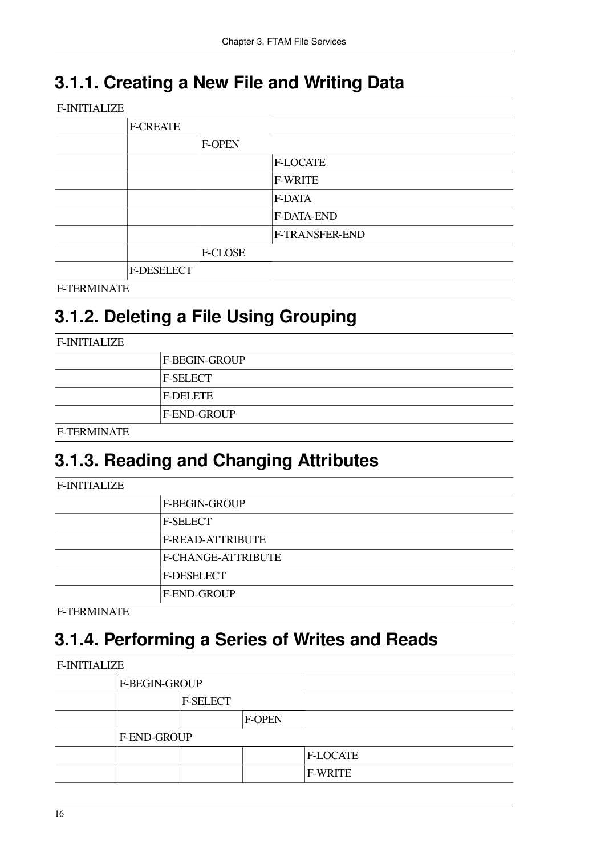### <span id="page-21-0"></span>**3.1.1. Creating a New File and Writing Data**

| <b>F-INITIALIZE</b> |                 |                |  |  |  |
|---------------------|-----------------|----------------|--|--|--|
| <b>F-CREATE</b>     |                 |                |  |  |  |
|                     | <b>F-OPEN</b>   |                |  |  |  |
|                     | <b>F-LOCATE</b> |                |  |  |  |
|                     | <b>F-WRITE</b>  |                |  |  |  |
|                     |                 | F-DATA         |  |  |  |
|                     |                 | F-DATA-END     |  |  |  |
|                     |                 | F-TRANSFER-END |  |  |  |
|                     | <b>F-CLOSE</b>  |                |  |  |  |
| F-DESELECT          |                 |                |  |  |  |
| <b>F-TERMINATE</b>  |                 |                |  |  |  |

### <span id="page-21-1"></span>**3.1.2. Deleting a File Using Grouping**

| <b>F-INITIALIZE</b> |                      |
|---------------------|----------------------|
|                     | <b>F-BEGIN-GROUP</b> |
|                     | <b>F-SELECT</b>      |
|                     | <b>F-DELETE</b>      |
|                     | <b>F-END-GROUP</b>   |
| <b>F-TERMINATE</b>  |                      |

### <span id="page-21-2"></span>**3.1.3. Reading and Changing Attributes**

| <b>F-INITIALIZE</b> |                         |
|---------------------|-------------------------|
|                     | <b>F-BEGIN-GROUP</b>    |
|                     | <b>F-SELECT</b>         |
|                     | <b>F-READ-ATTRIBUTE</b> |
|                     | F-CHANGE-ATTRIBUTE      |
|                     | <b>F-DESELECT</b>       |
|                     | F-END-GROUP             |
| <b>F-TERMINATE</b>  |                         |

### <span id="page-21-3"></span>**3.1.4. Performing a Series of Writes and Reads**

| <b>F-INITIALIZE</b> |               |                 |               |                 |  |
|---------------------|---------------|-----------------|---------------|-----------------|--|
|                     | F-BEGIN-GROUP |                 |               |                 |  |
|                     |               | <b>F-SELECT</b> |               |                 |  |
|                     |               |                 | <b>F-OPEN</b> |                 |  |
|                     | F-END-GROUP   |                 |               |                 |  |
|                     |               |                 |               | <b>F-LOCATE</b> |  |
|                     |               |                 |               | <b>F-WRITE</b>  |  |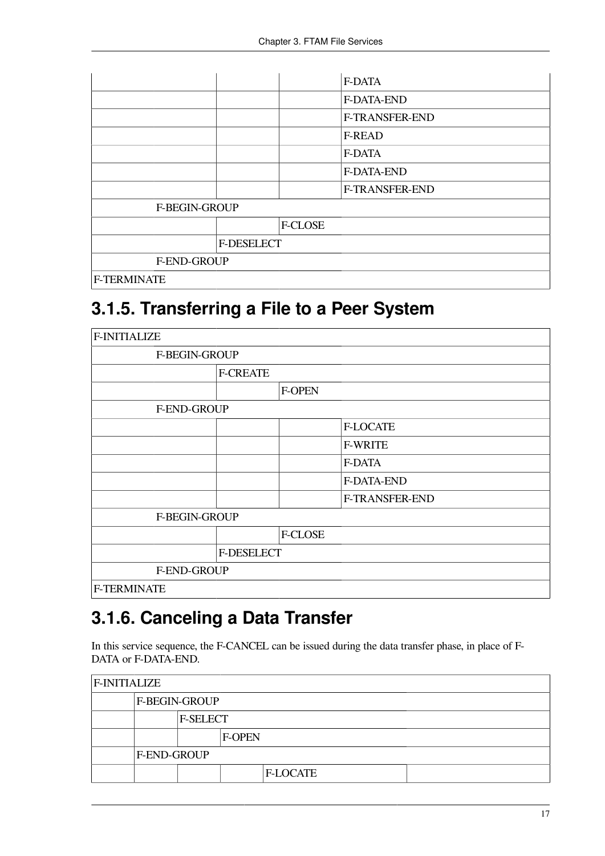|                    |                      |                | F-DATA            |  |
|--------------------|----------------------|----------------|-------------------|--|
|                    |                      |                | <b>F-DATA-END</b> |  |
|                    |                      |                | F-TRANSFER-END    |  |
|                    |                      |                | <b>F-READ</b>     |  |
|                    |                      |                | F-DATA            |  |
|                    |                      |                | F-DATA-END        |  |
|                    |                      |                | F-TRANSFER-END    |  |
|                    | <b>F-BEGIN-GROUP</b> |                |                   |  |
|                    |                      | <b>F-CLOSE</b> |                   |  |
|                    | F-DESELECT           |                |                   |  |
|                    | F-END-GROUP          |                |                   |  |
| <b>F-TERMINATE</b> |                      |                |                   |  |

### <span id="page-22-0"></span>**3.1.5. Transferring a File to a Peer System**

| <b>F-INITIALIZE</b> |                 |                 |                |                |  |  |
|---------------------|-----------------|-----------------|----------------|----------------|--|--|
|                     | F-BEGIN-GROUP   |                 |                |                |  |  |
|                     |                 | <b>F-CREATE</b> |                |                |  |  |
|                     |                 |                 | <b>F-OPEN</b>  |                |  |  |
|                     | F-END-GROUP     |                 |                |                |  |  |
|                     | <b>F-LOCATE</b> |                 |                |                |  |  |
|                     |                 |                 |                | <b>F-WRITE</b> |  |  |
|                     |                 |                 |                | F-DATA         |  |  |
|                     |                 |                 |                | F-DATA-END     |  |  |
|                     |                 |                 |                | F-TRANSFER-END |  |  |
|                     | F-BEGIN-GROUP   |                 |                |                |  |  |
|                     |                 |                 | <b>F-CLOSE</b> |                |  |  |
|                     |                 | F-DESELECT      |                |                |  |  |
|                     | F-END-GROUP     |                 |                |                |  |  |
| <b>F-TERMINATE</b>  |                 |                 |                |                |  |  |

### <span id="page-22-1"></span>**3.1.6. Canceling a Data Transfer**

In this service sequence, the F-CANCEL can be issued during the data transfer phase, in place of F-DATA or F-DATA-END.

| <b>F-INITIALIZE</b>  |  |        |                 |  |  |
|----------------------|--|--------|-----------------|--|--|
| <b>F-BEGIN-GROUP</b> |  |        |                 |  |  |
| <b>F-SELECT</b>      |  |        |                 |  |  |
|                      |  | F-OPEN |                 |  |  |
| <b>F-END-GROUP</b>   |  |        |                 |  |  |
|                      |  |        | <b>F-LOCATE</b> |  |  |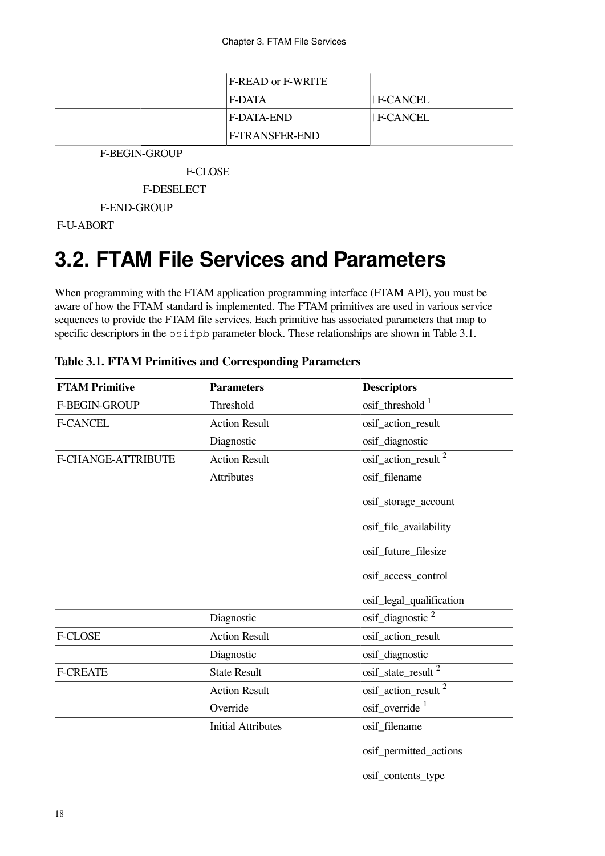|                  |                      |  |  | F-READ or F-WRITE |                  |
|------------------|----------------------|--|--|-------------------|------------------|
|                  |                      |  |  | <b>F-DATA</b>     | <b>IF-CANCEL</b> |
|                  |                      |  |  | F-DATA-END        | <b>F-CANCEL</b>  |
|                  |                      |  |  | F-TRANSFER-END    |                  |
|                  | <b>F-BEGIN-GROUP</b> |  |  |                   |                  |
|                  | <b>F-CLOSE</b>       |  |  |                   |                  |
|                  | <b>F-DESELECT</b>    |  |  |                   |                  |
|                  | F-END-GROUP          |  |  |                   |                  |
| <b>F-U-ABORT</b> |                      |  |  |                   |                  |

### <span id="page-23-0"></span>**3.2. FTAM File Services and Parameters**

When programming with the FTAM application programming interface (FTAM API), you must be aware of how the FTAM standard is implemented. The FTAM primitives are used in various service sequences to provide the FTAM file services. Each primitive has associated parameters that map to specific descriptors in the  $\circ$  s if pb parameter block. These relationships are shown in [Table](#page-23-1) 3.1.

| <b>FTAM Primitive</b> | <b>Parameters</b>         | <b>Descriptors</b>              |
|-----------------------|---------------------------|---------------------------------|
| F-BEGIN-GROUP         | Threshold                 | osif_threshold <sup>1</sup>     |
| <b>F-CANCEL</b>       | <b>Action Result</b>      | osif_action_result              |
|                       | Diagnostic                | osif_diagnostic                 |
| F-CHANGE-ATTRIBUTE    | <b>Action Result</b>      | osif_action_result <sup>2</sup> |
|                       | <b>Attributes</b>         | osif_filename                   |
|                       |                           | osif_storage_account            |
|                       |                           | osif_file_availability          |
|                       |                           | osif_future_filesize            |
|                       |                           | osif_access_control             |
|                       |                           | osif_legal_qualification        |
|                       | Diagnostic                | osif_diagnostic $2$             |
| F-CLOSE               | <b>Action Result</b>      | osif_action_result              |
|                       | Diagnostic                | osif_diagnostic                 |
| <b>F-CREATE</b>       | <b>State Result</b>       | osif_state_result <sup>2</sup>  |
|                       | <b>Action Result</b>      | osif_action_result <sup>2</sup> |
|                       | Override                  | $\mathrm{osif\_override}^{-1}$  |
|                       | <b>Initial Attributes</b> | osif_filename                   |
|                       |                           | osif_permitted_actions          |
|                       |                           | osif_contents_type              |

<span id="page-23-1"></span>**Table 3.1. FTAM Primitives and Corresponding Parameters**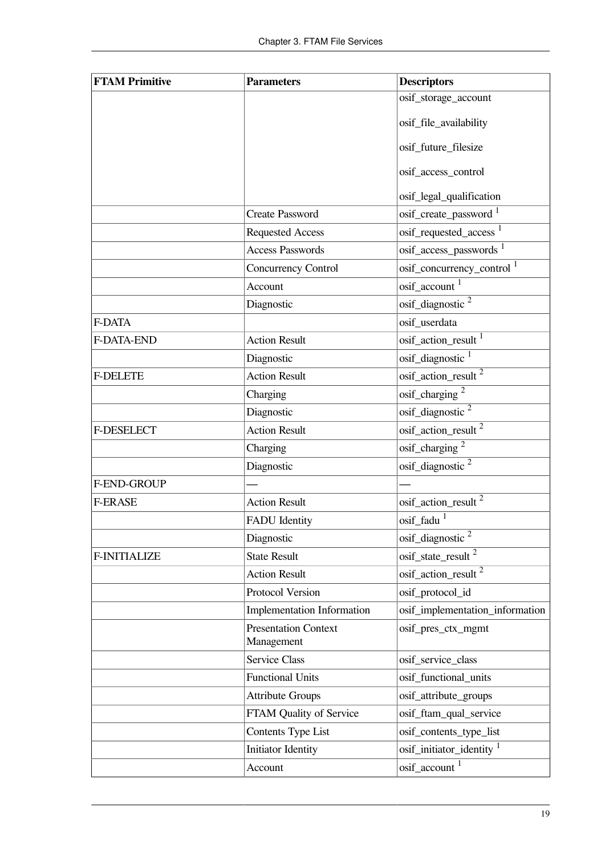| <b>FTAM Primitive</b> | <b>Parameters</b>                         | <b>Descriptors</b>                    |
|-----------------------|-------------------------------------------|---------------------------------------|
|                       |                                           | osif_storage_account                  |
|                       |                                           | osif_file_availability                |
|                       |                                           | osif_future_filesize                  |
|                       |                                           | osif_access_control                   |
|                       |                                           | osif_legal_qualification              |
|                       | <b>Create Password</b>                    | osif_create_password <sup>1</sup>     |
|                       | <b>Requested Access</b>                   | osif_requested_access <sup>1</sup>    |
|                       | <b>Access Passwords</b>                   | osif_access_passwords <sup>1</sup>    |
|                       | Concurrency Control                       | osif_concurrency_control <sup>1</sup> |
|                       | Account                                   | osif_account <sup>1</sup>             |
|                       | Diagnostic                                | osif_diagnostic <sup>2</sup>          |
| F-DATA                |                                           | osif userdata                         |
| F-DATA-END            | <b>Action Result</b>                      | osif_action_result <sup>1</sup>       |
|                       | Diagnostic                                | osif_diagnostic <sup>1</sup>          |
| <b>F-DELETE</b>       | <b>Action Result</b>                      | osif_action_result <sup>2</sup>       |
|                       | Charging                                  | $\mathrm{osif\_charging}$ $^2$        |
|                       | Diagnostic                                | osif_diagnostic <sup>2</sup>          |
| F-DESELECT            | <b>Action Result</b>                      | $\text{osif\_action\_result}^2$       |
|                       | Charging                                  | osif_charging <sup>2</sup>            |
|                       | Diagnostic                                | osif_diagnostic <sup>2</sup>          |
| F-END-GROUP           |                                           |                                       |
| <b>F-ERASE</b>        | <b>Action Result</b>                      | osif_action_result <sup>2</sup>       |
|                       | <b>FADU</b> Identity                      | $\mathrm{osif\_fadu}$ <sup>1</sup>    |
|                       | Diagnostic                                | osif_diagnostic <sup>2</sup>          |
| <b>F-INITIALIZE</b>   | <b>State Result</b>                       | osif_state_result <sup>2</sup>        |
|                       | <b>Action Result</b>                      | $\mathrm{osif\_action\_result}^2$     |
|                       | Protocol Version                          | osif_protocol_id                      |
|                       | Implementation Information                | osif_implementation_information       |
|                       | <b>Presentation Context</b><br>Management | osif_pres_ctx_mgmt                    |
|                       | <b>Service Class</b>                      | osif_service_class                    |
|                       | <b>Functional Units</b>                   | osif_functional_units                 |
|                       | <b>Attribute Groups</b>                   | osif_attribute_groups                 |
|                       | FTAM Quality of Service                   | osif_ftam_qual_service                |
|                       | <b>Contents Type List</b>                 | osif_contents_type_list               |
|                       | Initiator Identity                        | osif_initiator_identity 1             |
|                       | Account                                   | $\mathrm{osif\_account}^{-1}$         |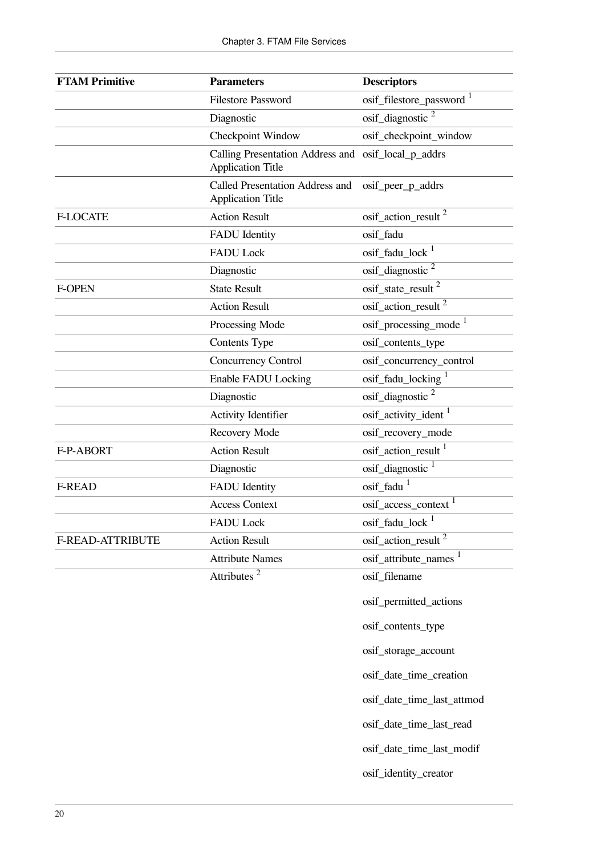| <b>FTAM Primitive</b> | <b>Parameters</b>                                                  | <b>Descriptors</b>                       |
|-----------------------|--------------------------------------------------------------------|------------------------------------------|
|                       | <b>Filestore Password</b>                                          | osif_filestore_password <sup>1</sup>     |
|                       | Diagnostic                                                         | osif_diagnostic $2$                      |
|                       | Checkpoint Window                                                  | osif_checkpoint_window                   |
|                       | Calling Presentation Address and<br><b>Application Title</b>       | osif_local_p_addrs                       |
|                       | <b>Called Presentation Address and</b><br><b>Application Title</b> | osif_peer_p_addrs                        |
| <b>F-LOCATE</b>       | <b>Action Result</b>                                               | osif_action_result <sup>2</sup>          |
|                       | <b>FADU</b> Identity                                               | osif_fadu                                |
|                       | <b>FADU Lock</b>                                                   | $\mathrm{osif\_fadu\_lock}$ <sup>1</sup> |
|                       | Diagnostic                                                         | osif_diagnostic <sup>2</sup>             |
| <b>F-OPEN</b>         | <b>State Result</b>                                                | $\text{osif\_state\_result}^2$           |
|                       | <b>Action Result</b>                                               | $\mathrm{osif\_action\_result}^2$        |
|                       | Processing Mode                                                    | osif_processing_mode <sup>1</sup>        |
|                       | Contents Type                                                      | osif_contents_type                       |
|                       | Concurrency Control                                                | osif_concurrency_control                 |
|                       | <b>Enable FADU Locking</b>                                         | osif_fadu_locking <sup>1</sup>           |
|                       | Diagnostic                                                         | osif_diagnostic <sup>2</sup>             |
|                       | Activity Identifier                                                | osif_activity_ident <sup>1</sup>         |
|                       | Recovery Mode                                                      | osif_recovery_mode                       |
| F-P-ABORT             | <b>Action Result</b>                                               | osif_action_result <sup>1</sup>          |
|                       | Diagnostic                                                         | osif_diagnostic 1                        |
| <b>F-READ</b>         | <b>FADU</b> Identity                                               | osif_fadu <sup>1</sup>                   |
|                       | <b>Access Context</b>                                              | osif_access_context <sup>1</sup>         |
|                       | <b>FADU Lock</b>                                                   | $\mathrm{osif\_fadu\_lock}$ <sup>1</sup> |
| F-READ-ATTRIBUTE      | <b>Action Result</b>                                               | osif_action_result <sup>2</sup>          |
|                       | <b>Attribute Names</b>                                             | osif_attribute_names <sup>1</sup>        |
|                       | Attributes <sup>2</sup>                                            | osif_filename                            |
|                       |                                                                    | osif_permitted_actions                   |
|                       |                                                                    | osif_contents_type                       |
|                       |                                                                    | osif_storage_account                     |
|                       |                                                                    | osif_date_time_creation                  |
|                       |                                                                    | osif_date_time_last_attmod               |
|                       |                                                                    | osif_date_time_last_read                 |
|                       |                                                                    | osif_date_time_last_modif                |
|                       |                                                                    | osif_identity_creator                    |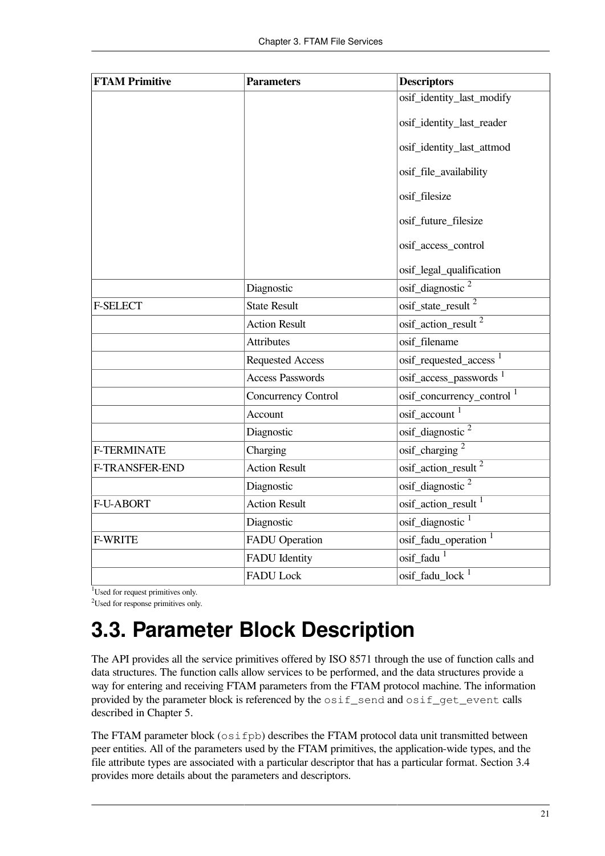| <b>FTAM Primitive</b> | <b>Parameters</b>          | <b>Descriptors</b>                       |
|-----------------------|----------------------------|------------------------------------------|
|                       |                            | osif_identity_last_modify                |
|                       |                            | osif_identity_last_reader                |
|                       |                            | osif_identity_last_attmod                |
|                       |                            | osif_file_availability                   |
|                       |                            | osif filesize                            |
|                       |                            | osif_future_filesize                     |
|                       |                            | osif_access_control                      |
|                       |                            | osif_legal_qualification                 |
|                       | Diagnostic                 | $\overline{\text{osif\_diagnostic}}^2$   |
| <b>F-SELECT</b>       | <b>State Result</b>        | osif_state_result <sup>2</sup>           |
|                       | <b>Action Result</b>       | osif_action_result <sup>2</sup>          |
|                       | <b>Attributes</b>          | osif filename                            |
|                       | <b>Requested Access</b>    | osif_requested_access <sup>1</sup>       |
|                       | <b>Access Passwords</b>    | osif_access_passwords <sup>1</sup>       |
|                       | <b>Concurrency Control</b> | osif_concurrency_control 1               |
|                       | Account                    | osif_account <sup>1</sup>                |
|                       | Diagnostic                 | $\mathrm{osif\_diagnostic}$ <sup>2</sup> |
| <b>F-TERMINATE</b>    | Charging                   | $\overline{\text{osif\_charging}^2}$     |
| F-TRANSFER-END        | <b>Action Result</b>       | osif_action_result <sup>2</sup>          |
|                       | Diagnostic                 | osif_diagnostic <sup>2</sup>             |
| <b>F-U-ABORT</b>      | <b>Action Result</b>       | osif action result 1                     |
|                       | Diagnostic                 | osif_diagnostic <sup>1</sup>             |
| <b>F-WRITE</b>        | <b>FADU</b> Operation      | osif_fadu_operation <sup>1</sup>         |
|                       | <b>FADU</b> Identity       | osif_fadu <sup>1</sup>                   |
|                       | <b>FADU Lock</b>           | $\mathrm{osif\_fadu\_lock}$ <sup>1</sup> |

 $\overline{^{1}}$ Used for request primitives only.

<sup>2</sup>Used for response primitives only.

### <span id="page-26-0"></span>**3.3. Parameter Block Description**

The API provides all the service primitives offered by ISO 8571 through the use of function calls and data structures. The function calls allow services to be performed, and the data structures provide a way for entering and receiving FTAM parameters from the FTAM protocol machine. The information provided by the parameter block is referenced by the  $\circ$ sif send and  $\circ$ sif get event calls described in [Chapter](#page-52-0) 5.

The FTAM parameter block (osifpb) describes the FTAM protocol data unit transmitted between peer entities. All of the parameters used by the FTAM primitives, the application-wide types, and the file attribute types are associated with a particular descriptor that has a particular format. [Section](#page-27-0) 3.4 provides more details about the parameters and descriptors.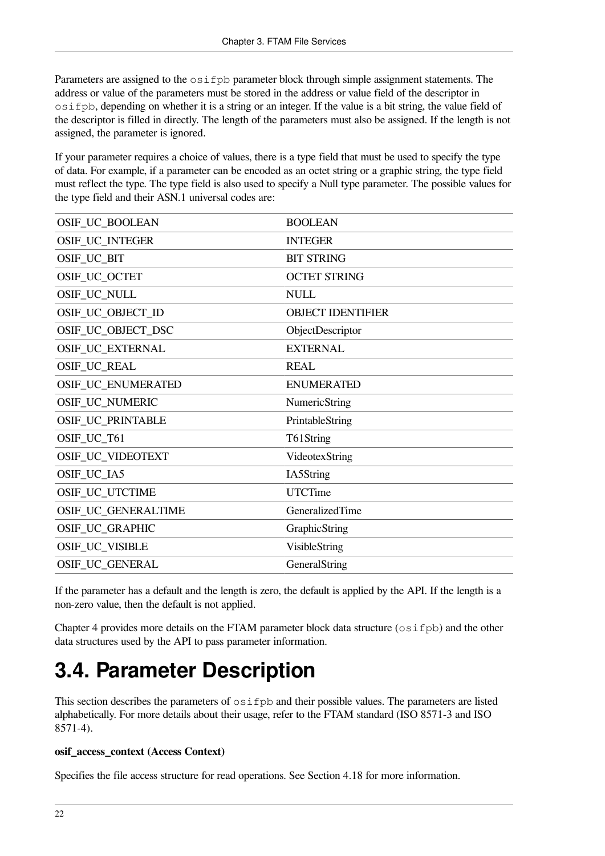Parameters are assigned to the  $\circ$ sifpb parameter block through simple assignment statements. The address or value of the parameters must be stored in the address or value field of the descriptor in osifpb, depending on whether it is a string or an integer. If the value is a bit string, the value field of the descriptor is filled in directly. The length of the parameters must also be assigned. If the length is not assigned, the parameter is ignored.

If your parameter requires a choice of values, there is a type field that must be used to specify the type of data. For example, if a parameter can be encoded as an octet string or a graphic string, the type field must reflect the type. The type field is also used to specify a Null type parameter. The possible values for the type field and their ASN.1 universal codes are:

| OSIF_UC_BOOLEAN        | <b>BOOLEAN</b>           |
|------------------------|--------------------------|
| OSIF_UC_INTEGER        | <b>INTEGER</b>           |
| OSIF_UC_BIT            | <b>BIT STRING</b>        |
| OSIF_UC_OCTET          | <b>OCTET STRING</b>      |
| OSIF_UC_NULL           | <b>NULL</b>              |
| OSIF_UC_OBJECT_ID      | <b>OBJECT IDENTIFIER</b> |
| OSIF_UC_OBJECT_DSC     | ObjectDescriptor         |
| OSIF_UC_EXTERNAL       | <b>EXTERNAL</b>          |
| <b>OSIF_UC_REAL</b>    | <b>REAL</b>              |
| OSIF_UC_ENUMERATED     | <b>ENUMERATED</b>        |
| <b>OSIF_UC_NUMERIC</b> | NumericString            |
| OSIF_UC_PRINTABLE      | PrintableString          |
| OSIF_UC_T61            | T61String                |
| OSIF_UC_VIDEOTEXT      | VideotexString           |
| OSIF_UC_IA5            | IA5String                |
| OSIF_UC_UTCTIME        | <b>UTCTime</b>           |
| OSIF_UC_GENERALTIME    | GeneralizedTime          |
| OSIF_UC_GRAPHIC        | GraphicString            |
| OSIF_UC_VISIBLE        | <b>VisibleString</b>     |
| OSIF_UC_GENERAL        | GeneralString            |

If the parameter has a default and the length is zero, the default is applied by the API. If the length is a non-zero value, then the default is not applied.

[Chapter](#page-38-0) 4 provides more details on the FTAM parameter block data structure (osifpb) and the other data structures used by the API to pass parameter information.

### <span id="page-27-0"></span>**3.4. Parameter Description**

This section describes the parameters of osifpb and their possible values. The parameters are listed alphabetically. For more details about their usage, refer to the FTAM standard (ISO 8571-3 and ISO 8571-4).

#### **osif\_access\_context (Access Context)**

Specifies the file access structure for read operations. See [Section](#page-49-0) 4.18 for more information.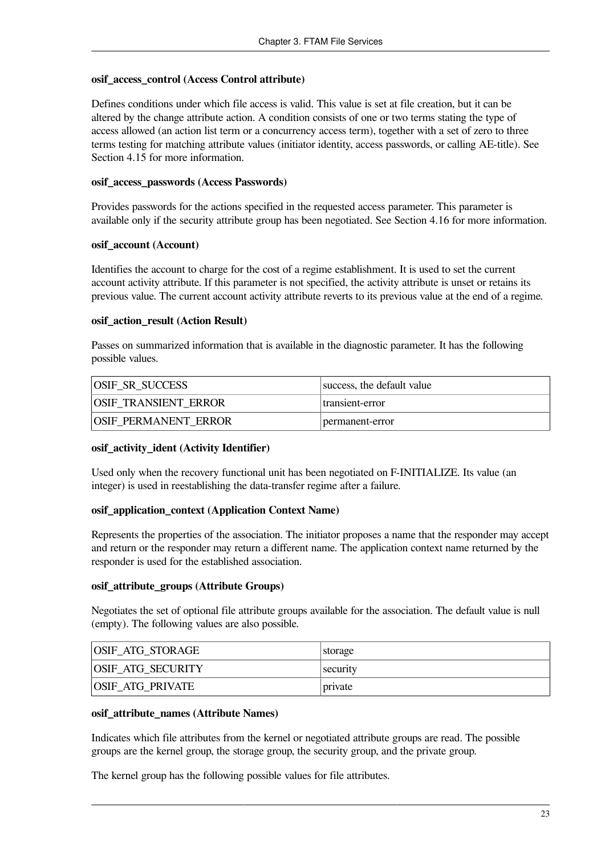#### **osif\_access\_control (Access Control attribute)**

Defines conditions under which file access is valid. This value is set at file creation, but it can be altered by the change attribute action. A condition consists of one or two terms stating the type of access allowed (an action list term or a concurrency access term), together with a set of zero to three terms testing for matching attribute values (initiator identity, access passwords, or calling AE-title). See [Section](#page-47-0) 4.15 for more information.

#### **osif\_access\_passwords (Access Passwords)**

Provides passwords for the actions specified in the requested access parameter. This parameter is available only if the security attribute group has been negotiated. See [Section](#page-48-0) 4.16 for more information.

#### **osif\_account (Account)**

Identifies the account to charge for the cost of a regime establishment. It is used to set the current account activity attribute. If this parameter is not specified, the activity attribute is unset or retains its previous value. The current account activity attribute reverts to its previous value at the end of a regime.

#### **osif\_action\_result (Action Result)**

Passes on summarized information that is available in the diagnostic parameter. It has the following possible values.

| <b>OSIF SR SUCCESS</b>      | success, the default value |
|-----------------------------|----------------------------|
| <b>OSIF TRANSIENT ERROR</b> | transient-error            |
| <b>OSIF PERMANENT ERROR</b> | permanent-error            |

#### **osif\_activity\_ident (Activity Identifier)**

Used only when the recovery functional unit has been negotiated on F-INITIALIZE. Its value (an integer) is used in reestablishing the data-transfer regime after a failure.

#### **osif\_application\_context (Application Context Name)**

Represents the properties of the association. The initiator proposes a name that the responder may accept and return or the responder may return a different name. The application context name returned by the responder is used for the established association.

#### **osif\_attribute\_groups (Attribute Groups)**

Negotiates the set of optional file attribute groups available for the association. The default value is null (empty). The following values are also possible.

| OSIF_ATG_STORAGE  | storage |
|-------------------|---------|
| OSIF_ATG_SECURITY | sec     |
| OSIF_ATG_PRIVATE  | private |

#### **osif\_attribute\_names (Attribute Names)**

Indicates which file attributes from the kernel or negotiated attribute groups are read. The possible groups are the kernel group, the storage group, the security group, and the private group.

The kernel group has the following possible values for file attributes.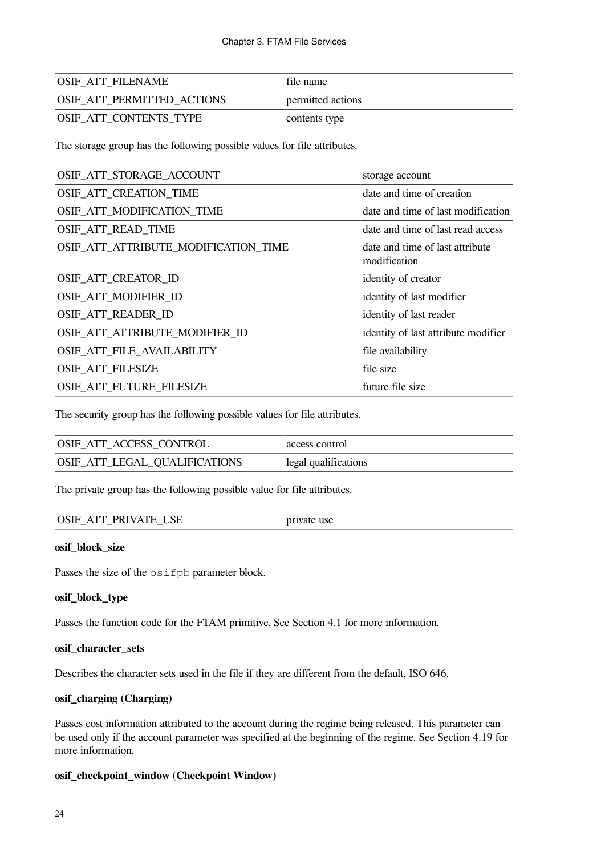| <b>OSIF ATT FILENAME</b>          | file name         |
|-----------------------------------|-------------------|
| <b>OSIF ATT PERMITTED ACTIONS</b> | permitted actions |
| <b>OSIF ATT CONTENTS TYPE</b>     | contents type     |

The storage group has the following possible values for file attributes.

| OSIF_ATT_STORAGE_ACCOUNT             | storage account                                 |
|--------------------------------------|-------------------------------------------------|
| OSIF_ATT_CREATION_TIME               | date and time of creation                       |
| OSIF ATT MODIFICATION TIME           | date and time of last modification              |
| OSIF_ATT_READ_TIME                   | date and time of last read access               |
| OSIF_ATT_ATTRIBUTE_MODIFICATION_TIME | date and time of last attribute<br>modification |
| OSIF_ATT_CREATOR_ID                  | identity of creator                             |
| OSIF_ATT_MODIFIER_ID                 | identity of last modifier                       |
| <b>OSIF ATT READER ID</b>            | identity of last reader                         |
| OSIF ATT ATTRIBUTE MODIFIER ID       | identity of last attribute modifier             |
| OSIF_ATT_FILE_AVAILABILITY           | file availability                               |
| <b>OSIF_ATT_FILESIZE</b>             | file size                                       |
| OSIF ATT FUTURE FILESIZE             | future file size                                |

The security group has the following possible values for file attributes.

| OSIF ATT ACCESS CONTROL       | access control       |
|-------------------------------|----------------------|
| OSIF_ATT_LEGAL_QUALIFICATIONS | legal qualifications |

The private group has the following possible value for file attributes.

| use<br>private |
|----------------|
|                |
|                |

#### **osif\_block\_size**

Passes the size of the osifpb parameter block.

#### **osif\_block\_type**

Passes the function code for the FTAM primitive. See [Section](#page-38-1) 4.1 for more information.

#### **osif\_character\_sets**

Describes the character sets used in the file if they are different from the default, ISO 646.

#### **osif\_charging (Charging)**

Passes cost information attributed to the account during the regime being released. This parameter can be used only if the account parameter was specified at the beginning of the regime. See [Section](#page-50-0) 4.19 for more information.

#### **osif\_checkpoint\_window (Checkpoint Window)**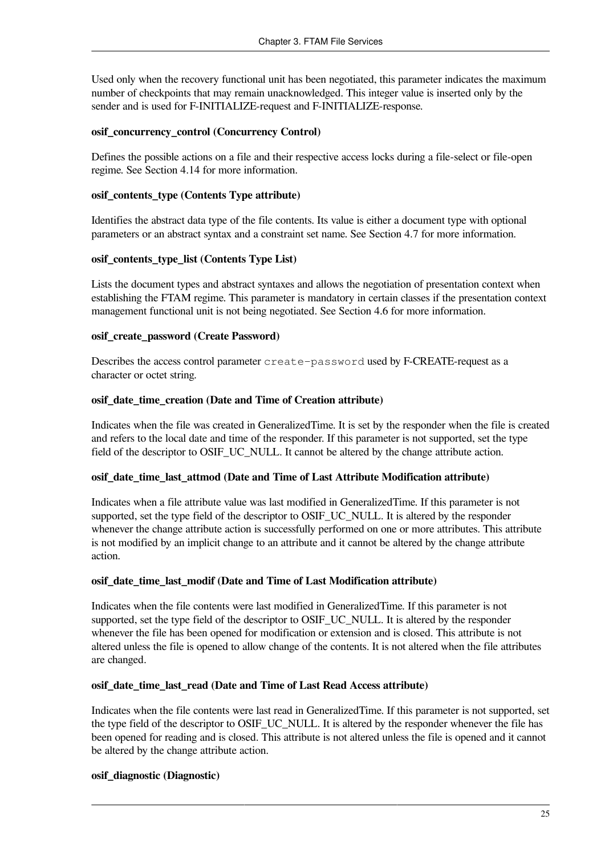Used only when the recovery functional unit has been negotiated, this parameter indicates the maximum number of checkpoints that may remain unacknowledged. This integer value is inserted only by the sender and is used for F-INITIALIZE-request and F-INITIALIZE-response.

#### **osif\_concurrency\_control (Concurrency Control)**

Defines the possible actions on a file and their respective access locks during a file-select or file-open regime. See [Section](#page-46-2) 4.14 for more information.

#### **osif\_contents\_type (Contents Type attribute)**

Identifies the abstract data type of the file contents. Its value is either a document type with optional parameters or an abstract syntax and a constraint set name. See [Section](#page-43-1) 4.7 for more information.

#### **osif\_contents\_type\_list (Contents Type List)**

Lists the document types and abstract syntaxes and allows the negotiation of presentation context when establishing the FTAM regime. This parameter is mandatory in certain classes if the presentation context management functional unit is not being negotiated. See [Section](#page-43-0) 4.6 for more information.

#### **osif\_create\_password (Create Password)**

Describes the access control parameter create-password used by F-CREATE-request as a character or octet string.

#### **osif\_date\_time\_creation (Date and Time of Creation attribute)**

Indicates when the file was created in GeneralizedTime. It is set by the responder when the file is created and refers to the local date and time of the responder. If this parameter is not supported, set the type field of the descriptor to OSIF\_UC\_NULL. It cannot be altered by the change attribute action.

#### **osif\_date\_time\_last\_attmod (Date and Time of Last Attribute Modification attribute)**

Indicates when a file attribute value was last modified in GeneralizedTime. If this parameter is not supported, set the type field of the descriptor to OSIF\_UC\_NULL. It is altered by the responder whenever the change attribute action is successfully performed on one or more attributes. This attribute is not modified by an implicit change to an attribute and it cannot be altered by the change attribute action.

#### **osif\_date\_time\_last\_modif (Date and Time of Last Modification attribute)**

Indicates when the file contents were last modified in GeneralizedTime. If this parameter is not supported, set the type field of the descriptor to OSIF\_UC\_NULL. It is altered by the responder whenever the file has been opened for modification or extension and is closed. This attribute is not altered unless the file is opened to allow change of the contents. It is not altered when the file attributes are changed.

#### **osif\_date\_time\_last\_read (Date and Time of Last Read Access attribute)**

Indicates when the file contents were last read in GeneralizedTime. If this parameter is not supported, set the type field of the descriptor to OSIF\_UC\_NULL. It is altered by the responder whenever the file has been opened for reading and is closed. This attribute is not altered unless the file is opened and it cannot be altered by the change attribute action.

#### **osif\_diagnostic (Diagnostic)**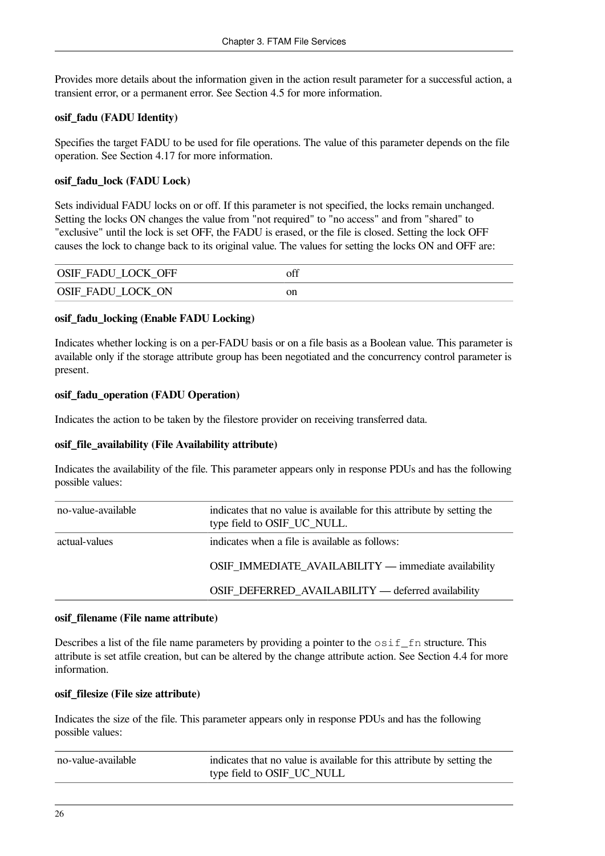Provides more details about the information given in the action result parameter for a successful action, a transient error, or a permanent error. See [Section](#page-42-1) 4.5 for more information.

#### **osif\_fadu (FADU Identity)**

Specifies the target FADU to be used for file operations. The value of this parameter depends on the file operation. See [Section](#page-48-1) 4.17 for more information.

#### **osif\_fadu\_lock (FADU Lock)**

Sets individual FADU locks on or off. If this parameter is not specified, the locks remain unchanged. Setting the locks ON changes the value from "not required" to "no access" and from "shared" to "exclusive" until the lock is set OFF, the FADU is erased, or the file is closed. Setting the lock OFF causes the lock to change back to its original value. The values for setting the locks ON and OFF are:

| <b>OSIF FADU LOCK OFF</b> | off |
|---------------------------|-----|
| OSIF_FADU_LOCK_ON         | on  |

#### **osif\_fadu\_locking (Enable FADU Locking)**

Indicates whether locking is on a per-FADU basis or on a file basis as a Boolean value. This parameter is available only if the storage attribute group has been negotiated and the concurrency control parameter is present.

#### **osif\_fadu\_operation (FADU Operation)**

Indicates the action to be taken by the filestore provider on receiving transferred data.

#### **osif\_file\_availability (File Availability attribute)**

Indicates the availability of the file. This parameter appears only in response PDUs and has the following possible values:

| no-value-available | indicates that no value is available for this attribute by setting the<br>type field to OSIF_UC_NULL. |
|--------------------|-------------------------------------------------------------------------------------------------------|
| actual-values      | indicates when a file is available as follows:                                                        |
|                    | OSIF_IMMEDIATE_AVAILABILITY — immediate availability                                                  |
|                    | OSIF_DEFERRED_AVAILABILITY — deferred availability                                                    |

#### **osif\_filename (File name attribute)**

Describes a list of the file name parameters by providing a pointer to the  $\circ$ sif<sub>n</sub> fn structure. This attribute is set atfile creation, but can be altered by the change attribute action. See [Section](#page-42-0) 4.4 for more information.

#### **osif\_filesize (File size attribute)**

Indicates the size of the file. This parameter appears only in response PDUs and has the following possible values:

| no-value-available | indicates that no value is available for this attribute by setting the |
|--------------------|------------------------------------------------------------------------|
|                    | type field to OSIF_UC_NULL                                             |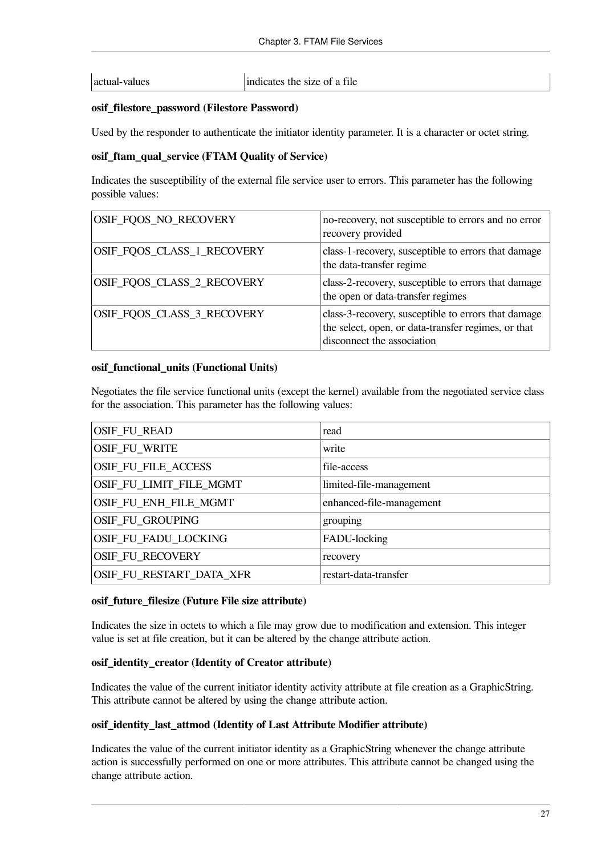actual-values indicates the size of a file

#### **osif\_filestore\_password (Filestore Password)**

Used by the responder to authenticate the initiator identity parameter. It is a character or octet string.

#### **osif\_ftam\_qual\_service (FTAM Quality of Service)**

Indicates the susceptibility of the external file service user to errors. This parameter has the following possible values:

| OSIF_FQOS_NO_RECOVERY      | no-recovery, not susceptible to errors and no error<br>recovery provided                                                                 |
|----------------------------|------------------------------------------------------------------------------------------------------------------------------------------|
| OSIF_FQOS_CLASS_1_RECOVERY | class-1-recovery, susceptible to errors that damage<br>the data-transfer regime                                                          |
| OSIF_FQOS_CLASS_2_RECOVERY | class-2-recovery, susceptible to errors that damage<br>the open or data-transfer regimes                                                 |
| OSIF_FQOS_CLASS_3_RECOVERY | class-3-recovery, susceptible to errors that damage<br>the select, open, or data-transfer regimes, or that<br>disconnect the association |

#### **osif\_functional\_units (Functional Units)**

Negotiates the file service functional units (except the kernel) available from the negotiated service class for the association. This parameter has the following values:

| <b>OSIF_FU_READ</b>        | read                     |
|----------------------------|--------------------------|
| <b>OSIF_FU_WRITE</b>       | write                    |
| <b>OSIF_FU_FILE_ACCESS</b> | file-access              |
| OSIF_FU_LIMIT_FILE_MGMT    | limited-file-management  |
| OSIF_FU_ENH_FILE_MGMT      | enhanced-file-management |
| OSIF_FU_GROUPING           | grouping                 |
| OSIF_FU_FADU_LOCKING       | FADU-locking             |
| OSIF_FU_RECOVERY           | recovery                 |
| OSIF_FU_RESTART_DATA_XFR   | restart-data-transfer    |
|                            |                          |

#### **osif\_future\_filesize (Future File size attribute)**

Indicates the size in octets to which a file may grow due to modification and extension. This integer value is set at file creation, but it can be altered by the change attribute action.

#### **osif\_identity\_creator (Identity of Creator attribute)**

Indicates the value of the current initiator identity activity attribute at file creation as a GraphicString. This attribute cannot be altered by using the change attribute action.

#### **osif\_identity\_last\_attmod (Identity of Last Attribute Modifier attribute)**

Indicates the value of the current initiator identity as a GraphicString whenever the change attribute action is successfully performed on one or more attributes. This attribute cannot be changed using the change attribute action.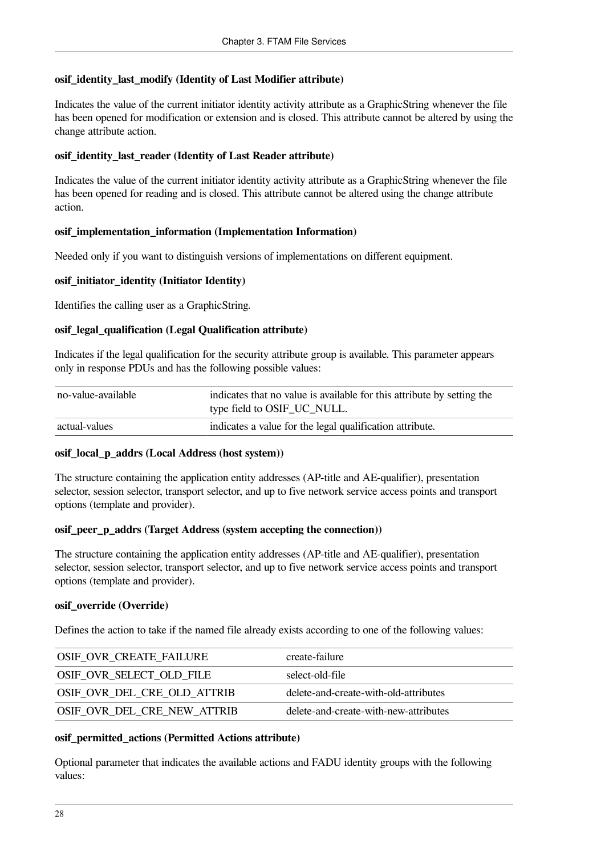#### **osif\_identity\_last\_modify (Identity of Last Modifier attribute)**

Indicates the value of the current initiator identity activity attribute as a GraphicString whenever the file has been opened for modification or extension and is closed. This attribute cannot be altered by using the change attribute action.

#### **osif\_identity\_last\_reader (Identity of Last Reader attribute)**

Indicates the value of the current initiator identity activity attribute as a GraphicString whenever the file has been opened for reading and is closed. This attribute cannot be altered using the change attribute action.

#### **osif\_implementation\_information (Implementation Information)**

Needed only if you want to distinguish versions of implementations on different equipment.

#### **osif\_initiator\_identity (Initiator Identity)**

Identifies the calling user as a GraphicString.

#### **osif\_legal\_qualification (Legal Qualification attribute)**

Indicates if the legal qualification for the security attribute group is available. This parameter appears only in response PDUs and has the following possible values:

| no-value-available | indicates that no value is available for this attribute by setting the<br>type field to OSIF_UC_NULL. |
|--------------------|-------------------------------------------------------------------------------------------------------|
| actual-values      | indicates a value for the legal qualification attribute.                                              |

#### **osif\_local\_p\_addrs (Local Address (host system))**

The structure containing the application entity addresses (AP-title and AE-qualifier), presentation selector, session selector, transport selector, and up to five network service access points and transport options (template and provider).

#### **osif\_peer\_p\_addrs (Target Address (system accepting the connection))**

The structure containing the application entity addresses (AP-title and AE-qualifier), presentation selector, session selector, transport selector, and up to five network service access points and transport options (template and provider).

#### **osif\_override (Override)**

Defines the action to take if the named file already exists according to one of the following values:

| <b>OSIF OVR CREATE FAILURE</b>     | create-failure                        |
|------------------------------------|---------------------------------------|
| OSIF_OVR_SELECT_OLD_FILE           | select-old-file                       |
| OSIF_OVR_DEL_CRE_OLD_ATTRIB        | delete-and-create-with-old-attributes |
| <b>OSIF OVR DEL CRE NEW ATTRIB</b> | delete-and-create-with-new-attributes |

#### **osif\_permitted\_actions (Permitted Actions attribute)**

Optional parameter that indicates the available actions and FADU identity groups with the following values: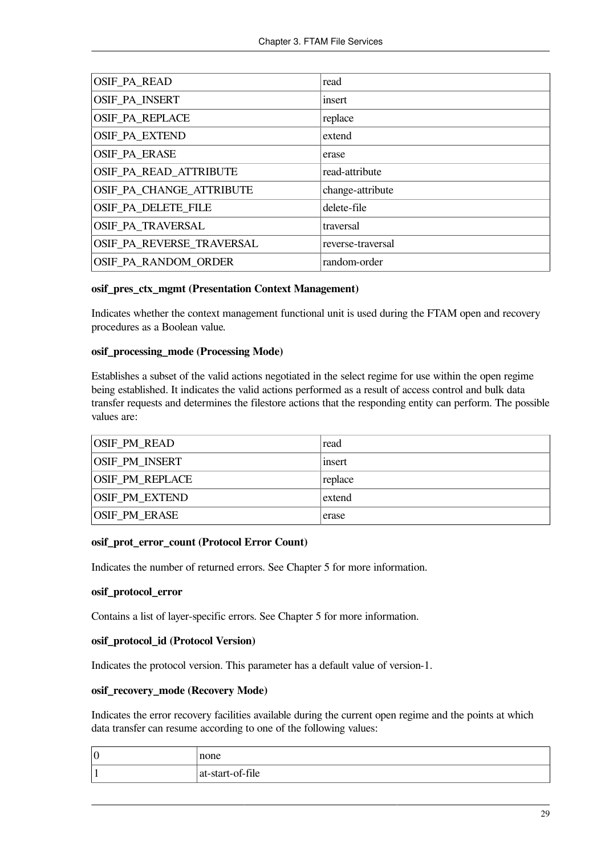| <b>OSIF_PA_READ</b>       | read              |
|---------------------------|-------------------|
| OSIF_PA_INSERT            | insert            |
| <b>OSIF PA REPLACE</b>    | replace           |
| <b>OSIF PA EXTEND</b>     | extend            |
| <b>OSIF PA ERASE</b>      | erase             |
| OSIF PA READ ATTRIBUTE    | read-attribute    |
| OSIF PA CHANGE ATTRIBUTE  | change-attribute  |
| OSIF PA DELETE FILE       | delete-file       |
| OSIF_PA_TRAVERSAL         | traversal         |
| OSIF_PA_REVERSE_TRAVERSAL | reverse-traversal |
| OSIF PA RANDOM ORDER      | random-order      |

#### **osif\_pres\_ctx\_mgmt (Presentation Context Management)**

Indicates whether the context management functional unit is used during the FTAM open and recovery procedures as a Boolean value.

#### **osif\_processing\_mode (Processing Mode)**

Establishes a subset of the valid actions negotiated in the select regime for use within the open regime being established. It indicates the valid actions performed as a result of access control and bulk data transfer requests and determines the filestore actions that the responding entity can perform. The possible values are:

| <b>OSIF PM READ</b>    | read    |
|------------------------|---------|
| <b>OSIF PM INSERT</b>  | insert  |
| <b>OSIF PM REPLACE</b> | replace |
| <b>OSIF PM EXTEND</b>  | extend  |
| <b>OSIF PM ERASE</b>   | erase   |

#### **osif\_prot\_error\_count (Protocol Error Count)**

Indicates the number of returned errors. See [Chapter](#page-52-0) 5 for more information.

#### **osif\_protocol\_error**

Contains a list of layer-specific errors. See [Chapter](#page-52-0) 5 for more information.

#### **osif\_protocol\_id (Protocol Version)**

Indicates the protocol version. This parameter has a default value of version-1.

#### **osif\_recovery\_mode (Recovery Mode)**

Indicates the error recovery facilities available during the current open regime and the points at which data transfer can resume according to one of the following values:

| $ 0\>$ | none                 |
|--------|----------------------|
|        | $ $ at-start-of-file |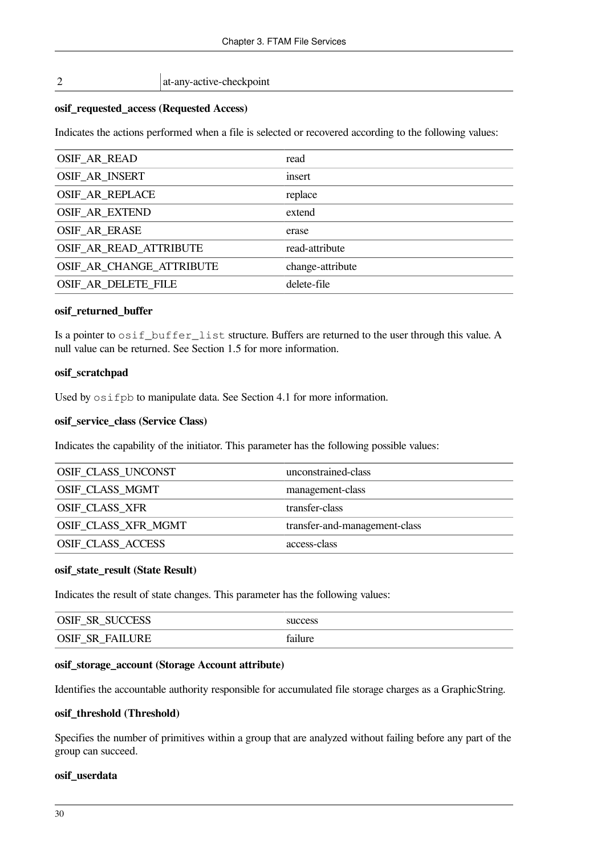#### 2 at-any-active-checkpoint

#### **osif\_requested\_access (Requested Access)**

Indicates the actions performed when a file is selected or recovered according to the following values:

| <b>OSIF_AR_READ</b>      | read             |
|--------------------------|------------------|
| OSIF_AR_INSERT           | insert           |
| <b>OSIF_AR_REPLACE</b>   | replace          |
| <b>OSIF_AR_EXTEND</b>    | extend           |
| <b>OSIF_AR_ERASE</b>     | erase            |
| OSIF AR READ ATTRIBUTE   | read-attribute   |
| OSIF AR CHANGE ATTRIBUTE | change-attribute |
| OSIF AR DELETE FILE      | delete-file      |
|                          |                  |

#### **osif\_returned\_buffer**

Is a pointer to osif\_buffer\_list structure. Buffers are returned to the user through this value. A null value can be returned. See [Section](#page-9-2) 1.5 for more information.

#### **osif\_scratchpad**

Used by  $\circ$  sifpb to manipulate data. See [Section](#page-38-1) 4.1 for more information.

#### **osif\_service\_class (Service Class)**

Indicates the capability of the initiator. This parameter has the following possible values:

| OSIF_CLASS_UNCONST     | unconstrained-class           |
|------------------------|-------------------------------|
| <b>OSIF CLASS MGMT</b> | management-class              |
| <b>OSIF CLASS XFR</b>  | transfer-class                |
| OSIF_CLASS_XFR_MGMT    | transfer-and-management-class |
| OSIF_CLASS_ACCESS      | access-class                  |

#### **osif\_state\_result (State Result)**

Indicates the result of state changes. This parameter has the following values:

| OSIF<br><b>SUCCESS</b><br>SR        | success         |
|-------------------------------------|-----------------|
| OSIF<br><b>FAILURE</b><br><b>SR</b> | 0.11<br>failure |

#### **osif\_storage\_account (Storage Account attribute)**

Identifies the accountable authority responsible for accumulated file storage charges as a GraphicString.

#### **osif\_threshold (Threshold)**

Specifies the number of primitives within a group that are analyzed without failing before any part of the group can succeed.

#### **osif\_userdata**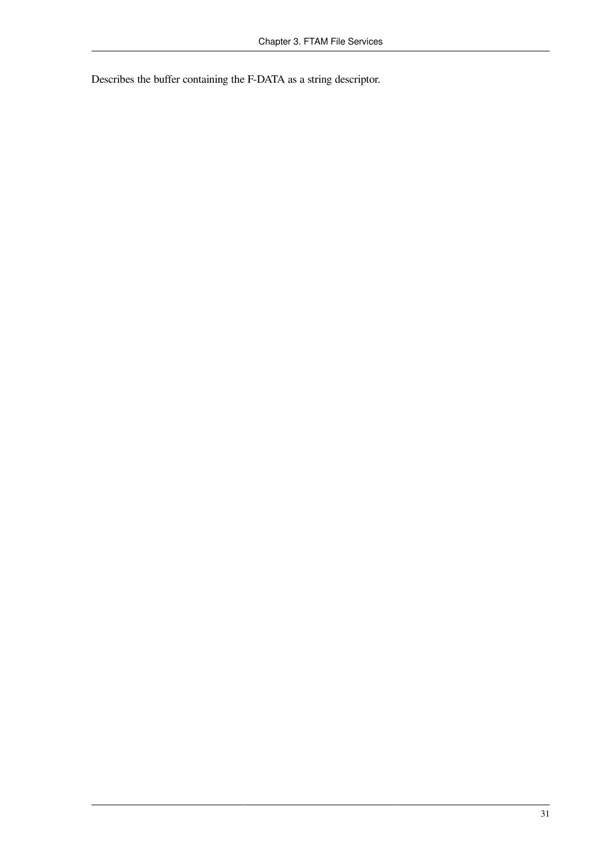Describes the buffer containing the F-DATA as a string descriptor.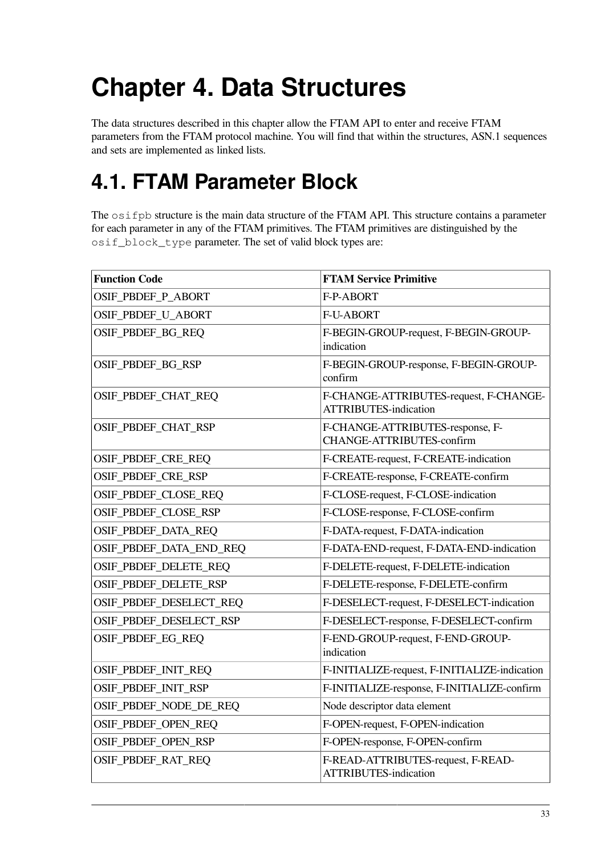# **Chapter 4. Data Structures**

The data structures described in this chapter allow the FTAM API to enter and receive FTAM parameters from the FTAM protocol machine. You will find that within the structures, ASN.1 sequences and sets are implemented as linked lists.

## <span id="page-38-0"></span>**4.1. FTAM Parameter Block**

The  $\circ$ sifpb structure is the main data structure of the FTAM API. This structure contains a parameter for each parameter in any of the FTAM primitives. The FTAM primitives are distinguished by the osif block type parameter. The set of valid block types are:

| <b>Function Code</b>    | <b>FTAM Service Primitive</b>                                          |
|-------------------------|------------------------------------------------------------------------|
| OSIF_PBDEF_P_ABORT      | F-P-ABORT                                                              |
| OSIF_PBDEF_U_ABORT      | <b>F-U-ABORT</b>                                                       |
| OSIF_PBDEF_BG_REQ       | F-BEGIN-GROUP-request, F-BEGIN-GROUP-<br>indication                    |
| OSIF_PBDEF_BG_RSP       | F-BEGIN-GROUP-response, F-BEGIN-GROUP-<br>confirm                      |
| OSIF_PBDEF_CHAT_REQ     | F-CHANGE-ATTRIBUTES-request, F-CHANGE-<br><b>ATTRIBUTES-indication</b> |
| OSIF_PBDEF_CHAT_RSP     | F-CHANGE-ATTRIBUTES-response, F-<br><b>CHANGE-ATTRIBUTES-confirm</b>   |
| OSIF_PBDEF_CRE_REQ      | F-CREATE-request, F-CREATE-indication                                  |
| OSIF_PBDEF_CRE_RSP      | F-CREATE-response, F-CREATE-confirm                                    |
| OSIF_PBDEF_CLOSE_REQ    | F-CLOSE-request, F-CLOSE-indication                                    |
| OSIF_PBDEF_CLOSE_RSP    | F-CLOSE-response, F-CLOSE-confirm                                      |
| OSIF_PBDEF_DATA_REQ     | F-DATA-request, F-DATA-indication                                      |
| OSIF_PBDEF_DATA_END_REQ | F-DATA-END-request, F-DATA-END-indication                              |
| OSIF_PBDEF_DELETE_REQ   | F-DELETE-request, F-DELETE-indication                                  |
| OSIF_PBDEF_DELETE_RSP   | F-DELETE-response, F-DELETE-confirm                                    |
| OSIF_PBDEF_DESELECT_REQ | F-DESELECT-request, F-DESELECT-indication                              |
| OSIF_PBDEF_DESELECT_RSP | F-DESELECT-response, F-DESELECT-confirm                                |
| OSIF_PBDEF_EG_REQ       | F-END-GROUP-request, F-END-GROUP-<br>indication                        |
| OSIF_PBDEF_INIT_REQ     | F-INITIALIZE-request, F-INITIALIZE-indication                          |
| OSIF_PBDEF_INIT_RSP     | F-INITIALIZE-response, F-INITIALIZE-confirm                            |
| OSIF_PBDEF_NODE_DE_REQ  | Node descriptor data element                                           |
| OSIF_PBDEF_OPEN_REQ     | F-OPEN-request, F-OPEN-indication                                      |
| OSIF_PBDEF_OPEN_RSP     | F-OPEN-response, F-OPEN-confirm                                        |
| OSIF_PBDEF_RAT_REQ      | F-READ-ATTRIBUTES-request, F-READ-<br><b>ATTRIBUTES-indication</b>     |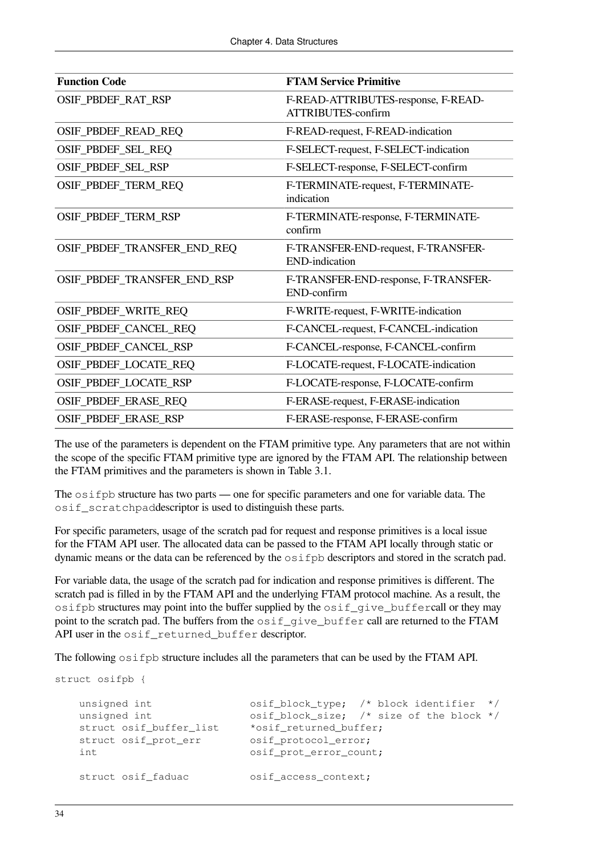| <b>Function Code</b>        | <b>FTAM Service Primitive</b>                                    |
|-----------------------------|------------------------------------------------------------------|
| OSIF_PBDEF_RAT_RSP          | F-READ-ATTRIBUTES-response, F-READ-<br><b>ATTRIBUTES-confirm</b> |
| OSIF_PBDEF_READ_REQ         | F-READ-request, F-READ-indication                                |
| OSIF_PBDEF_SEL_REQ          | F-SELECT-request, F-SELECT-indication                            |
| OSIF_PBDEF_SEL_RSP          | F-SELECT-response, F-SELECT-confirm                              |
| OSIF_PBDEF_TERM_REQ         | F-TERMINATE-request, F-TERMINATE-<br>indication                  |
| OSIF_PBDEF_TERM_RSP         | F-TERMINATE-response, F-TERMINATE-<br>confirm                    |
| OSIF_PBDEF_TRANSFER_END_REQ | F-TRANSFER-END-request, F-TRANSFER-<br><b>END-indication</b>     |
| OSIF_PBDEF_TRANSFER_END_RSP | F-TRANSFER-END-response, F-TRANSFER-<br>END-confirm              |
| OSIF_PBDEF_WRITE_REQ        | F-WRITE-request, F-WRITE-indication                              |
| OSIF_PBDEF_CANCEL_REQ       | F-CANCEL-request, F-CANCEL-indication                            |
| OSIF_PBDEF_CANCEL_RSP       | F-CANCEL-response, F-CANCEL-confirm                              |
| OSIF_PBDEF_LOCATE_REQ       | F-LOCATE-request, F-LOCATE-indication                            |
| OSIF_PBDEF_LOCATE_RSP       | F-LOCATE-response, F-LOCATE-confirm                              |
| OSIF_PBDEF_ERASE_REQ        | F-ERASE-request, F-ERASE-indication                              |
| OSIF_PBDEF_ERASE_RSP        | F-ERASE-response, F-ERASE-confirm                                |

The use of the parameters is dependent on the FTAM primitive type. Any parameters that are not within the scope of the specific FTAM primitive type are ignored by the FTAM API. The relationship between the FTAM primitives and the parameters is shown in [Table](#page-23-0) 3.1.

The  $\circ$ sifpb structure has two parts — one for specific parameters and one for variable data. The osif\_scratchpaddescriptor is used to distinguish these parts.

For specific parameters, usage of the scratch pad for request and response primitives is a local issue for the FTAM API user. The allocated data can be passed to the FTAM API locally through static or dynamic means or the data can be referenced by the  $\circ$ sifpb descriptors and stored in the scratch pad.

For variable data, the usage of the scratch pad for indication and response primitives is different. The scratch pad is filled in by the FTAM API and the underlying FTAM protocol machine. As a result, the  $\sigma$ sifpb structures may point into the buffer supplied by the  $\sigma$ sif qive buffercall or they may point to the scratch pad. The buffers from the  $\circ$ sif<sub>que</sub> buffer call are returned to the FTAM API user in the osif\_returned\_buffer descriptor.

The following  $\circ$ sifpb structure includes all the parameters that can be used by the FTAM API.

```
struct osifpb {
   unsigned int 0 osif_block_type; /* block identifier */
   unsigned int \qquad \qquad osif_block_size; /* size of the block */
    struct osif_buffer_list *osif_returned_buffer;
   struct osif_prot_err osif_protocol_error;
   int \qquad \qquad osif_prot_error_count;
    struct osif_faduac osif_access_context;
```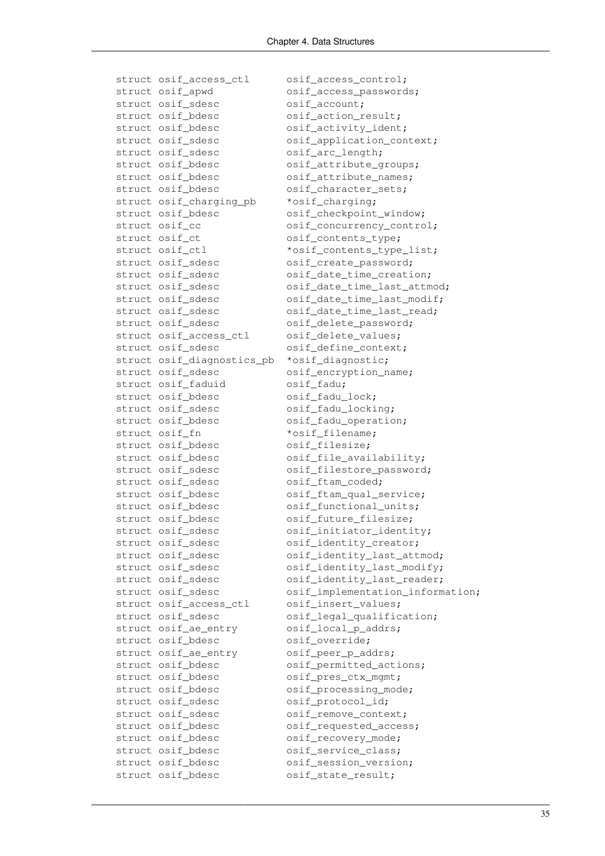struct osif\_access\_ctl osif\_access\_control; struct osif\_apwd osif\_access\_passwords; struct osif\_sdesc osif\_account; struct osif\_bdesc osif\_action\_result; struct osif\_bdesc osif\_activity\_ident; struct osif sdesc osif application context; struct osif\_sdesc osif\_arc\_length; struct osif\_bdesc osif\_attribute\_groups; osif\_attribute\_names; struct osif\_bdesc osif\_attribute\_names<br>struct osif\_bdesc osif\_character\_sets; struct osif\_charging\_pb \*osif\_charging; struct osif\_bdesc osif\_checkpoint\_window; struct osif\_cc osif\_concurrency\_control; struct osif\_ct osif\_contents\_type; struct osif\_ctl \*osif\_contents\_type\_list; struct osif\_sdesc osif\_create\_password; struct osif\_sdesc osif\_date\_time\_creation; struct osif\_sdesc osif\_date\_time\_last\_attmod; struct osif\_sdesc osif\_date\_time\_last\_modif; struct osif sdesc osif date time last read; struct osif\_sdesc osif\_delete\_password; struct osif\_access\_ctl osif\_delete\_values; struct osif\_sdesc osif\_define\_context; struct osif\_diagnostics\_pb \*osif\_diagnostic; struct osif\_sdesc osif\_encryption\_name; struct osif\_faduid osif\_fadu; struct osif bdesc osif fadu lock; struct osif sdesc osif fadu locking; struct osif\_bdesc osif\_fadu\_operation; struct osif\_fn \*osif\_filename; struct osif bdesc osif\_filesize; struct osif bdesc osif file availability; struct osif\_sdesc osif\_filestore\_password; struct osif sdesc osif ftam coded; struct osif bdesc osif ftam qual service; struct osif\_bdesc osif\_functional\_units; struct osif bdesc osif future filesize: struct osif sdesc osif initiator identity; struct osif sdesc osif identity creator; struct osif\_sdesc osif\_identity\_last\_attmod; struct osif sdesc osif identity last modify; struct osif sdesc osif identity last reader; struct osif\_sdesc osif\_implementation\_information; struct osif access ctl osif insert values; struct osif sdesc osif legal qualification; struct osif\_ae\_entry osif\_local\_p\_addrs; struct osif bdesc osif override; struct osif\_ae\_entry osif\_peer\_p\_addrs; struct osif bdesc osif permitted actions; struct osif bdesc osif pres ctx mgmt; struct osif bdesc osif processing mode; struct osif\_sdesc osif\_protocol\_id; struct osif\_sdesc osif\_remove\_context; struct osif\_bdesc osif\_requested\_access; struct osif\_bdesc osif\_recovery\_mode; struct osif bdesc osif service class; struct osif\_bdesc osif\_session\_version; struct osif\_bdesc osif\_state\_result;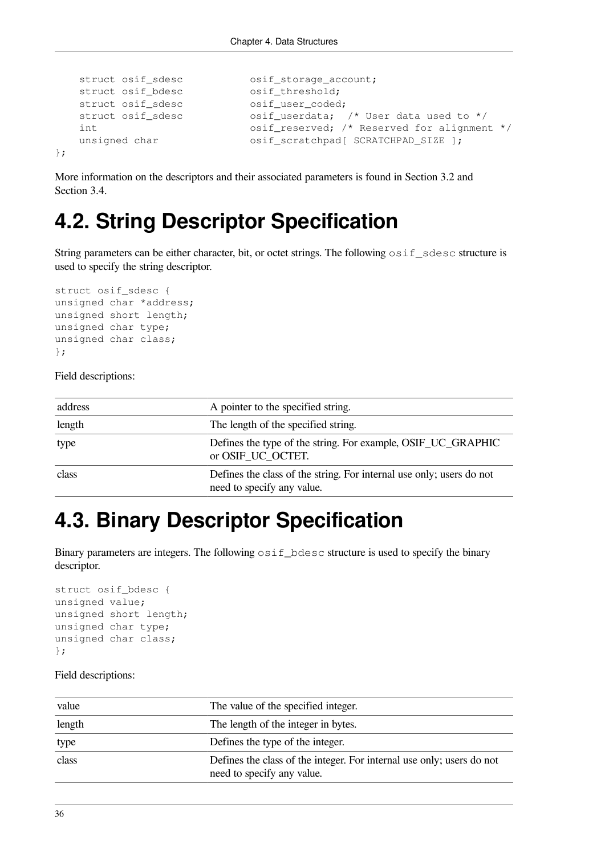```
struct osif_sdesc osif_storage_account;
   struct osif_bdesc osif_threshold;
   struct osif_sdesc osif_user_coded;
   struct osif_sdesc osif_userdata; /* User data used to */
    int osif_reserved; /* Reserved for alignment */
   unsigned char osif\_scratchpad[ SCRATCHPAD_SIZE ];
};
```
More information on the descriptors and their associated parameters is found in [Section](#page-23-1) 3.2 and [Section](#page-27-0) 3.4.

## **4.2. String Descriptor Specification**

String parameters can be either character, bit, or octet strings. The following  $\sigma$ sif\_sdesc structure is used to specify the string descriptor.

```
struct osif_sdesc {
unsigned char *address;
unsigned short length;
unsigned char type;
unsigned char class;
};
```
Field descriptions:

| address | A pointer to the specified string.                                                                 |
|---------|----------------------------------------------------------------------------------------------------|
| length  | The length of the specified string.                                                                |
| type    | Defines the type of the string. For example, OSIF_UC_GRAPHIC<br>or OSIF_UC_OCTET.                  |
| class   | Defines the class of the string. For internal use only; users do not<br>need to specify any value. |

## **4.3. Binary Descriptor Specification**

Binary parameters are integers. The following  $\sigma$ sif\_bdesc structure is used to specify the binary descriptor.

```
struct osif_bdesc {
unsigned value;
unsigned short length;
unsigned char type;
unsigned char class;
};
```

| value  | The value of the specified integer.                                                                 |
|--------|-----------------------------------------------------------------------------------------------------|
| length | The length of the integer in bytes.                                                                 |
| type   | Defines the type of the integer.                                                                    |
| class  | Defines the class of the integer. For internal use only; users do not<br>need to specify any value. |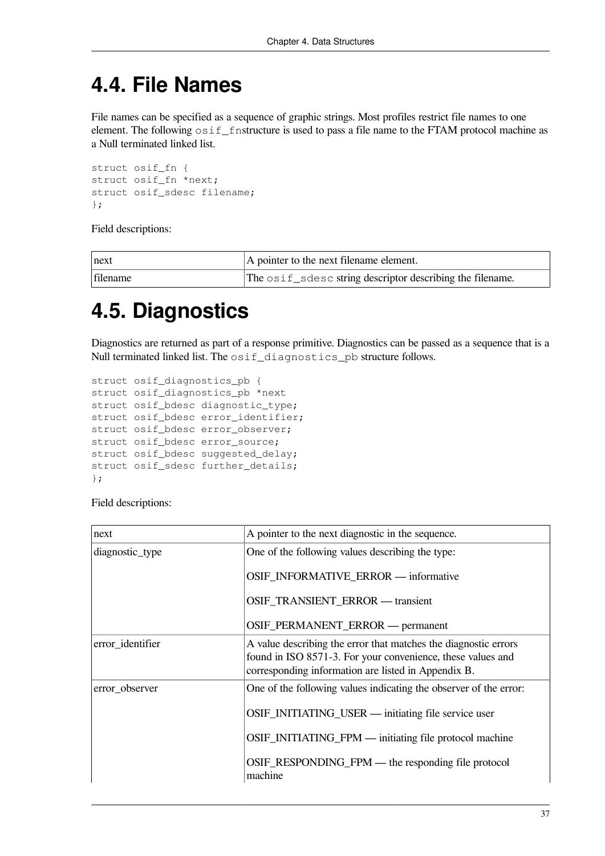## **4.4. File Names**

File names can be specified as a sequence of graphic strings. Most profiles restrict file names to one element. The following  $\circ$ sif\_fnstructure is used to pass a file name to the FTAM protocol machine as a Null terminated linked list.

```
struct osif_fn {
struct osif_fn *next;
struct osif_sdesc filename;
};
```
Field descriptions:

| ∣next    | A pointer to the next filename element.                   |
|----------|-----------------------------------------------------------|
| filename | The osif_sdesc string descriptor describing the filename. |

## **4.5. Diagnostics**

Diagnostics are returned as part of a response primitive. Diagnostics can be passed as a sequence that is a Null terminated linked list. The  $\circ$ sif\_diagnostics\_pb structure follows.

```
struct osif_diagnostics_pb {
struct osif_diagnostics_pb *next
struct osif bdesc diagnostic type;
struct osif_bdesc error_identifier;
struct osif bdesc error observer;
struct osif bdesc error source;
struct osif bdesc suggested delay;
struct osif sdesc further details;
};
```

| next             | A pointer to the next diagnostic in the sequence.                                                                                                                                     |
|------------------|---------------------------------------------------------------------------------------------------------------------------------------------------------------------------------------|
| diagnostic_type  | One of the following values describing the type:                                                                                                                                      |
|                  | OSIF_INFORMATIVE_ERROR — informative                                                                                                                                                  |
|                  | OSIF_TRANSIENT_ERROR - transient                                                                                                                                                      |
|                  | OSIF_PERMANENT_ERROR — permanent                                                                                                                                                      |
| error_identifier | A value describing the error that matches the diagnostic errors<br>found in ISO 8571-3. For your convenience, these values and<br>corresponding information are listed in Appendix B. |
| error_observer   | One of the following values indicating the observer of the error:                                                                                                                     |
|                  | OSIF_INITIATING_USER — initiating file service user                                                                                                                                   |
|                  | OSIF_INITIATING_FPM — initiating file protocol machine                                                                                                                                |
|                  | OSIF_RESPONDING_FPM — the responding file protocol<br>machine                                                                                                                         |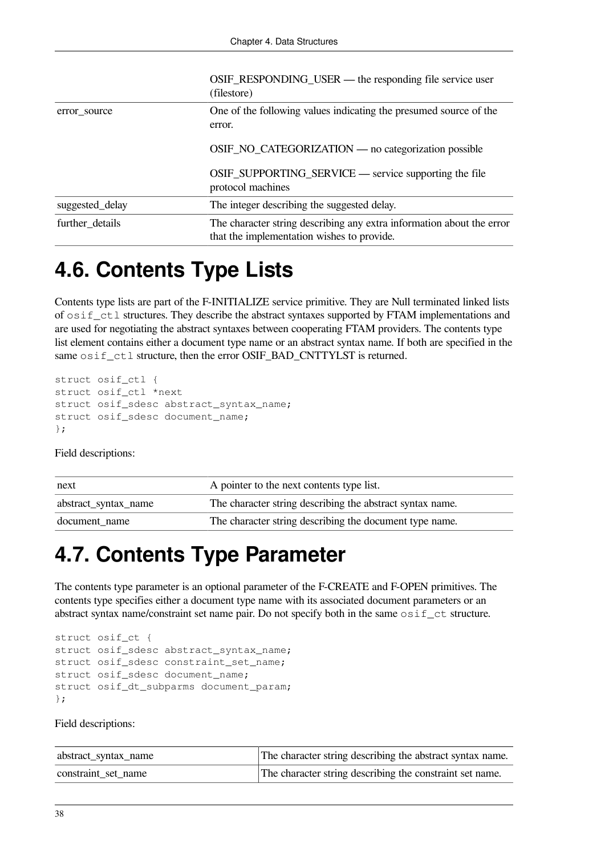|                 | OSIF_RESPONDING_USER — the responding file service user<br>(filestore)                                              |
|-----------------|---------------------------------------------------------------------------------------------------------------------|
| error source    | One of the following values indicating the presumed source of the<br>error.                                         |
|                 | OSIF_NO_CATEGORIZATION — no categorization possible                                                                 |
|                 | OSIF_SUPPORTING_SERVICE — service supporting the file<br>protocol machines                                          |
| suggested_delay | The integer describing the suggested delay.                                                                         |
| further_details | The character string describing any extra information about the error<br>that the implementation wishes to provide. |

## **4.6. Contents Type Lists**

Contents type lists are part of the F-INITIALIZE service primitive. They are Null terminated linked lists of osif\_ctl structures. They describe the abstract syntaxes supported by FTAM implementations and are used for negotiating the abstract syntaxes between cooperating FTAM providers. The contents type list element contains either a document type name or an abstract syntax name. If both are specified in the same  $osif$  ctl structure, then the error OSIF\_BAD\_CNTTYLST is returned.

```
struct osif_ctl {
struct osif_ctl *next
struct osif_sdesc abstract_syntax_name;
struct osif sdesc document name;
};
```
Field descriptions:

| next                 | A pointer to the next contents type list.                 |
|----------------------|-----------------------------------------------------------|
| abstract_syntax_name | The character string describing the abstract syntax name. |
| document name        | The character string describing the document type name.   |

## **4.7. Contents Type Parameter**

The contents type parameter is an optional parameter of the F-CREATE and F-OPEN primitives. The contents type specifies either a document type name with its associated document parameters or an abstract syntax name/constraint set name pair. Do not specify both in the same  $\circ$ sif\_ct structure.

```
struct osif_ct {
struct osif_sdesc abstract_syntax_name;
struct osif_sdesc constraint_set_name;
struct osif_sdesc document_name;
struct osif_dt_subparms document_param;
};
```

| abstract_syntax_name | The character string describing the abstract syntax name. |
|----------------------|-----------------------------------------------------------|
| constraint set name  | The character string describing the constraint set name.  |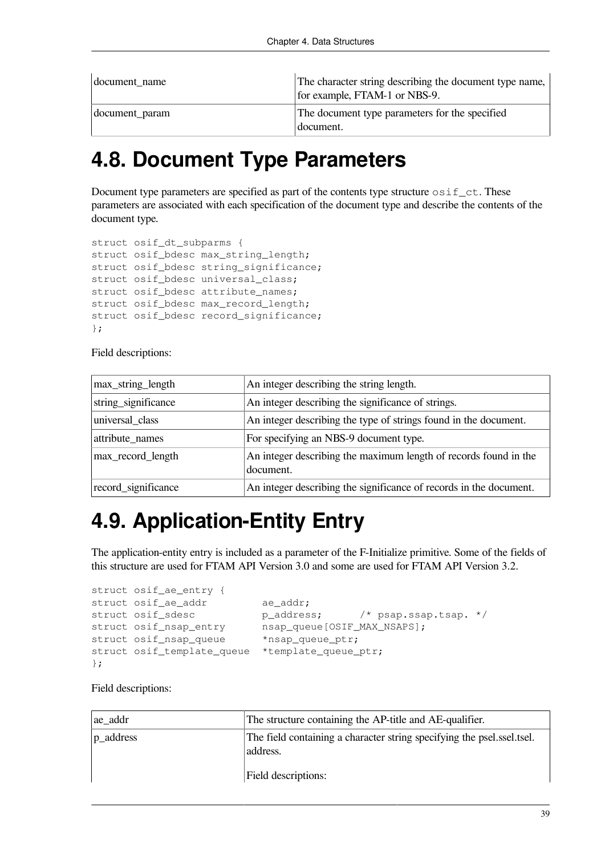| document name  | The character string describing the document type name,<br>for example, FTAM-1 or NBS-9. |
|----------------|------------------------------------------------------------------------------------------|
| document_param | The document type parameters for the specified<br>  document.                            |

## **4.8. Document Type Parameters**

Document type parameters are specified as part of the contents type structure  $\circ$ sif  $ct$ . These parameters are associated with each specification of the document type and describe the contents of the document type.

```
struct osif dt subparms {
struct osif bdesc max string length;
struct osif bdesc string significance;
struct osif bdesc universal class;
struct osif_bdesc attribute_names;
struct osif_bdesc max_record_length;
struct osif_bdesc record_significance;
};
```
Field descriptions:

| max_string_length   | An integer describing the string length.                                      |
|---------------------|-------------------------------------------------------------------------------|
| string_significance | An integer describing the significance of strings.                            |
| universal_class     | An integer describing the type of strings found in the document.              |
| attribute_names     | For specifying an NBS-9 document type.                                        |
| max_record_length   | An integer describing the maximum length of records found in the<br>document. |
| record_significance | An integer describing the significance of records in the document.            |

## **4.9. Application-Entity Entry**

The application-entity entry is included as a parameter of the F-Initialize primitive. Some of the fields of this structure are used for FTAM API Version 3.0 and some are used for FTAM API Version 3.2.

```
struct osif_ae_entry {
struct osif ae addr ae addr:
struct osif_sdesc p_address; /* psap.ssap.tsap. */<br>struct osif_nsap_entry nsap_queue[OSIF_MAX_NSAPS];
                              nsap_queue[OSIF_MAX_NSAPS];
struct osif nsap queue *nsap queue ptr;
struct osif template queue *template queue ptr;
};
```

| ae addr                   | The structure containing the AP-title and AE-qualifier.                                                   |
|---------------------------|-----------------------------------------------------------------------------------------------------------|
| $ p_{\text{--} }$ address | The field containing a character string specifying the psel ssel tsel.<br>address.<br>Field descriptions: |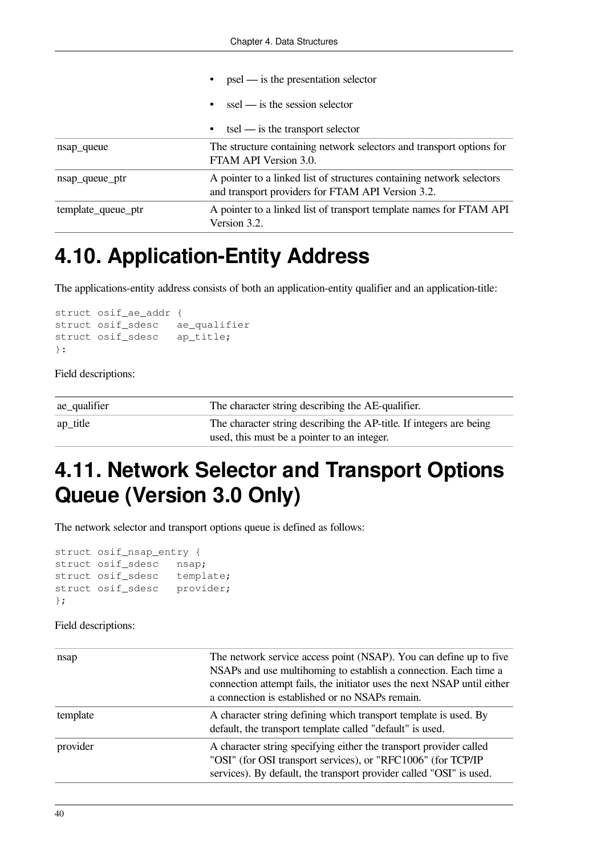|                    | $psel$ — is the presentation selector                                                                                      |
|--------------------|----------------------------------------------------------------------------------------------------------------------------|
|                    | $\text{ssel}$ — is the session selector                                                                                    |
|                    | $\text{tsel}$ — is the transport selector                                                                                  |
| nsap_queue         | The structure containing network selectors and transport options for<br>FTAM API Version 3.0.                              |
| nsap_queue_ptr     | A pointer to a linked list of structures containing network selectors<br>and transport providers for FTAM API Version 3.2. |
| template_queue_ptr | A pointer to a linked list of transport template names for FTAM API<br>Version 3.2.                                        |

## **4.10. Application-Entity Address**

The applications-entity address consists of both an application-entity qualifier and an application-title:

```
struct osif_ae_addr {
struct osif_sdesc ae_qualifier
struct osif_sdesc ap_title;
}:
```
Field descriptions:

| $ ae$ _qualifier      | The character string describing the AE-qualifier.                   |
|-----------------------|---------------------------------------------------------------------|
| $ ap_{\text{title}} $ | The character string describing the AP-title. If integers are being |
|                       | used, this must be a pointer to an integer.                         |

## **4.11. Network Selector and Transport Options Queue (Version 3.0 Only)**

The network selector and transport options queue is defined as follows:

```
struct osif_nsap_entry {
struct osif_sdesc nsap;
struct osif_sdesc template;
struct osif_sdesc provider;
};
```

| nsap     | The network service access point (NSAP). You can define up to five<br>NSAPs and use multihoming to establish a connection. Each time a<br>connection attempt fails, the initiator uses the next NSAP until either<br>a connection is established or no NSAPs remain. |
|----------|----------------------------------------------------------------------------------------------------------------------------------------------------------------------------------------------------------------------------------------------------------------------|
| template | A character string defining which transport template is used. By<br>default, the transport template called "default" is used.                                                                                                                                        |
| provider | A character string specifying either the transport provider called<br>"OSI" (for OSI transport services), or "RFC1006" (for TCP/IP<br>services). By default, the transport provider called "OSI" is used.                                                            |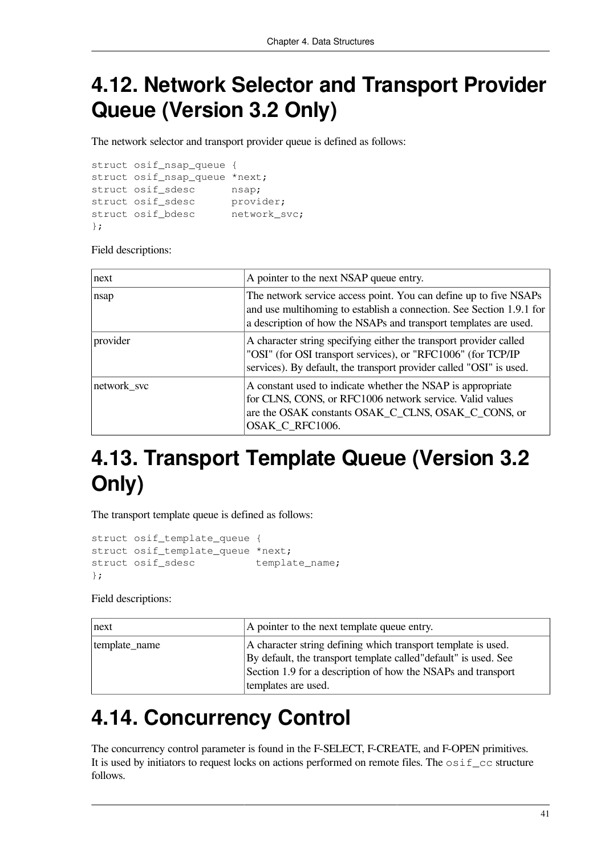## **4.12. Network Selector and Transport Provider Queue (Version 3.2 Only)**

The network selector and transport provider queue is defined as follows:

struct osif\_nsap\_queue { struct osif\_nsap\_queue \*next; struct osif\_sdesc nsap; struct osif\_sdesc provider; struct osif\_bdesc network\_svc; };

Field descriptions:

| next        | A pointer to the next NSAP queue entry.                                                                                                                                                                       |
|-------------|---------------------------------------------------------------------------------------------------------------------------------------------------------------------------------------------------------------|
| nsap        | The network service access point. You can define up to five NSAPs<br>and use multihoming to establish a connection. See Section 1.9.1 for<br>a description of how the NSAPs and transport templates are used. |
| provider    | A character string specifying either the transport provider called<br>"OSI" (for OSI transport services), or "RFC1006" (for TCP/IP<br>services). By default, the transport provider called "OSI" is used.     |
| network_svc | A constant used to indicate whether the NSAP is appropriate<br>for CLNS, CONS, or RFC1006 network service. Valid values<br>are the OSAK constants OSAK_C_CLNS, OSAK_C_CONS, or<br>OSAK_C_RFC1006.             |

## **4.13. Transport Template Queue (Version 3.2 Only)**

The transport template queue is defined as follows:

```
struct osif_template_queue {
struct osif template queue *next;
struct osif sdesc template name:
};
```
Field descriptions:

| next          | A pointer to the next template queue entry.                                                                                                                                                                              |
|---------------|--------------------------------------------------------------------------------------------------------------------------------------------------------------------------------------------------------------------------|
| template_name | A character string defining which transport template is used.<br>By default, the transport template called "default" is used. See<br>Section 1.9 for a description of how the NSAPs and transport<br>templates are used. |

## **4.14. Concurrency Control**

The concurrency control parameter is found in the F-SELECT, F-CREATE, and F-OPEN primitives. It is used by initiators to request locks on actions performed on remote files. The  $\circ$ sif\_cc structure follows.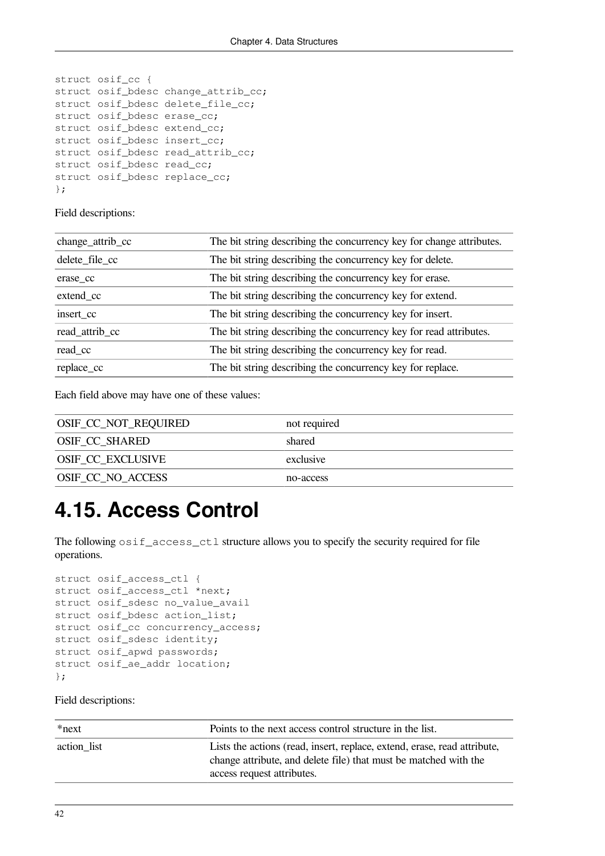```
struct osif_cc {
struct osif_bdesc change_attrib_cc;
struct osif_bdesc delete_file_cc;
struct osif_bdesc erase_cc;
struct osif_bdesc extend_cc;
struct osif_bdesc insert_cc;
struct osif_bdesc read_attrib_cc;
struct osif_bdesc read_cc;
struct osif_bdesc replace_cc;
};
```
Field descriptions:

| change_attrib_cc | The bit string describing the concurrency key for change attributes. |
|------------------|----------------------------------------------------------------------|
| delete_file_cc   | The bit string describing the concurrency key for delete.            |
| erase cc         | The bit string describing the concurrency key for erase.             |
| extend_cc        | The bit string describing the concurrency key for extend.            |
| insert cc        | The bit string describing the concurrency key for insert.            |
| read_attrib_cc   | The bit string describing the concurrency key for read attributes.   |
| read_cc          | The bit string describing the concurrency key for read.              |
| replace_cc       | The bit string describing the concurrency key for replace.           |

Each field above may have one of these values:

| OSIF_CC_NOT_REQUIRED     | not required |
|--------------------------|--------------|
| OSIF_CC_SHARED           | shared       |
| <b>OSIF CC EXCLUSIVE</b> | exclusive    |
| <b>OSIF CC NO ACCESS</b> | no-access    |

## **4.15. Access Control**

The following  $osif\_access\_ct1$  structure allows you to specify the security required for file operations.

```
struct osif_access_ctl {
struct osif_access_ctl *next;
struct osif_sdesc no_value_avail
struct osif_bdesc action_list;
struct osif_cc concurrency_access;
struct osif_sdesc identity;
struct osif_apwd passwords;
struct osif_ae_addr location;
};
```

| *next       | Points to the next access control structure in the list.                                                                                                                   |
|-------------|----------------------------------------------------------------------------------------------------------------------------------------------------------------------------|
| action list | Lists the actions (read, insert, replace, extend, erase, read attribute,<br>change attribute, and delete file) that must be matched with the<br>access request attributes. |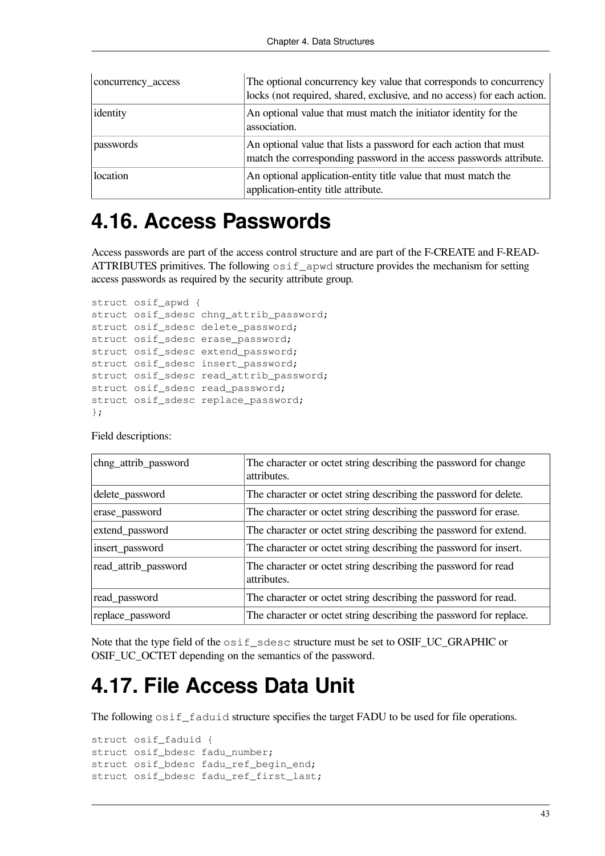| concurrency_access | The optional concurrency key value that corresponds to concurrency<br>locks (not required, shared, exclusive, and no access) for each action. |
|--------------------|-----------------------------------------------------------------------------------------------------------------------------------------------|
| identity           | An optional value that must match the initiator identity for the<br>association.                                                              |
| passwords          | An optional value that lists a password for each action that must<br>match the corresponding password in the access passwords attribute.      |
| location           | An optional application-entity title value that must match the<br>application-entity title attribute.                                         |

### **4.16. Access Passwords**

Access passwords are part of the access control structure and are part of the F-CREATE and F-READ-ATTRIBUTES primitives. The following  $\circ$  s i f\_apwd structure provides the mechanism for setting access passwords as required by the security attribute group.

```
struct osif_apwd {
struct osif_sdesc chng_attrib_password;
struct osif_sdesc delete_password;
struct osif_sdesc erase_password;
struct osif sdesc extend password;
struct osif_sdesc insert_password;
struct osif_sdesc read_attrib_password;
struct osif sdesc read password;
struct osif_sdesc replace_password;
};
```

| chng_attrib_password | The character or octet string describing the password for change<br>attributes. |
|----------------------|---------------------------------------------------------------------------------|
| delete_password      | The character or octet string describing the password for delete.               |
| erase_password       | The character or octet string describing the password for erase.                |
| extend_password      | The character or octet string describing the password for extend.               |
| insert_password      | The character or octet string describing the password for insert.               |
| read_attrib_password | The character or octet string describing the password for read<br>attributes.   |
| read_password        | The character or octet string describing the password for read.                 |
| replace_password     | The character or octet string describing the password for replace.              |

#### Field descriptions:

Note that the type field of the  $\text{osit}$  sdesc structure must be set to OSIF\_UC\_GRAPHIC or OSIF\_UC\_OCTET depending on the semantics of the password.

### **4.17. File Access Data Unit**

The following  $\circ$ sif\_faduid structure specifies the target FADU to be used for file operations.

```
struct osif_faduid {
struct osif bdesc fadu number;
struct osif bdesc fadu ref begin end;
struct osif_bdesc fadu_ref_first_last;
```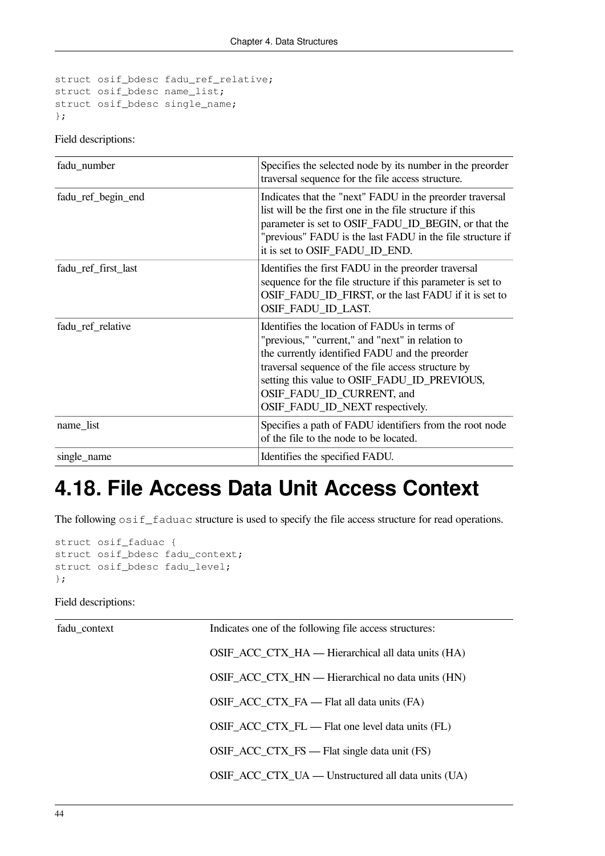```
struct osif_bdesc fadu_ref_relative;
struct osif_bdesc name_list;
struct osif_bdesc single_name;
};
```
#### Field descriptions:

| fadu_number         | Specifies the selected node by its number in the preorder<br>traversal sequence for the file access structure.                                                                                                                                                                                                           |
|---------------------|--------------------------------------------------------------------------------------------------------------------------------------------------------------------------------------------------------------------------------------------------------------------------------------------------------------------------|
| fadu_ref_begin_end  | Indicates that the "next" FADU in the preorder traversal<br>list will be the first one in the file structure if this<br>parameter is set to OSIF_FADU_ID_BEGIN, or that the<br>"previous" FADU is the last FADU in the file structure if<br>it is set to OSIF_FADU_ID_END.                                               |
| fadu_ref_first_last | Identifies the first FADU in the preorder traversal<br>sequence for the file structure if this parameter is set to<br>OSIF_FADU_ID_FIRST, or the last FADU if it is set to<br>OSIF_FADU_ID_LAST.                                                                                                                         |
| fadu_ref_relative   | Identifies the location of FADUs in terms of<br>"previous," "current," and "next" in relation to<br>the currently identified FADU and the preorder<br>traversal sequence of the file access structure by<br>setting this value to OSIF_FADU_ID_PREVIOUS,<br>OSIF_FADU_ID_CURRENT, and<br>OSIF_FADU_ID_NEXT respectively. |
| name_list           | Specifies a path of FADU identifiers from the root node<br>of the file to the node to be located.                                                                                                                                                                                                                        |
| single_name         | Identifies the specified FADU.                                                                                                                                                                                                                                                                                           |

## **4.18. File Access Data Unit Access Context**

The following  $\circ$ sif\_faduac structure is used to specify the file access structure for read operations.

```
struct osif_faduac {
struct osif_bdesc fadu_context;
struct osif_bdesc fadu_level;
};
```

| fadu_context | Indicates one of the following file access structures: |
|--------------|--------------------------------------------------------|
|              | OSIF_ACC_CTX_HA — Hierarchical all data units (HA)     |
|              | OSIF_ACC_CTX_HN — Hierarchical no data units (HN)      |
|              | OSIF_ACC_CTX_FA — Flat all data units (FA)             |
|              | OSIF_ACC_CTX_FL — Flat one level data units (FL)       |
|              | OSIF_ACC_CTX_FS — Flat single data unit (FS)           |
|              | OSIF_ACC_CTX_UA — Unstructured all data units (UA)     |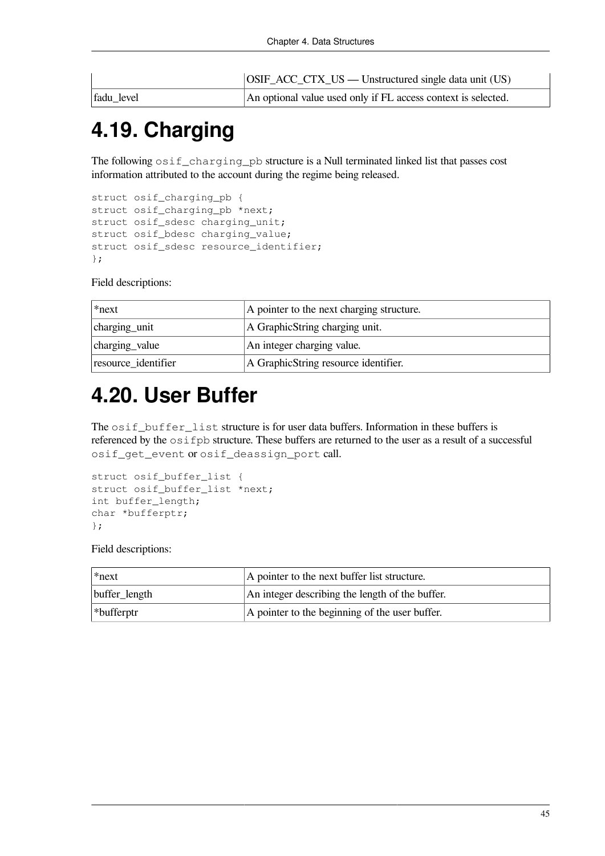|            | OSIF_ACC_CTX_US — Unstructured single data unit (US)          |
|------------|---------------------------------------------------------------|
| fadu level | An optional value used only if FL access context is selected. |

## **4.19. Charging**

The following osif\_charging\_pb structure is a Null terminated linked list that passes cost information attributed to the account during the regime being released.

```
struct osif_charging_pb {
struct osif charging pb *next;
struct osif sdesc charging unit;
struct osif_bdesc charging_value;
struct osif sdesc resource identifier;
};
```
Field descriptions:

| *next               | A pointer to the next charging structure. |
|---------------------|-------------------------------------------|
| charging_unit       | A GraphicString charging unit.            |
| charging value      | An integer charging value.                |
| resource identifier | A Graphic String resource identifier.     |

## **4.20. User Buffer**

The  $\sigma$ sif\_buffer\_list structure is for user data buffers. Information in these buffers is referenced by the osifpb structure. These buffers are returned to the user as a result of a successful osif\_get\_event or osif\_deassign\_port call.

```
struct osif buffer list {
struct osif_buffer_list *next;
int buffer_length;
char *bufferptr;
};
```

| *next            | A pointer to the next buffer list structure.    |
|------------------|-------------------------------------------------|
| buffer_length    | An integer describing the length of the buffer. |
| $ \n$ *bufferptr | A pointer to the beginning of the user buffer.  |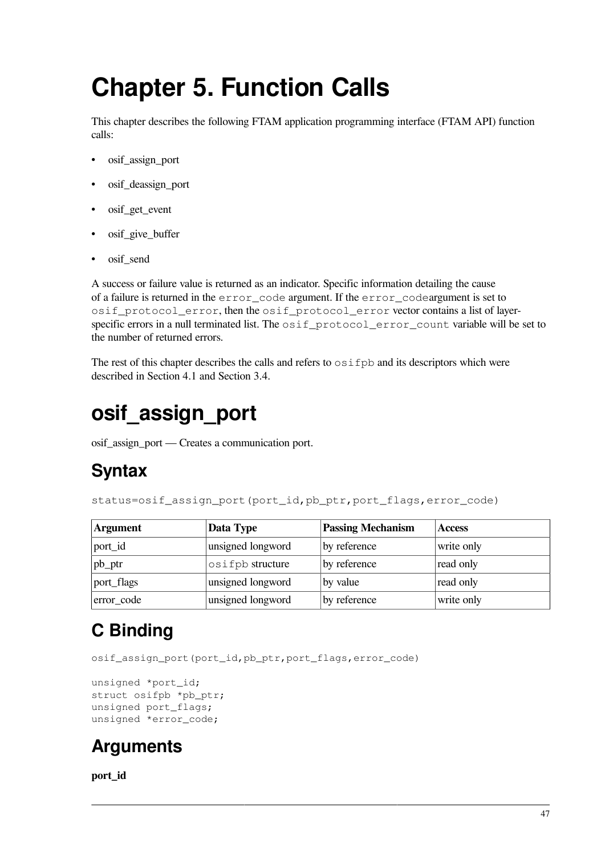# **Chapter 5. Function Calls**

This chapter describes the following FTAM application programming interface (FTAM API) function calls:

- osif assign port
- osif deassign port
- osif get event
- osif\_give\_buffer
- osif\_send

A success or failure value is returned as an indicator. Specific information detailing the cause of a failure is returned in the error\_code argument. If the error\_codeargument is set to osif protocol error, then the osif protocol error vector contains a list of layerspecific errors in a null terminated list. The osif\_protocol\_error\_count variable will be set to the number of returned errors.

The rest of this chapter describes the calls and refers to  $\circ$  s if  $\circ$  b and its descriptors which were described in [Section](#page-38-0) 4.1 and [Section](#page-27-0) 3.4.

## **osif\_assign\_port**

osif\_assign\_port — Creates a communication port.

### **Syntax**

status=osif\_assign\_port(port\_id,pb\_ptr,port\_flags,error\_code)

| <b>Argument</b> | Data Type         | <b>Passing Mechanism</b> | <b>Access</b> |
|-----------------|-------------------|--------------------------|---------------|
| port_id         | unsigned longword | by reference             | write only    |
| $ pb\_ptr$      | osifpb structure  | by reference             | read only     |
| port_flags      | unsigned longword | by value                 | read only     |
| error_code      | unsigned longword | by reference             | write only    |

## **C Binding**

osif\_assign\_port(port\_id,pb\_ptr,port\_flags,error\_code)

```
unsigned *port_id;
struct osifpb *pb_ptr;
unsigned port flags;
unsigned *error_code;
```
### **Arguments**

**port\_id**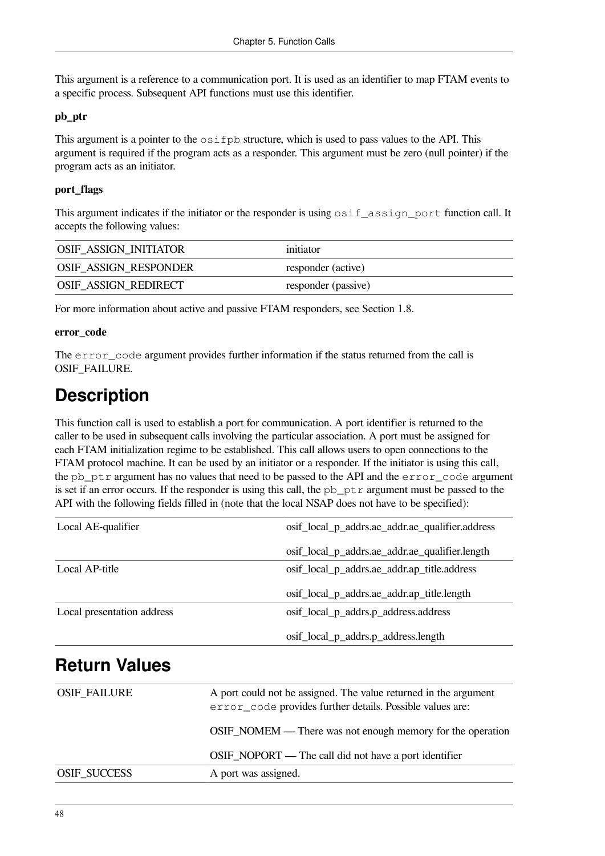This argument is a reference to a communication port. It is used as an identifier to map FTAM events to a specific process. Subsequent API functions must use this identifier.

#### **pb\_ptr**

This argument is a pointer to the  $\circ$  s if  $pb$  structure, which is used to pass values to the API. This argument is required if the program acts as a responder. This argument must be zero (null pointer) if the program acts as an initiator.

#### **port\_flags**

This argument indicates if the initiator or the responder is using  $\circ$ sif\_assign\_port function call. It accepts the following values:

| OSIF_ASSIGN_INITIATOR | initiator           |
|-----------------------|---------------------|
| OSIF_ASSIGN_RESPONDER | responder (active)  |
| OSIF_ASSIGN_REDIRECT  | responder (passive) |

For more information about active and passive FTAM responders, see [Section](#page-12-0) 1.8.

#### **error\_code**

The error\_code argument provides further information if the status returned from the call is OSIF\_FAILURE.

### **Description**

This function call is used to establish a port for communication. A port identifier is returned to the caller to be used in subsequent calls involving the particular association. A port must be assigned for each FTAM initialization regime to be established. This call allows users to open connections to the FTAM protocol machine. It can be used by an initiator or a responder. If the initiator is using this call, the pb  $ptr$  argument has no values that need to be passed to the API and the error code argument is set if an error occurs. If the responder is using this call, the  $pb\_ptr$  argument must be passed to the API with the following fields filled in (note that the local NSAP does not have to be specified):

| Local AE-qualifier         | osif_local_p_addrs.ae_addr.ae_qualifier.address |  |
|----------------------------|-------------------------------------------------|--|
|                            | osif_local_p_addrs.ae_addr.ae_qualifier.length  |  |
| Local AP-title             | osif_local_p_addrs.ae_addr.ap_title.address     |  |
|                            | osif_local_p_addrs.ae_addr.ap_title.length      |  |
| Local presentation address | osif_local_p_addrs.p_address.address            |  |
|                            | osif_local_p_addrs.p_address.length             |  |

### **Return Values**

| <b>OSIF_FAILURE</b> | A port could not be assigned. The value returned in the argument<br>error_code provides further details. Possible values are: |  |
|---------------------|-------------------------------------------------------------------------------------------------------------------------------|--|
|                     | <b>OSIF_NOMEM</b> — There was not enough memory for the operation                                                             |  |
|                     | OSIF_NOPORT — The call did not have a port identifier                                                                         |  |
| <b>OSIF SUCCESS</b> | A port was assigned.                                                                                                          |  |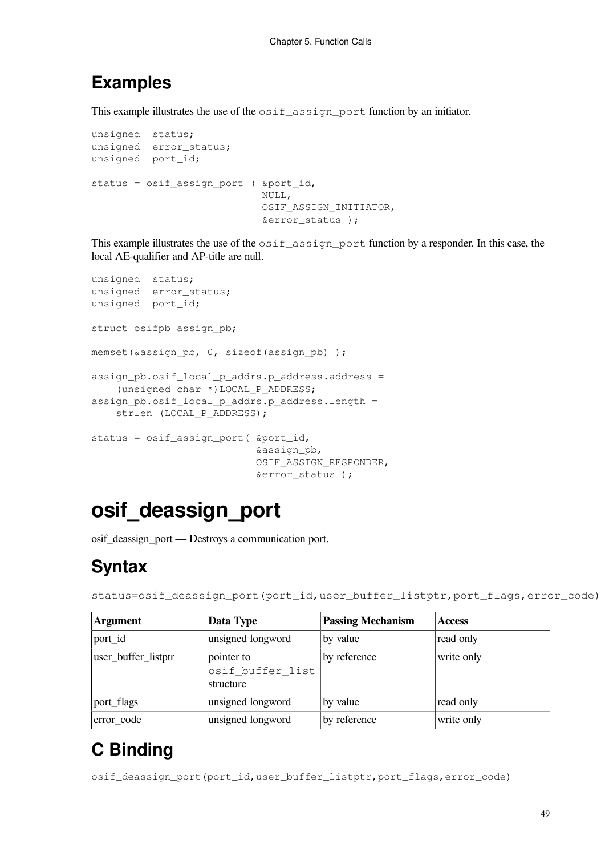#### **Examples**

This example illustrates the use of the  $\sigma$ sif\_assign\_port function by an initiator.

```
unsigned status;
unsigned error_status;
unsigned port_id;
status = osif_assign_port ( &port_id,
                             NULL,
                              OSIF_ASSIGN_INITIATOR,
                              &error_status );
```
This example illustrates the use of the  $\sigma$ sif\_assign\_port function by a responder. In this case, the local AE-qualifier and AP-title are null.

```
unsigned status;
unsigned error_status;
unsigned port_id;
struct osifpb assign_pb;
memset(&assign_pb, 0, sizeof(assign_pb) );
assign pb.osif local p addrs.p address.address =
     (unsigned char *)LOCAL_P_ADDRESS;
assign_pb.osif_local_p_addrs.p_address.length =
    strlen (LOCAL P ADDRESS);
status = osif_assign_port( &port_id,
                             &assign_pb,
                             OSIF_ASSIGN_RESPONDER,
                             &error_status );
```
## **osif\_deassign\_port**

osif\_deassign\_port — Destroys a communication port.

### **Syntax**

```
status=osif_deassign_port(port_id,user_buffer_listptr,port_flags,error_code)
```

| <b>Argument</b>     | Data Type                                   | <b>Passing Mechanism</b> | <b>Access</b> |
|---------------------|---------------------------------------------|--------------------------|---------------|
| port_id             | unsigned longword                           | by value                 | read only     |
| user_buffer_listptr | pointer to<br>osif_buffer_list<br>structure | by reference             | write only    |
| port_flags          | unsigned longword                           | by value                 | read only     |
| error_code          | unsigned longword                           | by reference             | write only    |

## **C Binding**

osif\_deassign\_port(port\_id,user\_buffer\_listptr,port\_flags,error\_code)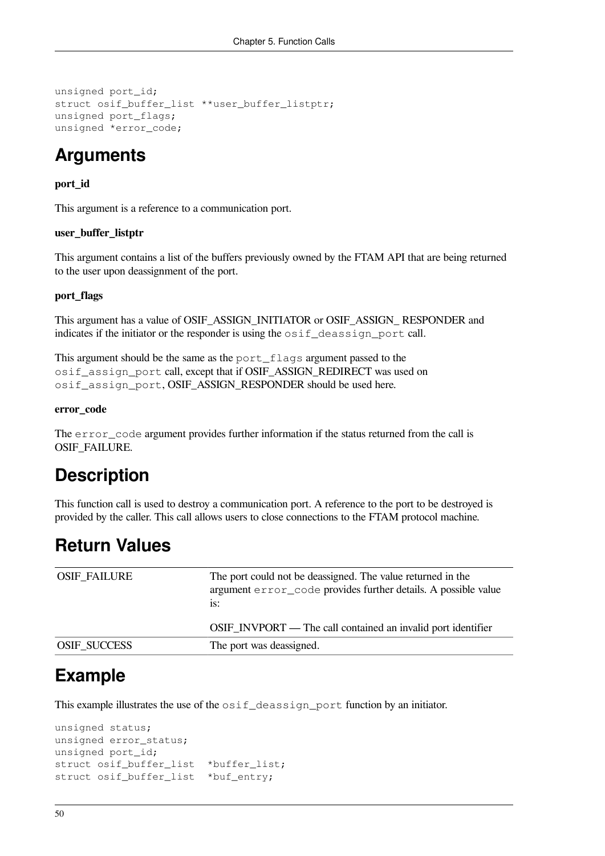```
unsigned port_id;
struct osif_buffer_list **user_buffer_listptr;
unsigned port_flags;
unsigned *error_code;
```
### **Arguments**

#### **port\_id**

This argument is a reference to a communication port.

#### **user\_buffer\_listptr**

This argument contains a list of the buffers previously owned by the FTAM API that are being returned to the user upon deassignment of the port.

#### **port\_flags**

This argument has a value of OSIF\_ASSIGN\_INITIATOR or OSIF\_ASSIGN\_ RESPONDER and indicates if the initiator or the responder is using the  $\circ$ sif<sub>\_deassign\_port call.</sub>

This argument should be the same as the port\_flags argument passed to the osif\_assign\_port call, except that if OSIF\_ASSIGN\_REDIRECT was used on osif\_assign\_port, OSIF\_ASSIGN\_RESPONDER should be used here.

#### **error\_code**

The error\_code argument provides further information if the status returned from the call is OSIF\_FAILURE.

#### **Description**

This function call is used to destroy a communication port. A reference to the port to be destroyed is provided by the caller. This call allows users to close connections to the FTAM protocol machine.

#### **Return Values**

| <b>OSIF FAILURE</b> | The port could not be deassigned. The value returned in the<br>argument error_code provides further details. A possible value<br>is: |  |
|---------------------|--------------------------------------------------------------------------------------------------------------------------------------|--|
|                     | OSIF_INVPORT — The call contained an invalid port identifier                                                                         |  |
| <b>OSIF SUCCESS</b> | The port was deassigned.                                                                                                             |  |

#### **Example**

This example illustrates the use of the osif deassign port function by an initiator.

```
unsigned status;
unsigned error_status;
unsigned port_id;
struct osif buffer list *buffer list;
struct osif_buffer_list *buf_entry;
```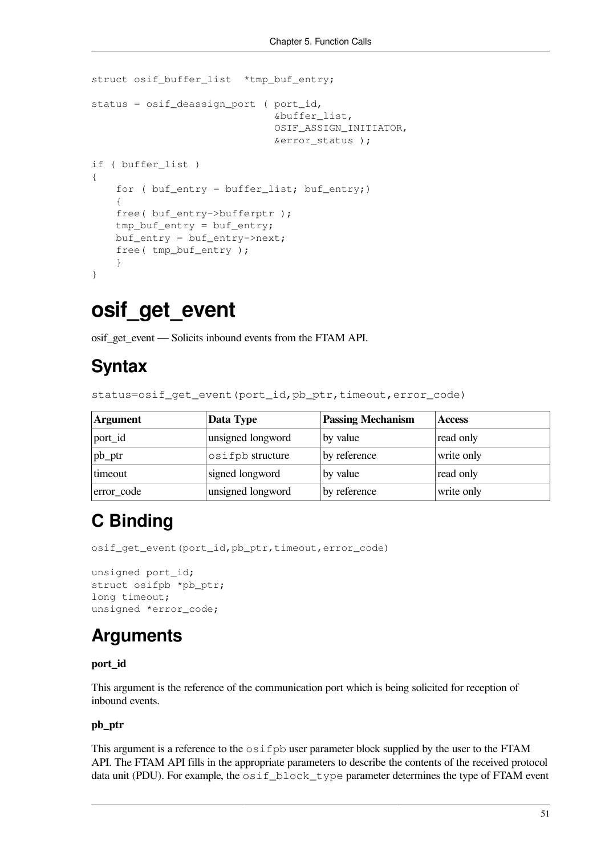```
struct osif_buffer_list *tmp_buf_entry;
status = osif_deassign_port ( port_id,
                                 &buffer_list,
                                 OSIF_ASSIGN_INITIATOR,
                                 &error_status );
if ( buffer_list )
{
    for ( buf\_entry = buffer\_list; but\_entry; )
     {
     free( buf_entry->bufferptr );
     tmp_buf_entry = buf_entry;
     buf_entry = buf_entry->next;
     free( tmp_buf_entry );
     }
}
```
### **osif\_get\_event**

osif\_get\_event — Solicits inbound events from the FTAM API.

#### **Syntax**

status=osif\_get\_event(port\_id,pb\_ptr,timeout,error\_code)

| <b>Argument</b> | Data Type         | <b>Passing Mechanism</b> | <b>Access</b> |
|-----------------|-------------------|--------------------------|---------------|
| port_id         | unsigned longword | by value                 | read only     |
| $ pb_lpr$       | osifpb structure  | by reference             | write only    |
| timeout         | signed longword   | by value                 | read only     |
| error_code      | unsigned longword | by reference             | write only    |

### **C Binding**

osif\_get\_event(port\_id,pb\_ptr,timeout,error\_code)

```
unsigned port_id;
struct osifpb *pb_ptr;
long timeout;
unsigned *error_code;
```
### **Arguments**

#### **port\_id**

This argument is the reference of the communication port which is being solicited for reception of inbound events.

#### **pb\_ptr**

This argument is a reference to the  $\circ$ sifpb user parameter block supplied by the user to the FTAM API. The FTAM API fills in the appropriate parameters to describe the contents of the received protocol data unit (PDU). For example, the osif\_block\_type parameter determines the type of FTAM event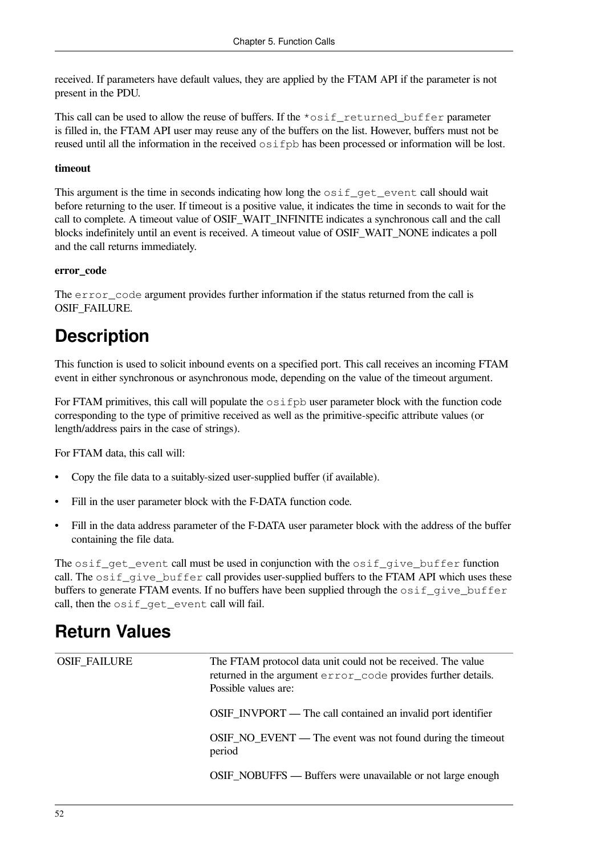received. If parameters have default values, they are applied by the FTAM API if the parameter is not present in the PDU.

This call can be used to allow the reuse of buffers. If the  $\star$ osif returned buffer parameter is filled in, the FTAM API user may reuse any of the buffers on the list. However, buffers must not be reused until all the information in the received  $\circ$ sifpb has been processed or information will be lost.

#### **timeout**

This argument is the time in seconds indicating how long the  $\circ$ sif\_get\_event call should wait before returning to the user. If timeout is a positive value, it indicates the time in seconds to wait for the call to complete. A timeout value of OSIF\_WAIT\_INFINITE indicates a synchronous call and the call blocks indefinitely until an event is received. A timeout value of OSIF\_WAIT\_NONE indicates a poll and the call returns immediately.

#### **error\_code**

The error code argument provides further information if the status returned from the call is OSIF\_FAILURE.

### **Description**

This function is used to solicit inbound events on a specified port. This call receives an incoming FTAM event in either synchronous or asynchronous mode, depending on the value of the timeout argument.

For FTAM primitives, this call will populate the  $\circ$ sifpb user parameter block with the function code corresponding to the type of primitive received as well as the primitive-specific attribute values (or length/address pairs in the case of strings).

For FTAM data, this call will:

- Copy the file data to a suitably-sized user-supplied buffer (if available).
- Fill in the user parameter block with the F-DATA function code.
- Fill in the data address parameter of the F-DATA user parameter block with the address of the buffer containing the file data.

The osif get event call must be used in conjunction with the osif give buffer function call. The osif\_give\_buffer call provides user-supplied buffers to the FTAM API which uses these buffers to generate FTAM events. If no buffers have been supplied through the  $\sigma$ sif give buffer call, then the osif\_get\_event call will fail.

### **Return Values**

| <b>OSIF_FAILURE</b> | The FTAM protocol data unit could not be received. The value<br>returned in the argument error_code provides further details.<br>Possible values are: |  |
|---------------------|-------------------------------------------------------------------------------------------------------------------------------------------------------|--|
|                     | OSIF_INVPORT — The call contained an invalid port identifier                                                                                          |  |
|                     | OSIF_NO_EVENT — The event was not found during the timeout<br>period                                                                                  |  |
|                     | <b>OSIF_NOBUFFS</b> — Buffers were unavailable or not large enough                                                                                    |  |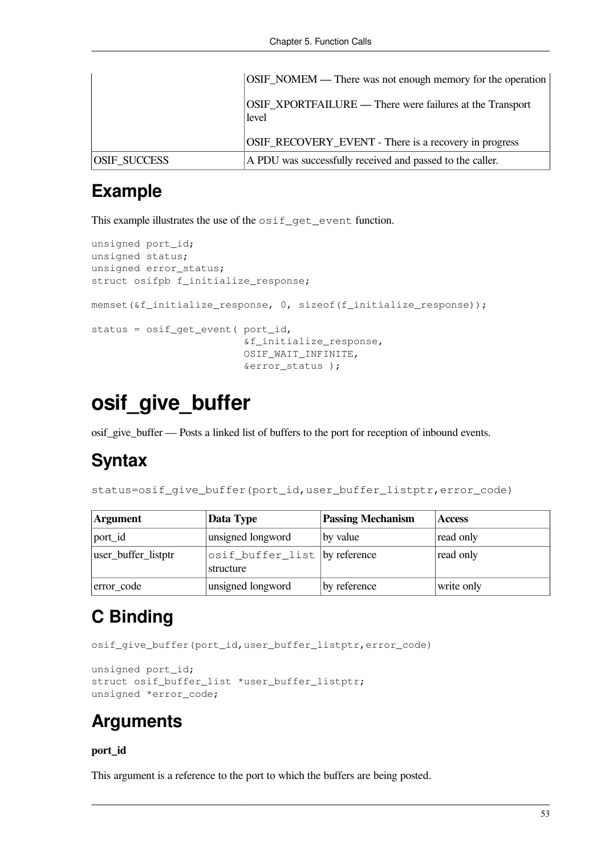|                     | OSIF_NOMEM — There was not enough memory for the operation        |
|---------------------|-------------------------------------------------------------------|
|                     | OSIF_XPORTFAILURE — There were failures at the Transport<br>level |
|                     | OSIF_RECOVERY_EVENT - There is a recovery in progress             |
| <b>OSIF SUCCESS</b> | A PDU was successfully received and passed to the caller.         |

### **Example**

This example illustrates the use of the  $\circ$ sif\_qet\_event function.

```
unsigned port_id;
unsigned status;
unsigned error_status;
struct osifpb f_initialize_response;
memset(&f_initialize_response, 0, sizeof(f_initialize_response));
status = osif_get_event( port_id,
                           &f_initialize_response,
                          OSIF_WAIT_INFINITE,
                           &error_status );
```
## **osif\_give\_buffer**

osif\_give\_buffer — Posts a linked list of buffers to the port for reception of inbound events.

#### **Syntax**

status=osif\_give\_buffer(port\_id,user\_buffer\_listptr,error\_code)

| Argument            | Data Type                                  | <b>Passing Mechanism</b> | <b>Access</b> |
|---------------------|--------------------------------------------|--------------------------|---------------|
| port_id             | unsigned longword                          | by value                 | read only     |
| user_buffer_listptr | osif_buffer_list by reference<br>structure |                          | read only     |
| error_code          | unsigned longword                          | by reference             | write only    |

## **C Binding**

osif qive buffer(port id, user buffer listptr, error code)

```
unsigned port_id;
struct osif buffer list *user buffer listptr;
unsigned *error code;
```
#### **Arguments**

#### **port\_id**

This argument is a reference to the port to which the buffers are being posted.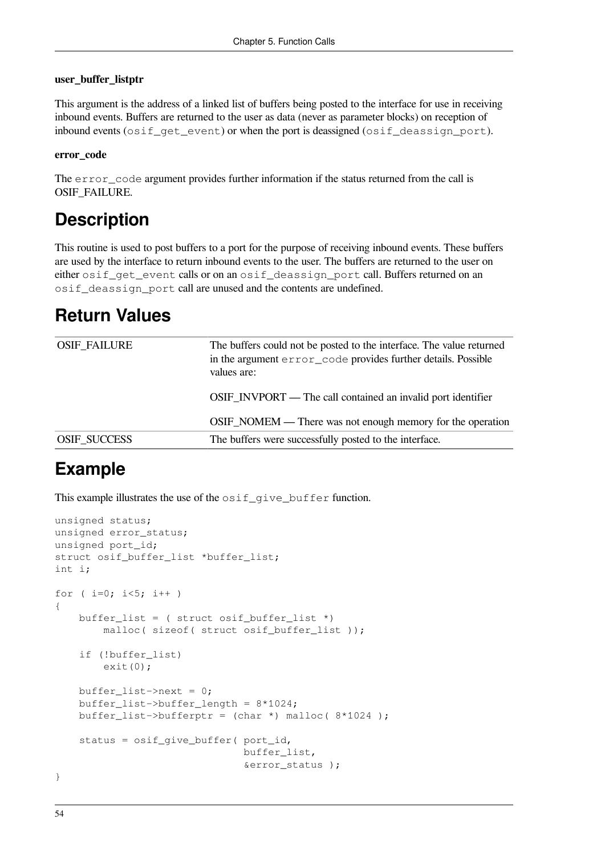#### **user\_buffer\_listptr**

This argument is the address of a linked list of buffers being posted to the interface for use in receiving inbound events. Buffers are returned to the user as data (never as parameter blocks) on reception of inbound events (osif get event) or when the port is deassigned (osif deassign port).

#### **error\_code**

The error\_code argument provides further information if the status returned from the call is OSIF\_FAILURE.

#### **Description**

This routine is used to post buffers to a port for the purpose of receiving inbound events. These buffers are used by the interface to return inbound events to the user. The buffers are returned to the user on either osif\_get\_event calls or on an osif\_deassign\_port call. Buffers returned on an osif\_deassign\_port call are unused and the contents are undefined.

### **Return Values**

| OSIF_FAILURE        | The buffers could not be posted to the interface. The value returned<br>in the argument error_code provides further details. Possible<br>values are: |
|---------------------|------------------------------------------------------------------------------------------------------------------------------------------------------|
|                     | OSIF_INVPORT — The call contained an invalid port identifier                                                                                         |
|                     | OSIF_NOMEM — There was not enough memory for the operation                                                                                           |
| <b>OSIF SUCCESS</b> | The buffers were successfully posted to the interface.                                                                                               |

#### **Example**

This example illustrates the use of the  $\text{osif\_give\_buffer}$  function.

```
unsigned status;
unsigned error_status;
unsigned port_id;
struct osif_buffer_list *buffer_list;
int i;
for ( i=0; i<5; i++ )
{
    buffer list = ( struct osif buffer list *)
        malloc( sizeof( struct osif buffer list ));
     if (!buffer_list)
        ext(0);buffer_list->next = 0;
     buffer_list->buffer_length = 8*1024;
    buffer_list->bufferptr = (char *) malloc(8*1024);
     status = osif_give_buffer( port_id,
                                buffer_list,
                                 &error_status );
}
```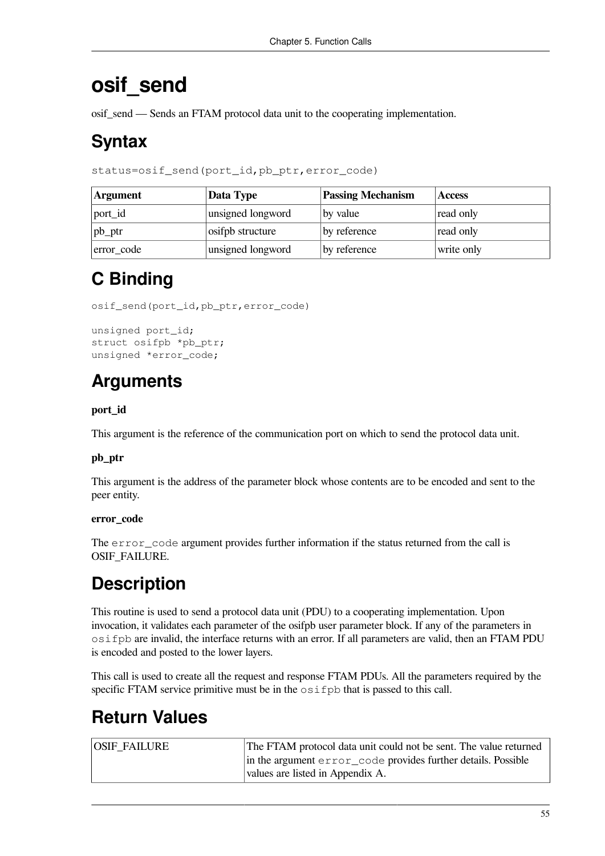## **osif\_send**

osif\_send — Sends an FTAM protocol data unit to the cooperating implementation.

### **Syntax**

status=osif\_send(port\_id,pb\_ptr,error\_code)

| <b>Argument</b> | Data Type         | <b>Passing Mechanism</b> | <b>Access</b> |
|-----------------|-------------------|--------------------------|---------------|
| port_id         | unsigned longword | by value                 | read only     |
| $ pb\_ptr$      | osifpb structure  | by reference             | read only     |
| error_code      | unsigned longword | by reference             | write only    |

## **C Binding**

osif\_send(port\_id,pb\_ptr,error\_code)

```
unsigned port id;
struct osifpb *pb ptr;
unsigned *error code;
```
### **Arguments**

#### **port\_id**

This argument is the reference of the communication port on which to send the protocol data unit.

#### **pb\_ptr**

This argument is the address of the parameter block whose contents are to be encoded and sent to the peer entity.

#### **error\_code**

The error\_code argument provides further information if the status returned from the call is OSIF\_FAILURE.

### **Description**

This routine is used to send a protocol data unit (PDU) to a cooperating implementation. Upon invocation, it validates each parameter of the osifpb user parameter block. If any of the parameters in osifpb are invalid, the interface returns with an error. If all parameters are valid, then an FTAM PDU is encoded and posted to the lower layers.

This call is used to create all the request and response FTAM PDUs. All the parameters required by the specific FTAM service primitive must be in the  $\circ$ sifpb that is passed to this call.

### **Return Values**

| <b>OSIF FAILURE</b> | The FTAM protocol data unit could not be sent. The value returned |
|---------------------|-------------------------------------------------------------------|
|                     | in the argument error_code provides further details. Possible     |
|                     | values are listed in Appendix A.                                  |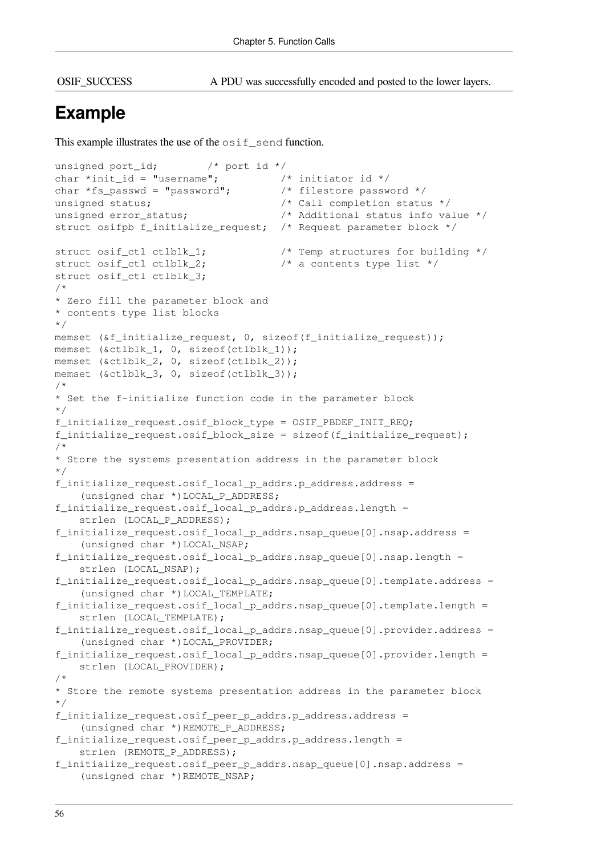OSIF\_SUCCESS A PDU was successfully encoded and posted to the lower layers.

### **Example**

This example illustrates the use of the  $\circ$ sif\_send function.

```
unsigned port_id; /* port id */
char *init id = "username"; /* initiator id */
char *fs_passwd = "password"; \frac{1}{2} /* filestore password */
unsigned status; \frac{1}{2} /* Call completion status */
unsigned error_status; \frac{1}{2} /* Additional status info value */
struct osifpb f_initialize_request; /* Request parameter block */
struct osif_ctl ctlblk_1; /* Temp structures for building */
struct osif ctl ctlblk 2; \frac{1}{2} /* a contents type list */
struct osif ctl ctlblk 3;
/*
* Zero fill the parameter block and
* contents type list blocks
*/
memset (&f_initialize_request, 0, sizeof(f_initialize_request));
memset (&ctlblk_1, 0, sizeof(ctlblk_1));
memset (&ctlblk_2, 0, sizeof(ctlblk_2));
memset (&ctlblk 3, 0, sizeof(ctlblk 3));
/*
* Set the f-initialize function code in the parameter block
*/
f initialize request.osif block type = OSIF PBDEF INIT REQ;
f_initialize_request.osif_block_size = sizeof(f_initialize_request);
/*
* Store the systems presentation address in the parameter block
*/
f_initialize_request.osif_local_p_addrs.p_address.address =
     (unsigned char *)LOCAL_P_ADDRESS;
f_initialize_request.osif_local_p_addrs.p_address.length =
     strlen (LOCAL_P_ADDRESS);
f initialize request.osif local p addrs.nsap queue[0].nsap.address =
     (unsigned char *)LOCAL_NSAP;
f_initialize_request.osif_local_p_addrs.nsap_queue[0].nsap.length =
     strlen (LOCAL_NSAP);
f_initialize_request.osif_local_p_addrs.nsap_queue[0].template.address =
     (unsigned char *)LOCAL_TEMPLATE;
f_initialize_request.osif_local_p_addrs.nsap_queue[0].template.length =
   strlen (LOCAL TEMPLATE);
f initialize request.osif local p addrs.nsap queue[0].provider.address =
     (unsigned char *)LOCAL_PROVIDER;
f_initialize_request.osif_local_p_addrs.nsap_queue[0].provider.length =
     strlen (LOCAL_PROVIDER);
/*
* Store the remote systems presentation address in the parameter block
*/
f_initialize_request.osif_peer_p_addrs.p_address.address =
     (unsigned char *)REMOTE_P_ADDRESS;
f_initialize_request.osif_peer_p_addrs.p_address.length =
    strlen (REMOTE P ADDRESS);
f_initialize_request.osif_peer_p_addrs.nsap_queue[0].nsap.address =
     (unsigned char *)REMOTE_NSAP;
```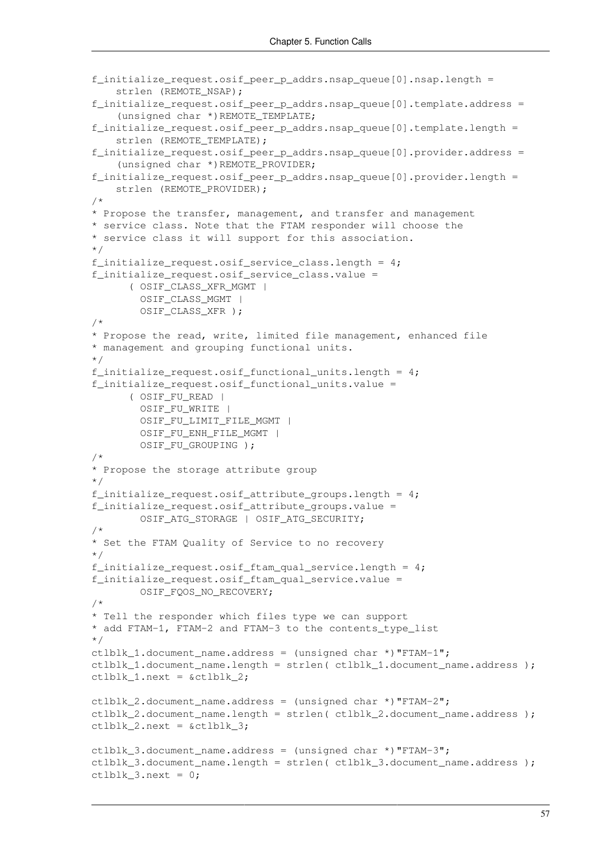```
f_initialize_request.osif_peer_p_addrs.nsap_queue[0].nsap.length =
    strlen (REMOTE NSAP);
f_initialize_request.osif_peer_p_addrs.nsap_queue[0].template.address =
     (unsigned char *)REMOTE_TEMPLATE;
f_initialize_request.osif_peer_p_addrs.nsap_queue[0].template.length =
     strlen (REMOTE_TEMPLATE);
f_initialize_request.osif_peer_p_addrs.nsap_queue[0].provider.address =
     (unsigned char *)REMOTE_PROVIDER;
f_initialize_request.osif_peer_p_addrs.nsap_queue[0].provider.length =
    strlen (REMOTE PROVIDER);
/*
* Propose the transfer, management, and transfer and management
* service class. Note that the FTAM responder will choose the
* service class it will support for this association.
*/
f_initialize_request.osif_service_class.length = 4;
f initialize request.osif service class.value =
       ( OSIF_CLASS_XFR_MGMT |
         OSIF_CLASS_MGMT |
        OSIF CLASS XFR );
/*
* Propose the read, write, limited file management, enhanced file
* management and grouping functional units.
*/
f_initialize_request.osif_functional_units.length = 4;
f_initialize_request.osif_functional_units.value =
       ( OSIF_FU_READ |
        OSIF_FU_WRITE |
         OSIF_FU_LIMIT_FILE_MGMT |
        OSIF_FU_ENH_FILE_MGMT |
        OSIF_FU_GROUPING );
/*
* Propose the storage attribute group
*/
f initialize request.osif attribute groups.length = 4;f_initialize_request.osif_attribute_groups.value =
        OSIF_ATG_STORAGE | OSIF_ATG_SECURITY;
/*
* Set the FTAM Quality of Service to no recovery
*/
f initialize request.osif ftam qual service.length = 4;
f initialize request.osif ftam qual service.value =
        OSIF_FQOS_NO_RECOVERY;
/*
* Tell the responder which files type we can support
* add FTAM-1, FTAM-2 and FTAM-3 to the contents_type_list
*/
ctlblk_1.document_name.address = (unsigned char *)"FTAM-1";
ctlblk 1.document name.length = strlen( ctlblk 1.document name.address );
ctlblk 1.next = \&ctlblk 2;
ctlblk_2.document_name.address = (unsigned char *) "FTAM-2";
ctlblk 2.document name.length = strlen( ctlblk 2.document name.address );
ctlblk 2.next = sctlblk 3;ctlblk 3.document name.address = (unsigned char *) "FTAM-3";
ctlblk 3.document name.length = strlen( ctlblk 3.document name.address );
ctlblk_3.next = 0;
```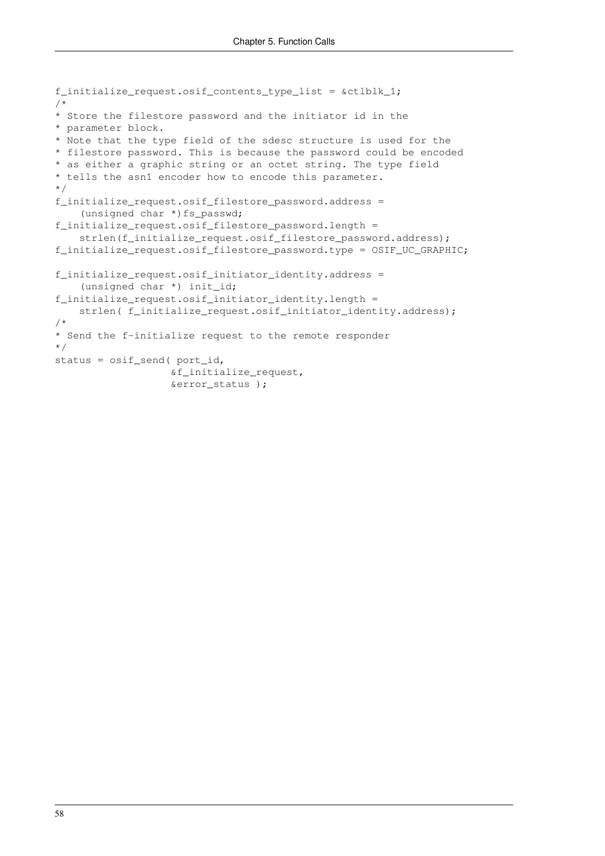```
f_initialize_request.osif_contents_type_list = &ctlblk_1;
/*
* Store the filestore password and the initiator id in the
* parameter block.
* Note that the type field of the sdesc structure is used for the
* filestore password. This is because the password could be encoded
* as either a graphic string or an octet string. The type field
* tells the asn1 encoder how to encode this parameter.
*/
f_initialize_request.osif_filestore_password.address =
    (unsigned char *) fs_passwd;
f_initialize_request.osif_filestore_password.length =
    strlen(f_initialize_request.osif_filestore_password.address);
f_initialize_request.osif_filestore_password.type = OSIF_UC_GRAPHIC;
f_initialize_request.osif_initiator_identity.address =
     (unsigned char *) init_id;
f_initialize_request.osif_initiator_identity.length =
   strlen( f_initialize_request.osif_initiator_identity.address);
/*
* Send the f-initialize request to the remote responder
*/
status = osif_send( port_id,
                    &f_initialize_request,
                    &error_status );
```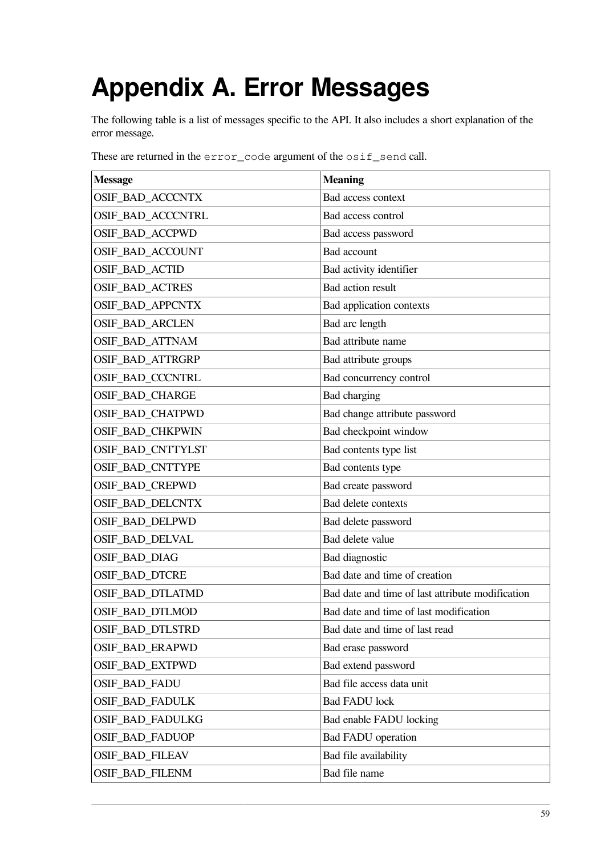# **Appendix A. Error Messages**

The following table is a list of messages specific to the API. It also includes a short explanation of the error message.

These are returned in the error\_code argument of the osif\_send call.

| <b>Message</b>          | <b>Meaning</b>                                   |
|-------------------------|--------------------------------------------------|
| OSIF_BAD_ACCCNTX        | Bad access context                               |
| OSIF_BAD_ACCCNTRL       | Bad access control                               |
| OSIF_BAD_ACCPWD         | Bad access password                              |
| OSIF_BAD_ACCOUNT        | Bad account                                      |
| OSIF_BAD_ACTID          | Bad activity identifier                          |
| <b>OSIF_BAD_ACTRES</b>  | Bad action result                                |
| <b>OSIF_BAD_APPCNTX</b> | Bad application contexts                         |
| <b>OSIF_BAD_ARCLEN</b>  | Bad arc length                                   |
| OSIF_BAD_ATTNAM         | Bad attribute name                               |
| OSIF_BAD_ATTRGRP        | Bad attribute groups                             |
| <b>OSIF_BAD_CCCNTRL</b> | Bad concurrency control                          |
| <b>OSIF_BAD_CHARGE</b>  | Bad charging                                     |
| OSIF_BAD_CHATPWD        | Bad change attribute password                    |
| OSIF_BAD_CHKPWIN        | Bad checkpoint window                            |
| OSIF BAD CNTTYLST       | Bad contents type list                           |
| <b>OSIF_BAD_CNTTYPE</b> | Bad contents type                                |
| <b>OSIF_BAD_CREPWD</b>  | Bad create password                              |
| <b>OSIF_BAD_DELCNTX</b> | Bad delete contexts                              |
| <b>OSIF_BAD_DELPWD</b>  | Bad delete password                              |
| OSIF_BAD_DELVAL         | Bad delete value                                 |
| OSIF_BAD_DIAG           | Bad diagnostic                                   |
| OSIF_BAD_DTCRE          | Bad date and time of creation                    |
| OSIF_BAD_DTLATMD        | Bad date and time of last attribute modification |
| OSIF_BAD_DTLMOD         | Bad date and time of last modification           |
| OSIF_BAD_DTLSTRD        | Bad date and time of last read                   |
| OSIF_BAD_ERAPWD         | Bad erase password                               |
| OSIF_BAD_EXTPWD         | Bad extend password                              |
| OSIF_BAD_FADU           | Bad file access data unit                        |
| <b>OSIF_BAD_FADULK</b>  | <b>Bad FADU lock</b>                             |
| OSIF_BAD_FADULKG        | Bad enable FADU locking                          |
| <b>OSIF_BAD_FADUOP</b>  | <b>Bad FADU</b> operation                        |
| OSIF_BAD_FILEAV         | Bad file availability                            |
| OSIF_BAD_FILENM         | Bad file name                                    |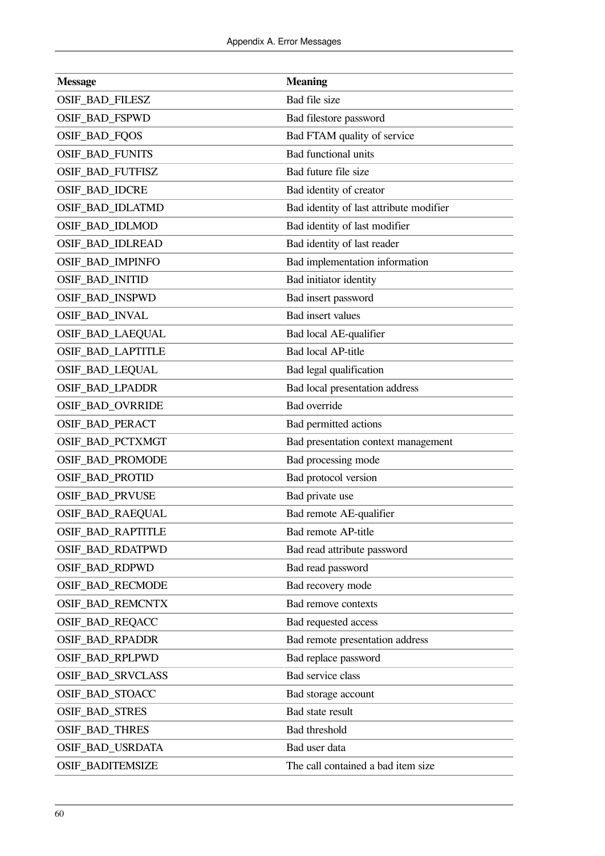| <b>Message</b>           | <b>Meaning</b>                          |
|--------------------------|-----------------------------------------|
| OSIF_BAD_FILESZ          | Bad file size                           |
| OSIF_BAD_FSPWD           | Bad filestore password                  |
| <b>OSIF_BAD_FQOS</b>     | Bad FTAM quality of service             |
| <b>OSIF_BAD_FUNITS</b>   | <b>Bad functional units</b>             |
| OSIF_BAD_FUTFISZ         | Bad future file size                    |
| OSIF_BAD_IDCRE           | Bad identity of creator                 |
| OSIF_BAD_IDLATMD         | Bad identity of last attribute modifier |
| OSIF_BAD_IDLMOD          | Bad identity of last modifier           |
| OSIF_BAD_IDLREAD         | Bad identity of last reader             |
| <b>OSIF_BAD_IMPINFO</b>  | Bad implementation information          |
| <b>OSIF_BAD_INITID</b>   | Bad initiator identity                  |
| OSIF_BAD_INSPWD          | Bad insert password                     |
| OSIF_BAD_INVAL           | <b>Bad</b> insert values                |
| <b>OSIF_BAD_LAEQUAL</b>  | Bad local AE-qualifier                  |
| OSIF_BAD_LAPTITLE        | <b>Bad local AP-title</b>               |
| OSIF_BAD_LEQUAL          | Bad legal qualification                 |
| OSIF_BAD_LPADDR          | Bad local presentation address          |
| OSIF_BAD_OVRRIDE         | <b>Bad</b> override                     |
| OSIF_BAD_PERACT          | Bad permitted actions                   |
| OSIF_BAD_PCTXMGT         | Bad presentation context management     |
| OSIF_BAD_PROMODE         | Bad processing mode                     |
| <b>OSIF_BAD_PROTID</b>   | Bad protocol version                    |
| <b>OSIF_BAD_PRVUSE</b>   | Bad private use                         |
| OSIF_BAD_RAEQUAL         | Bad remote AE-qualifier                 |
| <b>OSIF_BAD_RAPTITLE</b> | <b>Bad remote AP-title</b>              |
| <b>OSIF_BAD_RDATPWD</b>  | Bad read attribute password             |
| <b>OSIF_BAD_RDPWD</b>    | Bad read password                       |
| <b>OSIF_BAD_RECMODE</b>  | Bad recovery mode                       |
| <b>OSIF BAD REMCNTX</b>  | <b>Bad remove contexts</b>              |
| OSIF_BAD_REQACC          | Bad requested access                    |
| OSIF_BAD_RPADDR          | Bad remote presentation address         |
| <b>OSIF_BAD_RPLPWD</b>   | Bad replace password                    |
| OSIF_BAD_SRVCLASS        | Bad service class                       |
| OSIF_BAD_STOACC          | Bad storage account                     |
| <b>OSIF_BAD_STRES</b>    | Bad state result                        |
| <b>OSIF_BAD_THRES</b>    | Bad threshold                           |
| OSIF_BAD_USRDATA         | Bad user data                           |
| <b>OSIF_BADITEMSIZE</b>  | The call contained a bad item size      |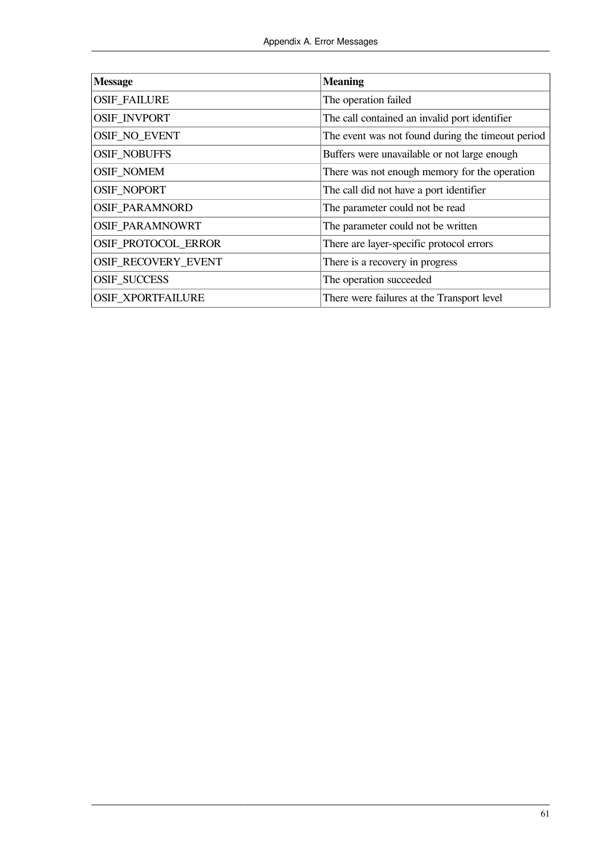| <b>Message</b>             | <b>Meaning</b>                                    |
|----------------------------|---------------------------------------------------|
| <b>OSIF_FAILURE</b>        | The operation failed                              |
| <b>OSIF INVPORT</b>        | The call contained an invalid port identifier     |
| OSIF_NO_EVENT              | The event was not found during the timeout period |
| <b>OSIF_NOBUFFS</b>        | Buffers were unavailable or not large enough      |
| <b>OSIF_NOMEM</b>          | There was not enough memory for the operation     |
| OSIF_NOPORT                | The call did not have a port identifier           |
| <b>OSIF_PARAMNORD</b>      | The parameter could not be read                   |
| <b>OSIF PARAMNOWRT</b>     | The parameter could not be written                |
| <b>OSIF PROTOCOL ERROR</b> | There are layer-specific protocol errors          |
| <b>OSIF RECOVERY EVENT</b> | There is a recovery in progress                   |
| <b>OSIF_SUCCESS</b>        | The operation succeeded                           |
| <b>OSIF XPORTFAILURE</b>   | There were failures at the Transport level        |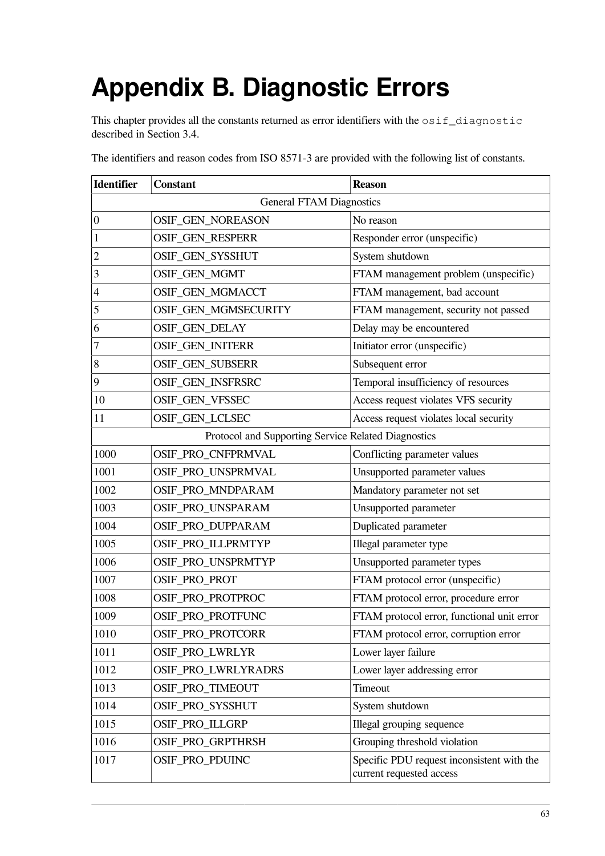# <span id="page-68-0"></span>**Appendix B. Diagnostic Errors**

This chapter provides all the constants returned as error identifiers with the  $\text{osif\_diagnostic}$ described in [Section](#page-27-0) 3.4.

| <b>Identifier</b> | <b>Constant</b>                                     | <b>Reason</b>                                                          |  |  |
|-------------------|-----------------------------------------------------|------------------------------------------------------------------------|--|--|
|                   | <b>General FTAM Diagnostics</b>                     |                                                                        |  |  |
| $\boldsymbol{0}$  | OSIF_GEN_NOREASON                                   | No reason                                                              |  |  |
| $\mathbf 1$       | OSIF_GEN_RESPERR                                    | Responder error (unspecific)                                           |  |  |
| $\overline{c}$    | OSIF_GEN_SYSSHUT                                    | System shutdown                                                        |  |  |
| 3                 | OSIF_GEN_MGMT                                       | FTAM management problem (unspecific)                                   |  |  |
| $\overline{4}$    | OSIF_GEN_MGMACCT                                    | FTAM management, bad account                                           |  |  |
| 5                 | OSIF_GEN_MGMSECURITY                                | FTAM management, security not passed                                   |  |  |
| 6                 | OSIF_GEN_DELAY                                      | Delay may be encountered                                               |  |  |
| $\sqrt{ }$        | OSIF_GEN_INITERR                                    | Initiator error (unspecific)                                           |  |  |
| 8                 | OSIF_GEN_SUBSERR                                    | Subsequent error                                                       |  |  |
| 9                 | OSIF_GEN_INSFRSRC                                   | Temporal insufficiency of resources                                    |  |  |
| 10                | OSIF_GEN_VFSSEC                                     | Access request violates VFS security                                   |  |  |
| 11                | OSIF_GEN_LCLSEC                                     | Access request violates local security                                 |  |  |
|                   | Protocol and Supporting Service Related Diagnostics |                                                                        |  |  |
| 1000              | OSIF_PRO_CNFPRMVAL                                  | Conflicting parameter values                                           |  |  |
| 1001              | OSIF_PRO_UNSPRMVAL                                  | Unsupported parameter values                                           |  |  |
| 1002              | OSIF_PRO_MNDPARAM                                   | Mandatory parameter not set                                            |  |  |
| 1003              | OSIF_PRO_UNSPARAM                                   | Unsupported parameter                                                  |  |  |
| 1004              | OSIF_PRO_DUPPARAM                                   | Duplicated parameter                                                   |  |  |
| 1005              | OSIF_PRO_ILLPRMTYP                                  | Illegal parameter type                                                 |  |  |
| 1006              | OSIF_PRO_UNSPRMTYP                                  | Unsupported parameter types                                            |  |  |
| 1007              | OSIF_PRO_PROT                                       | FTAM protocol error (unspecific)                                       |  |  |
| 1008              | OSIF_PRO_PROTPROC                                   | FTAM protocol error, procedure error                                   |  |  |
| 1009              | OSIF_PRO_PROTFUNC                                   | FTAM protocol error, functional unit error                             |  |  |
| 1010              | OSIF_PRO_PROTCORR                                   | FTAM protocol error, corruption error                                  |  |  |
| 1011              | <b>OSIF PRO LWRLYR</b>                              | Lower layer failure                                                    |  |  |
| 1012              | OSIF_PRO_LWRLYRADRS                                 | Lower layer addressing error                                           |  |  |
| 1013              | OSIF_PRO_TIMEOUT                                    | Timeout                                                                |  |  |
| 1014              | OSIF_PRO_SYSSHUT                                    | System shutdown                                                        |  |  |
| 1015              | OSIF_PRO_ILLGRP                                     | Illegal grouping sequence                                              |  |  |
| 1016              | OSIF_PRO_GRPTHRSH                                   | Grouping threshold violation                                           |  |  |
| 1017              | OSIF_PRO_PDUINC                                     | Specific PDU request inconsistent with the<br>current requested access |  |  |

The identifiers and reason codes from ISO 8571-3 are provided with the following list of constants.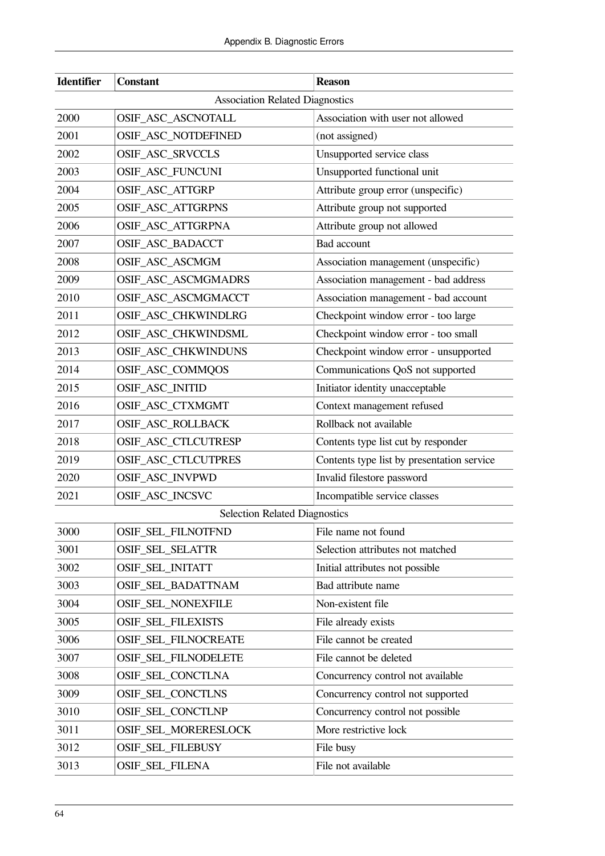| <b>Identifier</b> | <b>Constant</b>                        | <b>Reason</b>                              |  |  |
|-------------------|----------------------------------------|--------------------------------------------|--|--|
|                   | <b>Association Related Diagnostics</b> |                                            |  |  |
| 2000              | OSIF_ASC_ASCNOTALL                     | Association with user not allowed          |  |  |
| 2001              | OSIF_ASC_NOTDEFINED                    | (not assigned)                             |  |  |
| 2002              | OSIF_ASC_SRVCCLS                       | Unsupported service class                  |  |  |
| 2003              | OSIF_ASC_FUNCUNI                       | Unsupported functional unit                |  |  |
| 2004              | OSIF_ASC_ATTGRP                        | Attribute group error (unspecific)         |  |  |
| 2005              | OSIF_ASC_ATTGRPNS                      | Attribute group not supported              |  |  |
| 2006              | OSIF_ASC_ATTGRPNA                      | Attribute group not allowed                |  |  |
| 2007              | OSIF_ASC_BADACCT                       | Bad account                                |  |  |
| 2008              | OSIF_ASC_ASCMGM                        | Association management (unspecific)        |  |  |
| 2009              | OSIF_ASC_ASCMGMADRS                    | Association management - bad address       |  |  |
| 2010              | OSIF_ASC_ASCMGMACCT                    | Association management - bad account       |  |  |
| 2011              | OSIF_ASC_CHKWINDLRG                    | Checkpoint window error - too large        |  |  |
| 2012              | OSIF_ASC_CHKWINDSML                    | Checkpoint window error - too small        |  |  |
| 2013              | OSIF_ASC_CHKWINDUNS                    | Checkpoint window error - unsupported      |  |  |
| 2014              | OSIF_ASC_COMMQOS                       | Communications QoS not supported           |  |  |
| 2015              | OSIF_ASC_INITID                        | Initiator identity unacceptable            |  |  |
| 2016              | OSIF_ASC_CTXMGMT                       | Context management refused                 |  |  |
| 2017              | OSIF_ASC_ROLLBACK                      | Rollback not available                     |  |  |
| 2018              | OSIF_ASC_CTLCUTRESP                    | Contents type list cut by responder        |  |  |
| 2019              | OSIF_ASC_CTLCUTPRES                    | Contents type list by presentation service |  |  |
| 2020              | OSIF_ASC_INVPWD                        | Invalid filestore password                 |  |  |
| 2021              | OSIF_ASC_INCSVC                        | Incompatible service classes               |  |  |
|                   | <b>Selection Related Diagnostics</b>   |                                            |  |  |
| 3000              | OSIF_SEL_FILNOTFND                     | File name not found                        |  |  |
| 3001              | OSIF_SEL_SELATTR                       | Selection attributes not matched           |  |  |
| 3002              | OSIF_SEL_INITATT                       | Initial attributes not possible            |  |  |
| 3003              | OSIF_SEL_BADATTNAM                     | Bad attribute name                         |  |  |
| 3004              | <b>OSIF_SEL_NONEXFILE</b>              | Non-existent file                          |  |  |
| 3005              | <b>OSIF_SEL_FILEXISTS</b>              | File already exists                        |  |  |
| 3006              | OSIF_SEL_FILNOCREATE                   | File cannot be created                     |  |  |
| 3007              | <b>OSIF SEL FILNODELETE</b>            | File cannot be deleted                     |  |  |
| 3008              | OSIF_SEL_CONCTLNA                      | Concurrency control not available          |  |  |
| 3009              | OSIF_SEL_CONCTLNS                      | Concurrency control not supported          |  |  |
| 3010              | OSIF_SEL_CONCTLNP                      | Concurrency control not possible           |  |  |
| 3011              | OSIF_SEL_MORERESLOCK                   | More restrictive lock                      |  |  |
| 3012              | OSIF_SEL_FILEBUSY                      | File busy                                  |  |  |
| 3013              | OSIF_SEL_FILENA                        | File not available                         |  |  |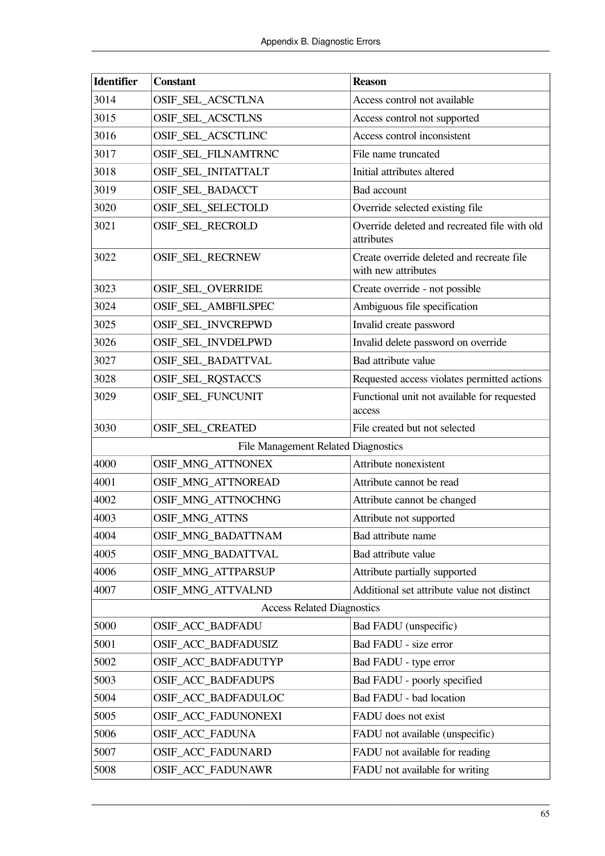| <b>Identifier</b>                   | <b>Constant</b>                   | <b>Reason</b>                                                    |
|-------------------------------------|-----------------------------------|------------------------------------------------------------------|
| 3014                                | OSIF_SEL_ACSCTLNA                 | Access control not available                                     |
| 3015                                | <b>OSIF_SEL_ACSCTLNS</b>          | Access control not supported                                     |
| 3016                                | OSIF_SEL_ACSCTLINC                | Access control inconsistent                                      |
| 3017                                | OSIF_SEL_FILNAMTRNC               | File name truncated                                              |
| 3018                                | OSIF_SEL_INITATTALT               | Initial attributes altered                                       |
| 3019                                | OSIF_SEL_BADACCT                  | Bad account                                                      |
| 3020                                | OSIF_SEL_SELECTOLD                | Override selected existing file                                  |
| 3021                                | OSIF_SEL_RECROLD                  | Override deleted and recreated file with old<br>attributes       |
| 3022                                | OSIF_SEL_RECRNEW                  | Create override deleted and recreate file<br>with new attributes |
| 3023                                | OSIF_SEL_OVERRIDE                 | Create override - not possible                                   |
| 3024                                | OSIF_SEL_AMBFILSPEC               | Ambiguous file specification                                     |
| 3025                                | OSIF_SEL_INVCREPWD                | Invalid create password                                          |
| 3026                                | OSIF_SEL_INVDELPWD                | Invalid delete password on override                              |
| 3027                                | OSIF_SEL_BADATTVAL                | Bad attribute value                                              |
| 3028                                | OSIF_SEL_RQSTACCS                 | Requested access violates permitted actions                      |
| 3029                                | OSIF_SEL_FUNCUNIT                 | Functional unit not available for requested<br>access            |
| 3030                                | OSIF_SEL_CREATED                  | File created but not selected                                    |
| File Management Related Diagnostics |                                   |                                                                  |
| 4000                                | OSIF_MNG_ATTNONEX                 | Attribute nonexistent                                            |
| 4001                                | OSIF_MNG_ATTNOREAD                | Attribute cannot be read                                         |
| 4002                                | OSIF_MNG_ATTNOCHNG                | Attribute cannot be changed                                      |
| 4003                                | <b>OSIF_MNG_ATTNS</b>             | Attribute not supported                                          |
| 4004                                | <b>OSIF MNG BADATTNAM</b>         | Bad attribute name                                               |
| 4005                                | OSIF_MNG_BADATTVAL                | Bad attribute value                                              |
| 4006                                | <b>OSIF MNG ATTPARSUP</b>         | Attribute partially supported                                    |
| 4007                                | OSIF_MNG_ATTVALND                 | Additional set attribute value not distinct                      |
|                                     | <b>Access Related Diagnostics</b> |                                                                  |
| 5000                                | OSIF_ACC_BADFADU                  | Bad FADU (unspecific)                                            |
| 5001                                | OSIF_ACC_BADFADUSIZ               | Bad FADU - size error                                            |
| 5002                                | OSIF_ACC_BADFADUTYP               | Bad FADU - type error                                            |
| 5003                                | OSIF_ACC_BADFADUPS                | Bad FADU - poorly specified                                      |
| 5004                                | OSIF_ACC_BADFADULOC               | Bad FADU - bad location                                          |
| 5005                                | OSIF_ACC_FADUNONEXI               | FADU does not exist                                              |
| 5006                                | <b>OSIF_ACC_FADUNA</b>            | FADU not available (unspecific)                                  |
| 5007                                | OSIF_ACC_FADUNARD                 | FADU not available for reading                                   |
| 5008                                | OSIF_ACC_FADUNAWR                 | FADU not available for writing                                   |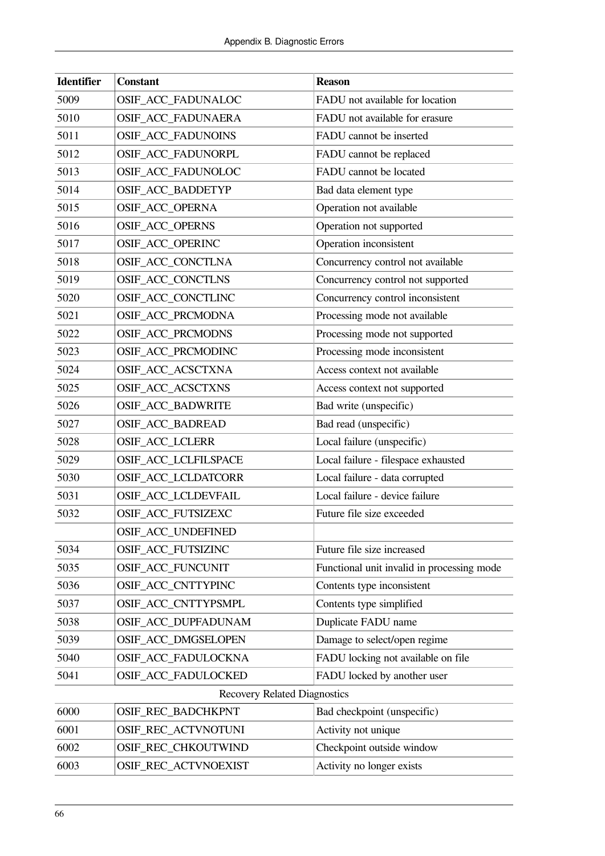| <b>Identifier</b>                   | <b>Constant</b>          | <b>Reason</b>                              |  |
|-------------------------------------|--------------------------|--------------------------------------------|--|
| 5009                                | OSIF_ACC_FADUNALOC       | FADU not available for location            |  |
| 5010                                | OSIF_ACC_FADUNAERA       | FADU not available for erasure             |  |
| 5011                                | OSIF_ACC_FADUNOINS       | FADU cannot be inserted                    |  |
| 5012                                | OSIF_ACC_FADUNORPL       | FADU cannot be replaced                    |  |
| 5013                                | OSIF_ACC_FADUNOLOC       | FADU cannot be located                     |  |
| 5014                                | OSIF_ACC_BADDETYP        | Bad data element type                      |  |
| 5015                                | OSIF_ACC_OPERNA          | Operation not available                    |  |
| 5016                                | OSIF_ACC_OPERNS          | Operation not supported                    |  |
| 5017                                | OSIF_ACC_OPERINC         | Operation inconsistent                     |  |
| 5018                                | OSIF_ACC_CONCTLNA        | Concurrency control not available          |  |
| 5019                                | <b>OSIF ACC CONCTLNS</b> | Concurrency control not supported          |  |
| 5020                                | OSIF_ACC_CONCTLINC       | Concurrency control inconsistent           |  |
| 5021                                | OSIF_ACC_PRCMODNA        | Processing mode not available              |  |
| 5022                                | OSIF_ACC_PRCMODNS        | Processing mode not supported              |  |
| 5023                                | OSIF_ACC_PRCMODINC       | Processing mode inconsistent               |  |
| 5024                                | OSIF_ACC_ACSCTXNA        | Access context not available               |  |
| 5025                                | OSIF_ACC_ACSCTXNS        | Access context not supported               |  |
| 5026                                | OSIF_ACC_BADWRITE        | Bad write (unspecific)                     |  |
| 5027                                | OSIF_ACC_BADREAD         | Bad read (unspecific)                      |  |
| 5028                                | OSIF_ACC_LCLERR          | Local failure (unspecific)                 |  |
| 5029                                | OSIF_ACC_LCLFILSPACE     | Local failure - filespace exhausted        |  |
| 5030                                | OSIF_ACC_LCLDATCORR      | Local failure - data corrupted             |  |
| 5031                                | OSIF_ACC_LCLDEVFAIL      | Local failure - device failure             |  |
| 5032                                | OSIF_ACC_FUTSIZEXC       | Future file size exceeded                  |  |
|                                     | OSIF_ACC_UNDEFINED       |                                            |  |
| 5034                                | OSIF_ACC_FUTSIZINC       | Future file size increased                 |  |
| 5035                                | OSIF_ACC_FUNCUNIT        | Functional unit invalid in processing mode |  |
| 5036                                | OSIF_ACC_CNTTYPINC       | Contents type inconsistent                 |  |
| 5037                                | OSIF_ACC_CNTTYPSMPL      | Contents type simplified                   |  |
| 5038                                | OSIF_ACC_DUPFADUNAM      | Duplicate FADU name                        |  |
| 5039                                | OSIF_ACC_DMGSELOPEN      | Damage to select/open regime               |  |
| 5040                                | OSIF ACC FADULOCKNA      | FADU locking not available on file         |  |
| 5041                                | OSIF_ACC_FADULOCKED      | FADU locked by another user                |  |
| <b>Recovery Related Diagnostics</b> |                          |                                            |  |
| 6000                                | OSIF_REC_BADCHKPNT       | Bad checkpoint (unspecific)                |  |
| 6001                                | OSIF_REC_ACTVNOTUNI      | Activity not unique                        |  |
| 6002                                | OSIF_REC_CHKOUTWIND      | Checkpoint outside window                  |  |
| 6003                                | OSIF_REC_ACTVNOEXIST     | Activity no longer exists                  |  |